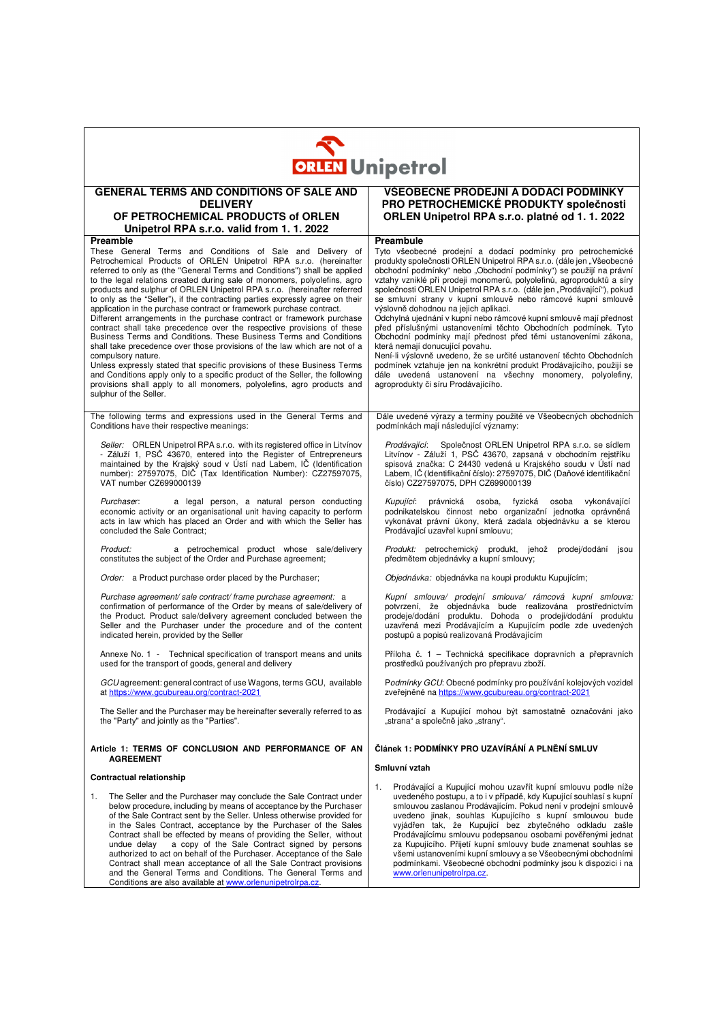| <b>ORLEN</b> Unipetrol                                                                                                                                                                                                                                                                                                                                                                                                                                                                                                                                                                                                                                                                                                                                                                                                                                                                                                                                                                                                                                                                                                                 |                                                                                                                                                                                                                                                                                                                                                                                                                                                                                                                                                                                                                                                                                                                                                                                                                                                                                                                                                                                   |  |  |  |
|----------------------------------------------------------------------------------------------------------------------------------------------------------------------------------------------------------------------------------------------------------------------------------------------------------------------------------------------------------------------------------------------------------------------------------------------------------------------------------------------------------------------------------------------------------------------------------------------------------------------------------------------------------------------------------------------------------------------------------------------------------------------------------------------------------------------------------------------------------------------------------------------------------------------------------------------------------------------------------------------------------------------------------------------------------------------------------------------------------------------------------------|-----------------------------------------------------------------------------------------------------------------------------------------------------------------------------------------------------------------------------------------------------------------------------------------------------------------------------------------------------------------------------------------------------------------------------------------------------------------------------------------------------------------------------------------------------------------------------------------------------------------------------------------------------------------------------------------------------------------------------------------------------------------------------------------------------------------------------------------------------------------------------------------------------------------------------------------------------------------------------------|--|--|--|
| <b>GENERAL TERMS AND CONDITIONS OF SALE AND</b><br><b>DELIVERY</b><br>OF PETROCHEMICAL PRODUCTS of ORLEN<br>Unipetrol RPA s.r.o. valid from 1.1.2022                                                                                                                                                                                                                                                                                                                                                                                                                                                                                                                                                                                                                                                                                                                                                                                                                                                                                                                                                                                   | VŠEOBECNÉ PRODEJNÍ A DODACÍ PODMÍNKY<br>PRO PETROCHEMICKÉ PRODUKTY společnosti<br>ORLEN Unipetrol RPA s.r.o. platné od 1. 1. 2022                                                                                                                                                                                                                                                                                                                                                                                                                                                                                                                                                                                                                                                                                                                                                                                                                                                 |  |  |  |
| Preamble<br>These General Terms and Conditions of Sale and Delivery of<br>Petrochemical Products of ORLEN Unipetrol RPA s.r.o. (hereinafter<br>referred to only as (the "General Terms and Conditions") shall be applied<br>to the legal relations created during sale of monomers, polyolefins, agro<br>products and sulphur of ORLEN Unipetrol RPA s.r.o. (hereinafter referred<br>to only as the "Seller"), if the contracting parties expressly agree on their<br>application in the purchase contract or framework purchase contract.<br>Different arrangements in the purchase contract or framework purchase<br>contract shall take precedence over the respective provisions of these<br>Business Terms and Conditions. These Business Terms and Conditions<br>shall take precedence over those provisions of the law which are not of a<br>compulsory nature.<br>Unless expressly stated that specific provisions of these Business Terms<br>and Conditions apply only to a specific product of the Seller, the following<br>provisions shall apply to all monomers, polyolefins, agro products and<br>sulphur of the Seller. | Preambule<br>Tyto všeobecné prodejní a dodací podmínky pro petrochemické<br>produkty společnosti ORLEN Unipetrol RPA s.r.o. (dále jen "Všeobecné<br>obchodní podmínky" nebo "Obchodní podmínky") se použijí na právní<br>vztahy vzniklé při prodeji monomerů, polyolefinů, agroproduktů a síry<br>společnosti ORLEN Unipetrol RPA s.r.o. (dále jen "Prodávající"), pokud<br>se smluvní strany v kupní smlouvě nebo rámcové kupní smlouvě<br>výslovně dohodnou na jejich aplikaci.<br>Odchylná ujednání v kupní nebo rámcové kupní smlouvě mají přednost<br>před příslušnými ustanoveními těchto Obchodních podmínek. Tyto<br>Obchodní podmínky mají přednost před těmi ustanoveními zákona,<br>která nemají donucující povahu.<br>Není-li výslovně uvedeno, že se určité ustanovení těchto Obchodních<br>podmínek vztahuje jen na konkrétní produkt Prodávajícího, použijí se<br>dále uvedená ustanovení na všechny monomery, polyolefiny,<br>agroprodukty či síru Prodávajícího. |  |  |  |
| The following terms and expressions used in the General Terms and<br>Conditions have their respective meanings:                                                                                                                                                                                                                                                                                                                                                                                                                                                                                                                                                                                                                                                                                                                                                                                                                                                                                                                                                                                                                        | Dále uvedené výrazy a termíny použité ve Všeobecných obchodních<br>podmínkách mají následující významy:                                                                                                                                                                                                                                                                                                                                                                                                                                                                                                                                                                                                                                                                                                                                                                                                                                                                           |  |  |  |
| Seller: ORLEN Unipetrol RPA s.r.o. with its registered office in Litvinov<br>- Záluží 1, PSČ 43670, entered into the Register of Entrepreneurs<br>maintained by the Krajský soud v Ústí nad Labem, IČ (Identification<br>number): 27597075, DIČ (Tax Identification Number): CZ27597075,<br>VAT number CZ699000139                                                                                                                                                                                                                                                                                                                                                                                                                                                                                                                                                                                                                                                                                                                                                                                                                     | Prodávající: Společnost ORLEN Unipetrol RPA s.r.o. se sídlem<br>Litvínov - Záluží 1, PSČ 43670, zapsaná v obchodním rejstříku<br>spisová značka: C 24430 vedená u Krajského soudu v Ústí nad<br>Labem, IČ (Identifikační číslo): 27597075, DIČ (Daňové identifikační<br>číslo) CZ27597075, DPH CZ699000139                                                                                                                                                                                                                                                                                                                                                                                                                                                                                                                                                                                                                                                                        |  |  |  |
| Purchaser:<br>a legal person, a natural person conducting<br>economic activity or an organisational unit having capacity to perform<br>acts in law which has placed an Order and with which the Seller has<br>concluded the Sale Contract:                                                                                                                                                                                                                                                                                                                                                                                                                                                                                                                                                                                                                                                                                                                                                                                                                                                                                             | Kupující:<br>právnická osoba,<br>fyzická osoba<br>vykonávající<br>podnikatelskou činnost nebo organizační jednotka oprávněná<br>vykonávat právní úkony, která zadala objednávku a se kterou<br>Prodávající uzavřel kupní smlouvu;                                                                                                                                                                                                                                                                                                                                                                                                                                                                                                                                                                                                                                                                                                                                                 |  |  |  |
| a petrochemical product whose sale/delivery<br>Product:<br>constitutes the subject of the Order and Purchase agreement;                                                                                                                                                                                                                                                                                                                                                                                                                                                                                                                                                                                                                                                                                                                                                                                                                                                                                                                                                                                                                | Produkt: petrochemický produkt, jehož prodej/dodání jsou<br>předmětem objednávky a kupní smlouvy;                                                                                                                                                                                                                                                                                                                                                                                                                                                                                                                                                                                                                                                                                                                                                                                                                                                                                 |  |  |  |
| <i>Order:</i> a Product purchase order placed by the Purchaser;                                                                                                                                                                                                                                                                                                                                                                                                                                                                                                                                                                                                                                                                                                                                                                                                                                                                                                                                                                                                                                                                        | Objednávka: objednávka na koupi produktu Kupujícím;                                                                                                                                                                                                                                                                                                                                                                                                                                                                                                                                                                                                                                                                                                                                                                                                                                                                                                                               |  |  |  |
| Purchase agreement/ sale contract/ frame purchase agreement: a<br>confirmation of performance of the Order by means of sale/delivery of<br>the Product. Product sale/delivery agreement concluded between the<br>Seller and the Purchaser under the procedure and of the content<br>indicated herein, provided by the Seller                                                                                                                                                                                                                                                                                                                                                                                                                                                                                                                                                                                                                                                                                                                                                                                                           | Kupní smlouva/ prodejní smlouva/ rámcová kupní smlouva:<br>potvrzení, že objednávka bude realizována prostřednictvím<br>prodeje/dodání produktu. Dohoda o prodeji/dodání produktu<br>uzavřená mezi Prodávajícím a Kupujícím podle zde uvedených<br>postupů a popisů realizovaná Prodávajícím                                                                                                                                                                                                                                                                                                                                                                                                                                                                                                                                                                                                                                                                                      |  |  |  |
| Annexe No. 1 - Technical specification of transport means and units<br>used for the transport of goods, general and delivery                                                                                                                                                                                                                                                                                                                                                                                                                                                                                                                                                                                                                                                                                                                                                                                                                                                                                                                                                                                                           | Příloha č. 1 – Technická specifikace dopravních a přepravních<br>prostředků používaných pro přepravu zboží.                                                                                                                                                                                                                                                                                                                                                                                                                                                                                                                                                                                                                                                                                                                                                                                                                                                                       |  |  |  |
| GCU agreement: general contract of use Wagons, terms GCU, available<br>at https://www.gcubureau.org/contract-2021                                                                                                                                                                                                                                                                                                                                                                                                                                                                                                                                                                                                                                                                                                                                                                                                                                                                                                                                                                                                                      | Podmínky GCU: Obecné podmínky pro používání kolejových vozidel<br>zveřejněné na https://www.gcubureau.org/contract-2021                                                                                                                                                                                                                                                                                                                                                                                                                                                                                                                                                                                                                                                                                                                                                                                                                                                           |  |  |  |
| The Seller and the Purchaser may be hereinafter severally referred to as<br>the "Party" and jointly as the "Parties".                                                                                                                                                                                                                                                                                                                                                                                                                                                                                                                                                                                                                                                                                                                                                                                                                                                                                                                                                                                                                  | Prodávající a Kupující mohou být samostatně označováni jako<br>"strana" a společně jako "strany".                                                                                                                                                                                                                                                                                                                                                                                                                                                                                                                                                                                                                                                                                                                                                                                                                                                                                 |  |  |  |
| Article 1: TERMS OF CONCLUSION AND PERFORMANCE OF AN<br><b>AGREEMENT</b>                                                                                                                                                                                                                                                                                                                                                                                                                                                                                                                                                                                                                                                                                                                                                                                                                                                                                                                                                                                                                                                               | Článek 1: PODMÍNKY PRO UZAVÍRÁNÍ A PLNĚNÍ SMLUV                                                                                                                                                                                                                                                                                                                                                                                                                                                                                                                                                                                                                                                                                                                                                                                                                                                                                                                                   |  |  |  |
| <b>Contractual relationship</b>                                                                                                                                                                                                                                                                                                                                                                                                                                                                                                                                                                                                                                                                                                                                                                                                                                                                                                                                                                                                                                                                                                        | Smluvní vztah                                                                                                                                                                                                                                                                                                                                                                                                                                                                                                                                                                                                                                                                                                                                                                                                                                                                                                                                                                     |  |  |  |
| The Seller and the Purchaser may conclude the Sale Contract under<br>1.<br>below procedure, including by means of acceptance by the Purchaser<br>of the Sale Contract sent by the Seller. Unless otherwise provided for<br>in the Sales Contract, acceptance by the Purchaser of the Sales<br>Contract shall be effected by means of providing the Seller, without<br>a copy of the Sale Contract signed by persons<br>undue delay<br>authorized to act on behalf of the Purchaser. Acceptance of the Sale<br>Contract shall mean acceptance of all the Sale Contract provisions<br>and the General Terms and Conditions. The General Terms and<br>Conditions are also available at www.orlenunipetrolrpa.cz.                                                                                                                                                                                                                                                                                                                                                                                                                          | Prodávající a Kupující mohou uzavřít kupní smlouvu podle níže<br>1.<br>uvedeného postupu, a to i v případě, kdy Kupující souhlasí s kupní<br>smlouvou zaslanou Prodávajícím. Pokud není v prodejní smlouvě<br>uvedeno jinak, souhlas Kupujícího s kupní smlouvou bude<br>vyjádřen tak, že Kupující bez zbytečného odkladu zašle<br>Prodávajícímu smlouvu podepsanou osobami pověřenými jednat<br>za Kupujícího. Přijetí kupní smlouvy bude znamenat souhlas se<br>všemi ustanoveními kupní smlouvy a se Všeobecnými obchodními<br>podmínkami. Všeobecné obchodní podmínky jsou k dispozici i na<br>www.orlenunipetrolrpa.cz.                                                                                                                                                                                                                                                                                                                                                      |  |  |  |

 $\mathbf{r}$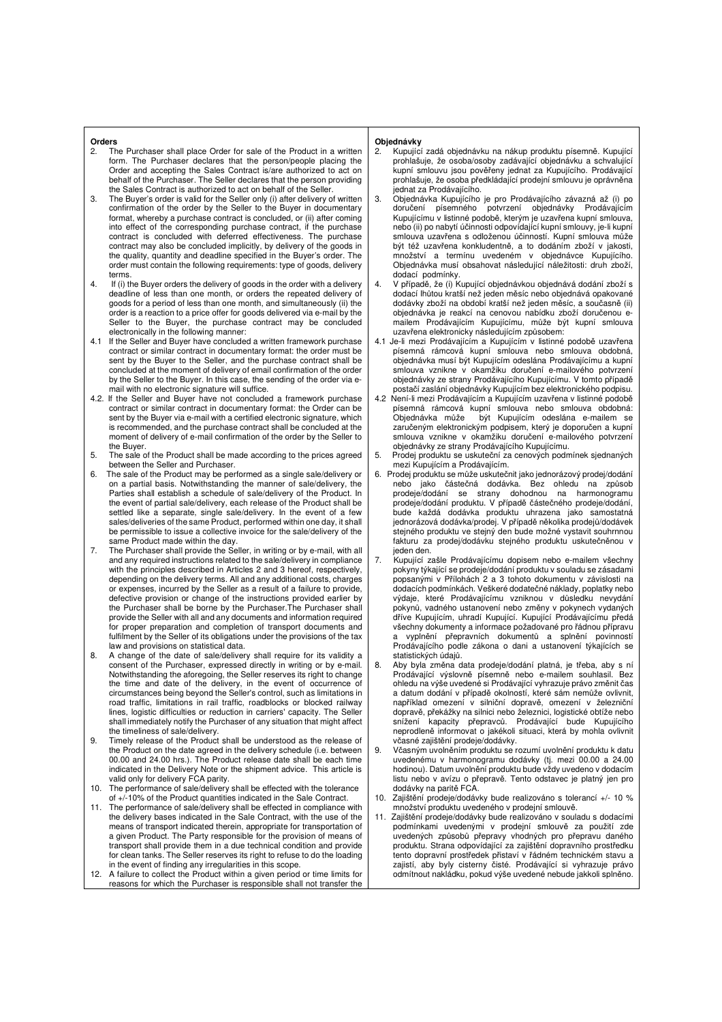#### **Orders**

- 2. The Purchaser shall place Order for sale of the Product in a written form. The Purchaser declares that the person/people placing the Order and accepting the Sales Contract is/are authorized to act on behalf of the Purchaser. The Seller declares that the person providing the Sales Contract is authorized to act on behalf of the Seller.
- 3. The Buyer's order is valid for the Seller only (i) after delivery of written confirmation of the order by the Seller to the Buyer in documentary format, whereby a purchase contract is concluded, or (ii) after coming into effect of the corresponding purchase contract, if the purchase contract is concluded with deferred effectiveness. The purchase contract may also be concluded implicitly, by delivery of the goods in the quality, quantity and deadline specified in the Buyer's order. The order must contain the following requirements: type of goods, delivery terms.
- 4. If (i) the Buyer orders the delivery of goods in the order with a delivery deadline of less than one month, or orders the repeated delivery of goods for a period of less than one month, and simultaneously (ii) the order is a reaction to a price offer for goods delivered via e-mail by the Seller to the Buyer, the purchase contract may be concluded electronically in the following manner:
- 4.1 If the Seller and Buyer have concluded a written framework purchase contract or similar contract in documentary format: the order must be sent by the Buyer to the Seller, and the purchase contract shall be concluded at the moment of delivery of email confirmation of the order by the Seller to the Buyer. In this case, the sending of the order via email with no electronic signature will suffice.
- 4.2. If the Seller and Buyer have not concluded a framework purchase contract or similar contract in documentary format: the Order can be sent by the Buyer via e-mail with a certified electronic signature, which is recommended, and the purchase contract shall be concluded at the moment of delivery of e-mail confirmation of the order by the Seller to the Buyer.
- 5. The sale of the Product shall be made according to the prices agreed between the Seller and Purchaser.
- 6. The sale of the Product may be performed as a single sale/delivery or on a partial basis. Notwithstanding the manner of sale/delivery, the Parties shall establish a schedule of sale/delivery of the Product. In the event of partial sale/delivery, each release of the Product shall be settled like a separate, single sale/delivery. In the event of a few sales/deliveries of the same Product, performed within one day, it shall be permissible to issue a collective invoice for the sale/delivery of the
- same Product made within the day. 7. The Purchaser shall provide the Seller, in writing or by e-mail, with all and any required instructions related to the sale/delivery in compliance with the principles described in Articles 2 and 3 hereof, respectively, depending on the delivery terms. All and any additional costs, charges or expenses, incurred by the Seller as a result of a failure to provide, defective provision or change of the instructions provided earlier by the Purchaser shall be borne by the Purchaser.The Purchaser shall provide the Seller with all and any documents and information required for proper preparation and completion of transport documents and fulfilment by the Seller of its obligations under the provisions of the tax law and provisions on statistical data.
- 8. A change of the date of sale/delivery shall require for its validity a consent of the Purchaser, expressed directly in writing or by e-mail. Notwithstanding the aforegoing, the Seller reserves its right to change the time and date of the delivery, in the event of occurrence of circumstances being beyond the Seller's control, such as limitations in road traffic, limitations in rail traffic, roadblocks or blocked railway lines, logistic difficulties or reduction in carriers' capacity. The Seller shall immediately notify the Purchaser of any situation that might affect the timeliness of sale/delivery.
- 9. Timely release of the Product shall be understood as the release of the Product on the date agreed in the delivery schedule (i.e. between 00.00 and 24.00 hrs.). The Product release date shall be each time indicated in the Delivery Note or the shipment advice. This article is valid only for delivery FCA parity.
- 10. The performance of sale/delivery shall be effected with the tolerance of +/-10% of the Product quantities indicated in the Sale Contract.
- 11. The performance of sale/delivery shall be effected in compliance with the delivery bases indicated in the Sale Contract, with the use of the means of transport indicated therein, appropriate for transportation of a given Product. The Party responsible for the provision of means of transport shall provide them in a due technical condition and provide for clean tanks. The Seller reserves its right to refuse to do the loading in the event of finding any irregularities in this scope.
- 12. A failure to collect the Product within a given period or time limits for reasons for which the Purchaser is responsible shall not transfer the

- **Objednávky**<br>2. Kupující zadá objednávku na nákup produktu písemně. Kupující prohlašuje, že osoba/osoby zadávající objednávku a schvalující kupní smlouvu jsou pověřeny jednat za Kupujícího. Prodávající prohlašuje, že osoba předkládající prodejní smlouvu je oprávněna jednat za Prodávajícího.
- 3. Objednávka Kupujícího je pro Prodávajícího závazná až (i) po doručení písemného potvrzení objednávky Prodávajícím Kupujícímu v listinné podobě, kterým je uzavřena kupní smlouva, nebo (ii) po nabytí účinnosti odpovídající kupní smlouvy, je-li kupní smlouva uzavřena s odloženou účinností. Kupní smlouva může být též uzavřena konkludentně, a to dodáním zboží v jakosti, množství a termínu uvedeném v objednávce Kupujícího. Objednávka musí obsahovat následující náležitosti: druh zboží, dodací podmínky.
- 4. V případě, že (i) Kupující objednávkou objednává dodání zboží s dodací lhůtou kratší než jeden měsíc nebo objednává opakované dodávky zboží na období kratší než jeden měsíc, a současně (ii) objednávka je reakcí na cenovou nabídku zboží doručenou emailem Prodávajícím Kupujícímu, může být kupní smlouva uzavřena elektronicky následujícím způsobem:
- 4.1 Je-li mezi Prodávajícím a Kupujícím v listinné podobě uzavřena písemná rámcová kupní smlouva nebo smlouva obdobná, objednávka musí být Kupujícím odeslána Prodávajícímu a kupní smlouva vznikne v okamžiku doručení e-mailového potvrzení objednávky ze strany Prodávajícího Kupujícímu. V tomto případě postačí zaslání objednávky Kupujícím bez elektronického podpisu.
- 4.2 Není-li mezi Prodávajícím a Kupujícím uzavřena v listinné podobě písemná rámcová kupní smlouva nebo smlouva obdobná:<br>Objednávka může být Kupujícím odeslána e-mailem se být Kupujícím odeslána e-mailem se zaručeným elektronickým podpisem, který je doporučen a kupní smlouva vznikne v okamžiku doručení e-mailového potvrzení objednávky ze strany Prodávajícího Kupujícímu.
- Prodej produktu se uskuteční za cenových podmínek sjednaných mezi Kupujícím a Prodávajícím.
- 6. Prodej produktu se může uskutečnit jako jednorázový prodej/dodání nebo jako částečná dodávka. Bez ohledu na způsob prodeje/dodání se strany dohodnou na harmonogramu prodeje/dodání produktu. V případě částečného prodeje/dodání, bude každá dodávka produktu uhrazena jako samostatná jednorázová dodávka/prodej. V případě několika prodejů/dodávek stejného produktu ve stejný den bude možné vystavit souhrnnou fakturu za prodej/dodávku stejného produktu uskutečněnou v jeden den.
- 7. Kupující zašle Prodávajícímu dopisem nebo e-mailem všechny pokyny týkající se prodeje/dodání produktu v souladu se zásadami popsanými v Přílohách 2 a 3 tohoto dokumentu v závislosti na dodacích podmínkách. Veškeré dodatečné náklady, poplatky nebo výdaje, které Prodávajícímu vzniknou v důsledku nevydání pokynů, vadného ustanovení nebo změny v pokynech vydaných dříve Kupujícím, uhradí Kupující. Kupující Prodávajícímu předá všechny dokumenty a informace požadované pro řádnou přípravu a vyplnění přepravních dokumentů a splnění povinností Prodávajícího podle zákona o dani a ustanovení týkajících se statistických údajů.
- 8. Aby byla změna data prodeje/dodání platná, je třeba, aby s ní Prodávající výslovně písemně nebo e-mailem souhlasil ohledu na výše uvedené si Prodávající vyhrazuje právo změnit čas a datum dodání v případě okolností, které sám nemůže ovlivnit, například omezení v silniční dopravě, omezení v železniční dopravě, překážky na silnici nebo železnici, logistické obtíže nebo snížení kapacity přepravců. Prodávající bude Kupujícího neprodleně informovat o jakékoli situaci, která by mohla ovlivnit včasné zajištění prodeje/dodávky.
- 9. Včasným uvolněním produktu se rozumí uvolnění produktu k datu uvedenému v harmonogramu dodávky (tj. mezi 00.00 a 24.00 hodinou). Datum uvolnění produktu bude vždy uvedeno v dodacím listu nebo v avízu o přepravě. Tento odstavec je platný jen pro dodávky na paritě FCA.
- 10. Zajištění prodeje/dodávky bude realizováno s tolerancí +/- 10 % množství produktu uvedeného v prodejní smlouvě.
- Zajištění prodeje/dodávky bude realizováno v souladu s dodacími podmínkami uvedenými v prodejní smlouvě za použití zde uvedených způsobů přepravy vhodných pro přepravu daného produktu. Strana odpovídající za zajištění dopravního prostředku tento dopravní prostředek přistaví v řádném technickém stavu a zajistí, aby byly cisterny čisté. Prodávající si vyhrazuje právo odmítnout nakládku, pokud výše uvedené nebude jakkoli splněno.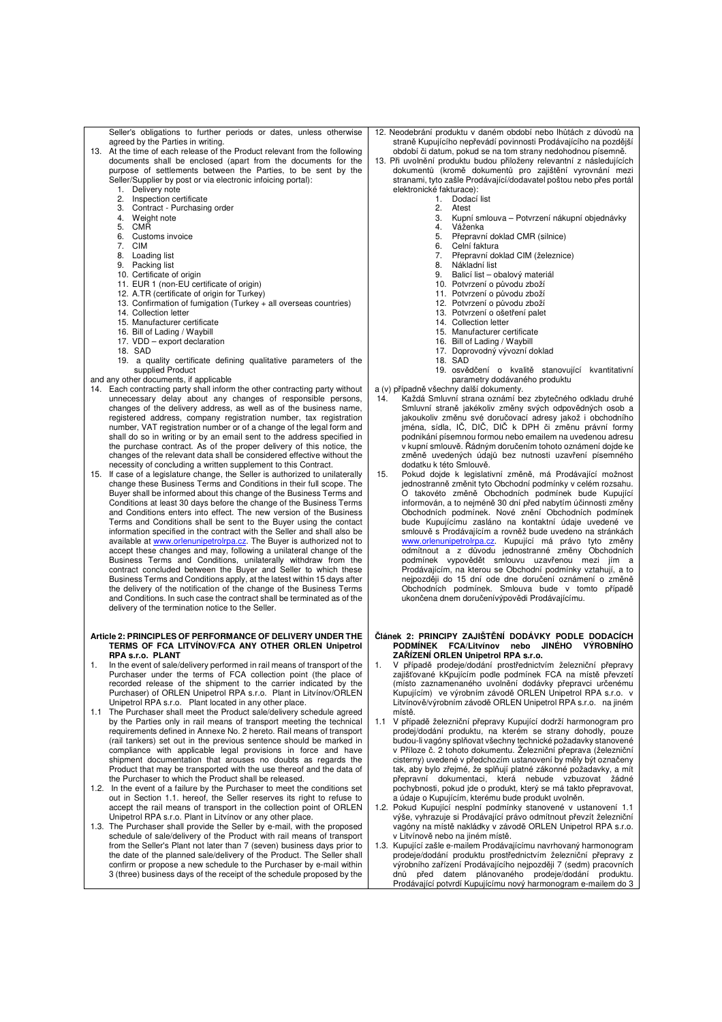Seller's obligations to further periods or dates, unless otherwise agreed by the Parties in writing. 13. At the time of each release of the Product relevant from the following

- documents shall be enclosed (apart from the documents for the purpose of settlements between the Parties, to be sent by the Seller/Supplier by post or via electronic infoicing portal):
	- 1. Delivery note
	- 2. Inspection certificate<br>3. Contract Purchasin 3. Contract - Purchasing order<br>4. Weight note
	-
	- 4. Weight note 5. CMR<br>6. Custo
	- Customs invoice
	- 7. CIM<br>8. Load
	- 8. Loading list<br>9. Packing list
	- Packing list
	- 10. Certificate of origin 11. EUR 1 (non-EU certificate of origin)
	- 11. Earth (not Educationally of origin)
	- 13. Confirmation of fumigation (Turkey + all overseas countries)
	- 14. Collection letter
	- 15. Manufacturer certificate 16. Bill of Lading / Waybill
	- 17. VDD export declaration
	-
	- 18. SAD<br>19 a g a quality certificate defining qualitative parameters of the supplied Product
- and any other documents, if applicable
- 14. Each contracting party shall inform the other contracting party without unnecessary delay about any changes of responsible persons. changes of the delivery address, as well as of the business name, registered address, company registration number, tax registration number, VAT registration number or of a change of the legal form and shall do so in writing or by an email sent to the address specified in the purchase contract. As of the proper delivery of this notice, the changes of the relevant data shall be considered effective without the necessity of concluding a written supplement to this Contract.
- 15. If case of a legislature change, the Seller is authorized to unilaterally change these Business Terms and Conditions in their full scope. The Buyer shall be informed about this change of the Business Terms and Conditions at least 30 days before the change of the Business Terms and Conditions enters into effect. The new version of the Business Terms and Conditions shall be sent to the Buyer using the contact information specified in the contract with the Seller and shall also be available at www.orlenunipetrolrpa.cz. The Buyer is authorized not to<br>accept these changes and may, following a unilateral change of the Business Terms and Conditions, unilaterally withdraw from the contract concluded between the Buyer and Seller to which these Business Terms and Conditions apply, at the latest within 15 days after the delivery of the notification of the change of the Business Terms and Conditions. In such case the contract shall be terminated as of the delivery of the termination notice to the Seller.

#### **Article 2: PRINCIPLES OF PERFORMANCE OF DELIVERY UNDER THE TERMS OF FCA LITVÍNOV/FCA ANY OTHER ORLEN Unipetrol RPA s.r.o. PLANT**

- 1. In the event of sale/delivery performed in rail means of transport of the Purchaser under the terms of FCA collection point (the place of recorded release of the shipment to the carrier indicated by the Purchaser) of ORLEN Unipetrol RPA s.r.o. Plant in Litvínov/ORLEN Unipetrol RPA s.r.o. Plant located in any other place.
- 1.1 The Purchaser shall meet the Product sale/delivery schedule agreed by the Parties only in rail means of transport meeting the technical requirements defined in Annexe No. 2 hereto. Rail means of transport (rail tankers) set out in the previous sentence should be marked in compliance with applicable legal provisions in force and have shipment documentation that arouses no doubts as regards the Product that may be transported with the use thereof and the data of the Purchaser to which the Product shall be released.
- 1.2. In the event of a failure by the Purchaser to meet the conditions set out in Section 1.1. hereof, the Seller reserves its right to refuse to accept the rail means of transport in the collection point of ORLEN Unipetrol RPA s.r.o. Plant in Litvínov or any other place.
- 1.3. The Purchaser shall provide the Seller by e-mail, with the proposed schedule of sale/delivery of the Product with rail means of transport from the Seller's Plant not later than 7 (seven) business days prior to the date of the planned sale/delivery of the Product. The Seller shall confirm or propose a new schedule to the Purchaser by e-mail within 3 (three) business days of the receipt of the schedule proposed by the
- 12. Neodebrání produktu v daném období nebo lhůtách z důvodů na straně Kupujícího nepřevádí povinnosti Prodávajícího na pozdější období či datum, pokud se na tom strany nedohodnou písemně.
- 13. Při uvolnění produktu budou přiloženy relevantní z následujících dokumentů (kromě dokumentů pro zajištění vyrovnání mezi stranami, tyto zašle Prodávající/dodavatel poštou nebo přes portál elektronické fakturace):
	- 1. Dodací list<br>2. Atest
	- 2. Atest<br>3. Kupn
	- 3. Kupní smlouva Potvrzení nákupní objednávky
	- 4. Váženka
	- 5. Přepravní doklad CMR (silnice)<br>6. Celní faktura
	- 6. Celní faktura<br>7. Přepravní do
	- 7. Přepravní doklad CIM (železnice)<br>8. Nákladní list
	- 8. Nákladní list<br>9. Balicí list o
	- 9. Balicí list obalový materiál<br>10. Potvrzení o původu zboží
	- 10. Potvrzení o původu zboží 11. Potvrzení o původu zboží
	- 12. Potvrzení o původu zboží
	- 13. Potvrzení o ošetření palet<br>14. Collection letter
	- Collection letter
	- 15. Manufacturer certificate 16. Bill of Lading / Waybill
	-
	- 17. Doprovodný vývozní doklad 18. SAD
	- 19. osvědčení o kvalitě stanovující kvantitativní parametry dodávaného produktu
- a (v) případně všechny další dokumenty.
- 14. Každá Smluvní strana oznámí bez zbytečného odkladu druhé Smluvní straně jakékoliv změny svých odpovědných osob a jakoukoliv změnu své doručovací adresy jakož i obchodního jména, sídla, IČ, DIČ, DIČ k DPH či změnu právní formy podnikání písemnou formou nebo emailem na uvedenou adresu v kupní smlouvě. Řádným doručením tohoto oznámení dojde ke změně uvedených údajů bez nutnosti uzavření písemného dodatku k této Smlouvě.
- 15. Pokud dojde k legislativní změně, má Prodávající možnost jednostranně změnit tyto Obchodní podmínky v celém rozsahu. O takovéto změně Obchodních podmínek bude Kupující informován, a to nejméně 30 dní před nabytím účinnosti změny Obchodních podmínek. Nové znění Obchodních podmínek bude Kupujícímu zasláno na kontaktní údaje uvedené ve smlouvě s Prodávajícím a rovněž bude uvedeno na stránkách <mark>www.orlenunipetrolrpa.cz</mark>. Kupující má právo tyto změny<br>odmítnout a z důvodu jednostranné změny Obchodních podmínek vypovědět smlouvu uzavřenou mezi jím a Prodávajícím, na kterou se Obchodní podmínky vztahují, a to nejpozději do 15 dní ode dne doručení oznámení o změně Obchodních podmínek. Smlouva bude v tomto případě ukončena dnem doručenívýpovědi Prodávajícímu.

# **Článek 2: PRINCIPY ZAJIŠTĚNÍ DODÁVKY PODLE DODACÍCH PODMÍNEK FCA/Litvínov nebo JINÉHO VÝROBNÍHO ZAŘÍZENÍ ORLEN Unipetrol RPA s.r.o.**

- 1. V případě prodeje/dodání prostřednictvím železniční přepravy zajišťované kKpujícím podle podmínek FCA na místě převzetí (místo zaznamenaného uvolnění dodávky přepravci určenému Kupujícím) ve výrobním závodě ORLEN Unipetrol RPA s.r.o. v Litvínově/výrobním závodě ORLEN Unipetrol RPA s.r.o. na jiném místě.
- 1.1 V případě železniční přepravy Kupující dodrží harmonogram pro prodej/dodání produktu, na kterém se strany dohodly, pouze budou-li vagóny splňovat všechny technické požadavky stanovené v Příloze č. 2 tohoto dokumentu. Železniční přeprava (železniční cisterny) uvedené v předchozím ustanovení by měly být označeny tak, aby bylo zřejmé, že splňují platné zákonné požadavky, a mít přepravní dokumentaci, která nebude vzbuzovat žádné pochybnosti, pokud jde o produkt, který se má takto přepravovat, a údaje o Kupujícím, kterému bude produkt uvolněn.
- Pokud Kupující nesplní podmínky stanovené v ustanovení 1.1 výše, vyhrazuje si Prodávající právo odmítnout převzít železniční vagóny na místě nakládky v závodě ORLEN Unipetrol RPA s.r.o. v Litvínově nebo na jiném místě.
- 1.3. Kupující zašle e-mailem Prodávajícímu navrhovaný harmonogram prodeje/dodání produktu prostřednictvím železniční přepravy z výrobního zařízení Prodávajícího nejpozději 7 (sedm) pracovních dnů před datem plánovaného prodeje/dodání produktu. Prodávající potvrdí Kupujícímu nový harmonogram e-mailem do 3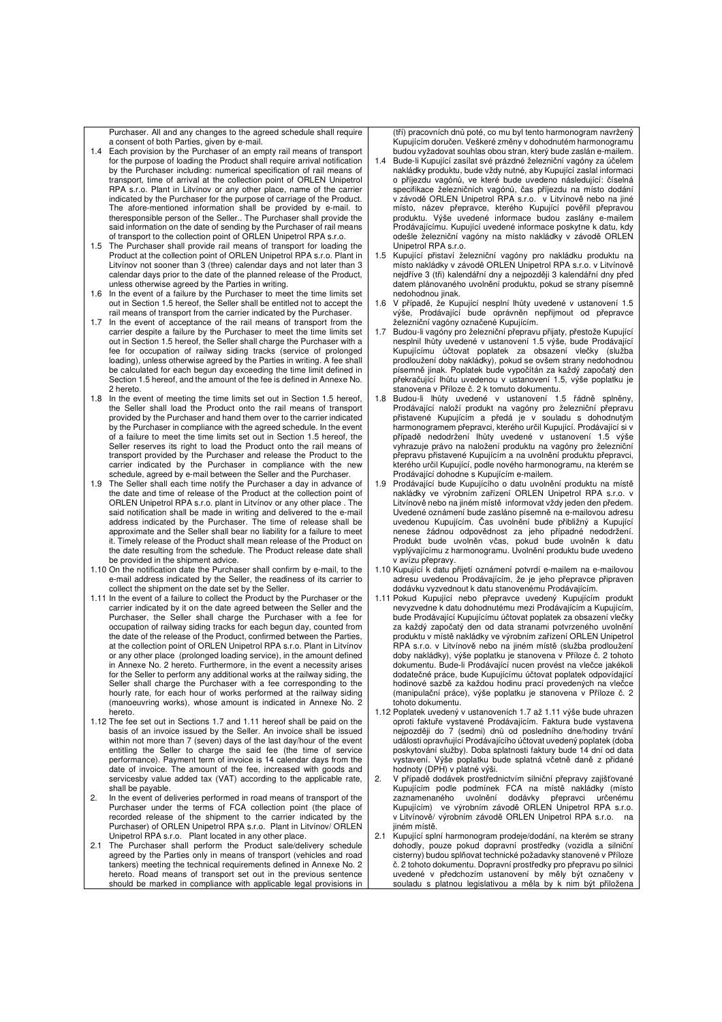Purchaser. All and any changes to the agreed schedule shall require a consent of both Parties, given by e-mail.

- 1.4 Each provision by the Purchaser of an empty rail means of transport for the purpose of loading the Product shall require arrival notification by the Purchaser including: numerical specification of rail means of transport, time of arrival at the collection point of ORLEN Unipetrol RPA s.r.o. Plant in Litvínov or any other place, name of the carrier indicated by the Purchaser for the purpose of carriage of the Product. The afore-mentioned information shall be provided by e-mail. to theresponsible person of the Seller.. The Purchaser shall provide the said information on the date of sending by the Purchaser of rail means of transport to the collection point of ORLEN Unipetrol RPA s.r.o.
- 1.5 The Purchaser shall provide rail means of transport for loading the Product at the collection point of ORLEN Unipetrol RPA s.r.o. Plant in Litvínov not sooner than 3 (three) calendar days and not later than 3 calendar days prior to the date of the planned release of the Product, unless otherwise agreed by the Parties in writing.
- 1.6 In the event of a failure by the Purchaser to meet the time limits set out in Section 1.5 hereof, the Seller shall be entitled not to accept the rail means of transport from the carrier indicated by the Purchaser.
- 1.7 In the event of acceptance of the rail means of transport from the carrier despite a failure by the Purchaser to meet the time limits set out in Section 1.5 hereof, the Seller shall charge the Purchaser with a fee for occupation of railway siding tracks (service of prolonged loading), unless otherwise agreed by the Parties in writing. A fee shall be calculated for each begun day exceeding the time limit defined in Section 1.5 hereof, and the amount of the fee is defined in Annexe No. 2 hereto.
- 1.8 In the event of meeting the time limits set out in Section 1.5 hereof, the Seller shall load the Product onto the rail means of transport provided by the Purchaser and hand them over to the carrier indicated by the Purchaser in compliance with the agreed schedule. In the event of a failure to meet the time limits set out in Section 1.5 hereof, the Seller reserves its right to load the Product onto the rail means of transport provided by the Purchaser and release the Product to the carrier indicated by the Purchaser in compliance with the new schedule, agreed by e-mail between the Seller and the Purchaser.
- 1.9 The Seller shall each time notify the Purchaser a day in advance of the date and time of release of the Product at the collection point of ORLEN Unipetrol RPA s.r.o. plant in Litvínov or any other place . The said notification shall be made in writing and delivered to the e-mail address indicated by the Purchaser. The time of release shall be approximate and the Seller shall bear no liability for a failure to meet it. Timely release of the Product shall mean release of the Product on the date resulting from the schedule. The Product release date shall be provided in the shipment advice.
- 1.10 On the notification date the Purchaser shall confirm by e-mail, to the e-mail address indicated by the Seller, the readiness of its carrier to collect the shipment on the date set by the Seller.
- 1.11 In the event of a failure to collect the Product by the Purchaser or the carrier indicated by it on the date agreed between the Seller and the Purchaser, the Seller shall charge the Purchaser with a fee for occupation of railway siding tracks for each begun day, counted from the date of the release of the Product, confirmed between the Parties, at the collection point of ORLEN Unipetrol RPA s.r.o. Plant in Litvínov or any other place (prolonged loading service), in the amount defined in Annexe No. 2 hereto. Furthermore, in the event a necessity arises for the Seller to perform any additional works at the railway siding, the Seller shall charge the Purchaser with a fee corresponding to the hourly rate, for each hour of works performed at the railway siding (manoeuvring works), whose amount is indicated in Annexe No. 2 hereto.
- 1.12 The fee set out in Sections 1.7 and 1.11 hereof shall be paid on the basis of an invoice issued by the Seller. An invoice shall be issued within not more than 7 (seven) days of the last day/hour of the event entitling the Seller to charge the said fee (the time of service performance). Payment term of invoice is 14 calendar days from the date of invoice. The amount of the fee, increased with goods and servicesby value added tax (VAT) according to the applicable rate, shall be payable.
- 2. In the event of deliveries performed in road means of transport of the Purchaser under the terms of FCA collection point (the place of recorded release of the shipment to the carrier indicated by the Purchaser) of ORLEN Unipetrol RPA s.r.o. Plant in Litvínov/ ORLEN Unipetrol RPA s.r.o. Plant located in any other place. 2.1 The Purchaser shall perform the Product sale/delivery schedule
- agreed by the Parties only in means of transport (vehicles and road tankers) meeting the technical requirements defined in Annexe No. 2 hereto. Road means of transport set out in the previous sentence should be marked in compliance with applicable legal provisions in

(tří) pracovních dnů poté, co mu byl tento harmonogram navržený Kupujícím doručen. Veškeré změny v dohodnutém harmonogramu budou vyžadovat souhlas obou stran, který bude zaslán e-mailem.

- 1.4 Bude-li Kupující zasílat své prázdné železniční vagóny za účelem nakládky produktu, bude vždy nutné, aby Kupující zaslal informaci o příjezdu vagónů, ve které bude uvedeno následující: číselná specifikace železničních vagónů, čas příjezdu na místo dodání v závodě ORLEN Unipetrol RPA s.r.o. v Litvínově nebo na jiné místo, název přepravce, kterého Kupující pověřil přepravou produktu. Výše uvedené informace budou zaslány e-mailem Prodávajícímu. Kupující uvedené informace poskytne k datu, kdy odešle železniční vagóny na místo nakládky v závodě ORLEN Unipetrol RPA s.r.o.
- 1.5 Kupující přistaví železniční vagóny pro nakládku produktu na místo nakládky v závodě ORLEN Unipetrol RPA s.r.o. v Litvínově nejdříve 3 (tři) kalendářní dny a nejpozději 3 kalendářní dny před datem plánovaného uvolnění produktu, pokud se strany písemně nedohodnou jinak.
- 1.6 V případě, že Kupující nesplní lhůty uvedené v ustanovení 1.5 výše, Prodávající bude oprávněn nepřijmout od přepravce železniční vagóny označené Kupujícím.
- 1.7 Budou-li vagóny pro železniční přepravu přijaty, přestože Kupující nesplnil lhůty uvedené v ustanovení 1.5 výše, bude Prodávající Kupujícímu účtovat poplatek za obsazení vlečky (služba prodloužení doby nakládky), pokud se ovšem strany nedohodnou písemně jinak. Poplatek bude vypočítán za každý započatý den překračující lhůtu uvedenou v ustanovení 1.5, výše poplatku je stanovena v Příloze č. 2 k tomuto dokumentu.
- 1.8 Budou-li lhůty uvedené v ustanovení 1.5 řádně splněny, Prodávající naloží produkt na vagóny pro železniční přepravu přistavené Kupujícím a předá je v souladu s dohodnutým<br>harmonogramem přepravci, kterého určil Kupující. Prodávající si v případě nedodržení lhůty uvedené v ustanovení 1.5 výše vyhrazuje právo na naložení produktu na vagóny pro železniční přepravu přistavené Kupujícím a na uvolnění produktu přepravci, kterého určil Kupující, podle nového harmonogramu, na kterém se Prodávající dohodne s Kupujícím e-mailem.
- 1.9 Prodávající bude Kupujícího o datu uvolnění produktu na místě nakládky ve výrobním zařízení ORLEN Unipetrol RPA s.r.o. v Litvínově nebo na jiném místě informovat vždy jeden den předem. Uvedené oznámení bude zasláno písemně na e-mailovou adresu uvedenou Kupujícím. Čas uvolnění bude přibližný a Kupující nenese žádnou odpovědnost za jeho případné nedodržení. Produkt bude uvolněn včas, pokud bude uvolněn k datu vyplývajícímu z harmonogramu. Uvolnění produktu bude uvedeno
- v avízu přepravy. 1.10 Kupující k datu přijetí oznámení potvrdí e-mailem na e-mailovou adresu uvedenou Prodávajícím, že je jeho přepravce připraven dodávku vyzvednout k datu stanovenému Prodávajícím.
- 1.11 Pokud Kupující nebo přepravce uvedený Kupujícím produkt nevyzvedne k datu dohodnutému mezi Prodávajícím a Kupujícím, bude Prodávající Kupujícímu účtovat poplatek za obsazení vlečky za každý započatý den od data stranami potvrzeného uvolnění produktu v místě nakládky ve výrobním zařízení ORLEN Unipetrol RPA s.r.o. v Litvínově nebo na jiném místě (služba prodloužení doby nakládky), výše poplatku je stanovena v Příloze č. 2 tohoto dokumentu. Bude-li Prodávající nucen provést na vlečce jakékoli dodatečné práce, bude Kupujícímu účtovat poplatek odpovídající hodinové sazbě za každou hodinu prací provedených na vlečce (manipulační práce), výše poplatku je stanovena v Příloze č. 2 tohoto dokumentu.
- 1.12 Poplatek uvedený v ustanoveních 1.7 až 1.11 výše bude uhrazen oproti faktuře vystavené Prodávajícím. Faktura bude vystavena nejpozději do 7 (sedmi) dnů od posledního dne/hodiny trvání události opravňující Prodávajícího účtovat uvedený poplatek (doba poskytování služby). Doba splatnosti faktury bude 14 dní od data vystavení. Výše poplatku bude splatná včetně daně z přidané hodnoty (DPH) v platné výši.
- 2. V případě dodávek prostřednictvím silniční přepravy zajišťované Kupujícím podle podmínek FCA na místě nakládky (místo zaznamenaného uvolnění dodávky přepravci určenému Kupujícím) ve výrobním závodě ORLEN Unipetrol RPA s.r.o. v Litvínově/ výrobním závodě ORLEN Unipetrol RPA s.r.o. na jiném místě.
- 2.1 Kupující splní harmonogram prodeje/dodání, na kterém se strany dohodly, pouze pokud dopravní prostředky (vozidla a silniční cisterny) budou splňovat technické požadavky stanovené v Příloze č. 2 tohoto dokumentu. Dopravní prostředky pro přepravu po silnici uvedené v předchozím ustanovení by měly být označeny v souladu s platnou legislativou a měla by k nim být přiložena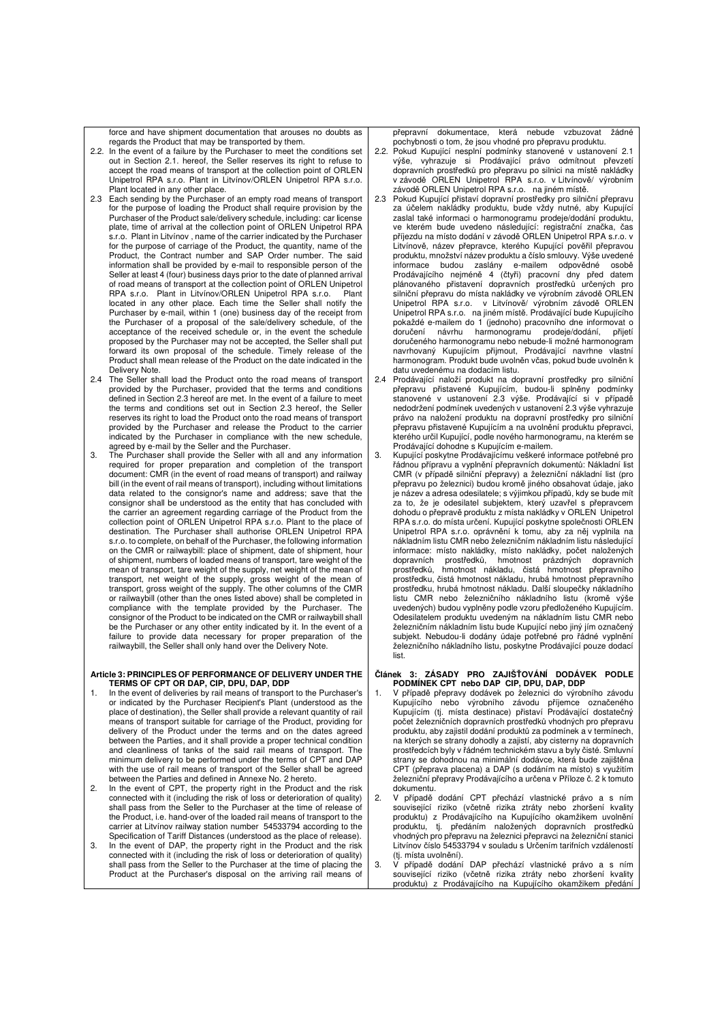force and have shipment documentation that arouses no doubts as

- regards the Product that may be transported by them. 2.2. In the event of a failure by the Purchaser to meet the conditions set out in Section 2.1. hereof, the Seller reserves its right to refuse to accept the road means of transport at the collection point of ORLEN Unipetrol RPA s.r.o. Plant in Litvínov/ORLEN Unipetrol RPA s.r.o. Plant located in any other place.
- 2.3 Each sending by the Purchaser of an empty road means of transport for the purpose of loading the Product shall require provision by the Purchaser of the Product sale/delivery schedule, including: car license plate, time of arrival at the collection point of ORLEN Unipetrol RPA s.r.o. Plant in Litvínov , name of the carrier indicated by the Purchaser for the purpose of carriage of the Product, the quantity, name of the Product, the Contract number and SAP Order number. The said information shall be provided by e-mail to responsible person of the Seller at least 4 (four) business days prior to the date of planned arrival of road means of transport at the collection point of ORLEN Unipetrol RPA s.r.o. Plant in Litvínov/ORLEN Unipetrol RPA s.r.o. Plant located in any other place. Each time the Seller shall notify the Purchaser by e-mail, within 1 (one) business day of the receipt from the Purchaser of a proposal of the sale/delivery schedule, of the acceptance of the received schedule or, in the event the schedule proposed by the Purchaser may not be accepted, the Seller shall put forward its own proposal of the schedule. Timely release of the Product shall mean release of the Product on the date indicated in the Delivery Note.
- 2.4 The Seller shall load the Product onto the road means of transport provided by the Purchaser, provided that the terms and conditions defined in Section 2.3 hereof are met. In the event of a failure to meet the terms and conditions set out in Section 2.3 hereof, the Seller reserves its right to load the Product onto the road means of transport provided by the Purchaser and release the Product to the carrier indicated by the Purchaser in compliance with the new schedule, agreed by e-mail by the Seller and the Purchaser.
- 3. The Purchaser shall provide the Seller with all and any information required for proper preparation and completion of the transport document: CMR (in the event of road means of transport) and railway bill (in the event of rail means of transport), including without limitations data related to the consignor's name and address; save that the consignor shall be understood as the entity that has concluded with the carrier an agreement regarding carriage of the Product from the collection point of ORLEN Unipetrol RPA s.r.o. Plant to the place of destination. The Purchaser shall authorise ORLEN Unipetrol RPA s.r.o. to complete, on behalf of the Purchaser, the following information on the CMR or railwaybill: place of shipment, date of shipment, hour of shipment, numbers of loaded means of transport, tare weight of the mean of transport, tare weight of the supply, net weight of the mean of transport, net weight of the supply, gross weight of the mean of transport, gross weight of the supply. The other columns of the CMR or railwaybill (other than the ones listed above) shall be completed in compliance with the template provided by the Purchaser. The consignor of the Product to be indicated on the CMR or railwaybill shall be the Purchaser or any other entity indicated by it. In the event of a failure to provide data necessary for proper preparation of the railwaybill, the Seller shall only hand over the Delivery Note.

#### **Article 3: PRINCIPLES OF PERFORMANCE OF DELIVERY UNDER THE TERMS OF CPT OR DAP, CIP, DPU, DAP, DDP**

- 1. In the event of deliveries by rail means of transport to the Purchaser's or indicated by the Purchaser Recipient's Plant (understood as the place of destination), the Seller shall provide a relevant quantity of rail means of transport suitable for carriage of the Product, providing for delivery of the Product under the terms and on the dates agreed between the Parties, and it shall provide a proper technical condition and cleanliness of tanks of the said rail means of transport. The minimum delivery to be performed under the terms of CPT and DAP with the use of rail means of transport of the Seller shall be agreed between the Parties and defined in Annexe No. 2 hereto.
- 2. In the event of CPT, the property right in the Product and the risk connected with it (including the risk of loss or deterioration of quality) shall pass from the Seller to the Purchaser at the time of release of the Product, i.e. hand-over of the loaded rail means of transport to the carrier at Litvínov railway station number 54533794 according to the Specification of Tariff Distances (understood as the place of release).
- 3. In the event of DAP, the property right in the Product and the risk connected with it (including the risk of loss or deterioration of quality) shall pass from the Seller to the Purchaser at the time of placing the Product at the Purchaser's disposal on the arriving rail means of

přepravní dokumentace, která nebude vzbuzovat žádné pochybnosti o tom, že jsou vhodné pro přepravu produktu.

- 2.2. Pokud Kupující nesplní podmínky stanovené v ustanovení 2.1 výše, vyhrazuje si Prodávající právo odmítnout převzetí dopravních prostředků pro přepravu po silnici na místě nakládky v závodě ORLEN Unipetrol RPA s.r.o. v Litvínově/ výrobním závodě ORLEN Unipetrol RPA s.r.o. na jiném místě.
- 2.3 Pokud Kupující přistaví dopravní prostředky pro silniční přepravu za účelem nakládky produktu, bude vždy nutné, aby Kupující zaslal také informaci o harmonogramu prodeje/dodání produktu, ve kterém bude uvedeno následující: registrační značka, čas příjezdu na místo dodání v závodě ORLEN Unipetrol RPA s.r.o. v Litvínově, název přepravce, kterého Kupující pověřil přepravou produktu, množství název produktu a číslo smlouvy. Výše uvedené informace budou zaslány e-mailem odpovědné osobě Prodávajícího nejméně 4 (čtyři) pracovní dny před datem plánovaného přistavení dopravních prostředků určených pro silniční přepravu do místa nakládky ve výrobním závodě ORLEN Unipetrol RPA s.r.o. v Litvínově/ výrobním závodě ORLEN Unipetrol RPA s.r.o. na jiném místě. Prodávající bude Kupujícího pokaždé e-mailem do 1 (jednoho) pracovního dne informovat o doručení návrhu harmonogramu prodeje/dodání, přijetí doručeného harmonogramu nebo nebude-li možné harmonogram navrhovaný Kupujícím přijmout, Prodávající navrhne vlastní harmonogram. Produkt bude uvolněn včas, pokud bude uvolněn k datu uvedenému na dodacím listu.
- 2.4 Prodávající naloží produkt na dopravní prostředky pro silniční přepravu přistavené Kupujícím, budou-li splněny podmínky stanovené v ustanovení 2.3 výše. Prodávající si v případě nedodržení podmínek uvedených v ustanovení 2.3 výše vyhrazuje právo na naložení produktu na dopravní prostředky pro silniční přepravu přistavené Kupujícím a na uvolnění produktu přepravci, kterého určil Kupující, podle nového harmonogramu, na kterém se Prodávající dohodne s Kupujícím e-mailem.
- 3. Kupující poskytne Prodávajícímu veškeré informace potřebné pro řádnou přípravu a vyplnění přepravních dokumentů: Nákladní list CMR (v případě silniční přepravy) a železniční nákladní list (pro přepravu po železnici) budou kromě jiného obsahovat údaje, jako je název a adresa odesilatele; s výjimkou případů, kdy se bude mít za to, že je odesilatel subjektem, který uzavřel s přepravcem dohodu o přepravě produktu z místa nakládky v ORLEN Unipetrol RPA s.r.o. do místa určení. Kupující poskytne společnosti ORLEN Unipetrol RPA s.r.o. oprávnění k tomu, aby za něj vyplnila na nákladním listu CMR nebo železničním nákladním listu následující informace: místo nakládky, místo nakládky, počet naložených dopravních prostředků, hmotnost prázdných dopravních prostředků, hmotnost nákladu, čistá hmotnost přepravního prostředku, čistá hmotnost nákladu, hrubá hmotnost přepravního prostředku, hrubá hmotnost nákladu. Další sloupečky nákladního listu CMR nebo železničního nákladního listu (kromě výše uvedených) budou vyplněny podle vzoru předloženého Kupujícím. Odesilatelem produktu uvedeným na nákladním listu CMR nebo železničním nákladním listu bude Kupující nebo jiný jím označený subjekt. Nebudou-li dodány údaje potřebné pro řádné vyplnění železničního nákladního listu, poskytne Prodávající pouze dodací list.

#### **Článek 3: ZÁSADY PRO ZAJIŠŤOVÁNÍ DODÁVEK PODLE PODMÍNEK CPT nebo DAP CIP, DPU, DAP, DDP**

- 1. V případě přepravy dodávek po železnici do výrobního závodu Kupujícího nebo výrobního závodu příjemce označeného Kupujícím (tj. místa destinace) přistaví Prodávající dostatečný počet železničních dopravních prostředků vhodných pro přepravu produktu, aby zajistil dodání produktů za podmínek a v termínech, na kterých se strany dohodly a zajistí, aby cisterny na dopravních prostředcích byly v řádném technickém stavu a byly čisté. Smluvní strany se dohodnou na minimální dodávce, která bude zajištěna CPT (přeprava placena) a DAP (s dodáním na místo) s využitím železniční přepravy Prodávajícího a určena v Příloze č. 2 k tomuto dokumentu.
- 2. V případě dodání CPT přechází vlastnické právo a s ním související riziko (včetně rizika ztráty nebo zhoršení kvality produktu) z Prodávajícího na Kupujícího okamžikem uvolnění produktu, tj. předáním naložených dopravních prostředků vhodných pro přepravu na železnici přepravci na železniční stanici Litvínov číslo 54533794 v souladu s Určením tarifních vzdáleností (tj. místa uvolnění).<br>V nřínost<sup>x</sup>
- 3. V případě dodání DAP přechází vlastnické právo a s ním související riziko (včetně rizika ztráty nebo zhoršení kvality produktu) z Prodávajícího na Kupujícího okamžikem předání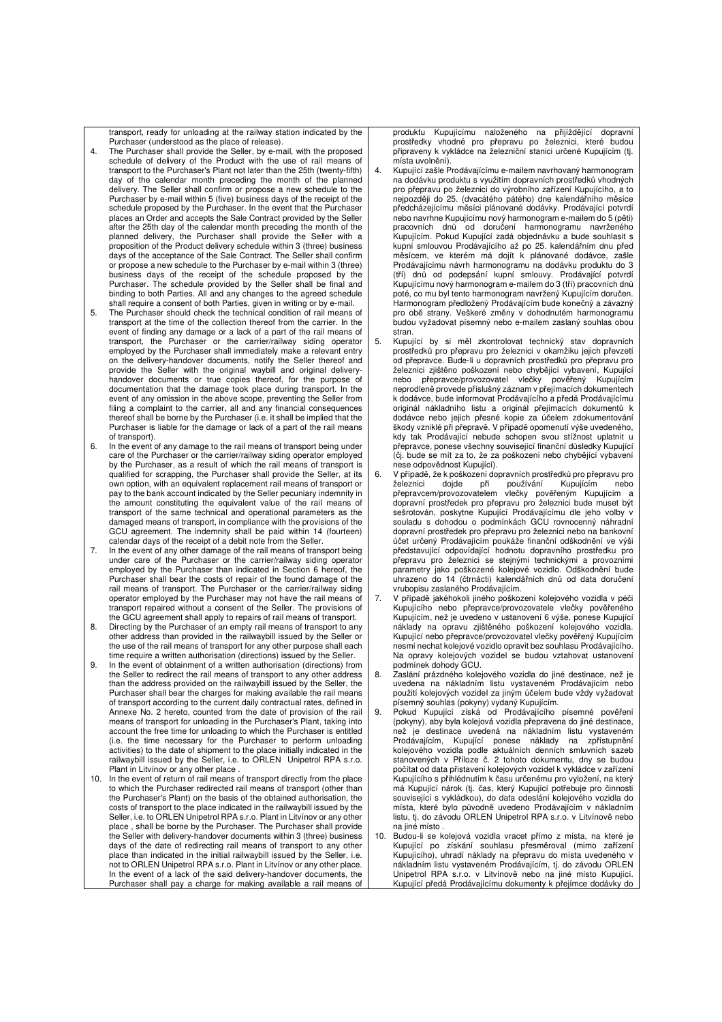transport, ready for unloading at the railway station indicated by the

- Purchaser (understood as the place of release). 4. The Purchaser shall provide the Seller, by e-mail, with the proposed schedule of delivery of the Product with the use of rail means of transport to the Purchaser's Plant not later than the 25th (twenty-fifth) day of the calendar month preceding the month of the planned delivery. The Seller shall confirm or propose a new schedule to the Purchaser by e-mail within 5 (five) business days of the receipt of the schedule proposed by the Purchaser. In the event that the Purchaser places an Order and accepts the Sale Contract provided by the Seller after the 25th day of the calendar month preceding the month of the planned delivery, the Purchaser shall provide the Seller with a proposition of the Product delivery schedule within 3 (three) business days of the acceptance of the Sale Contract. The Seller shall confirm or propose a new schedule to the Purchaser by e-mail within 3 (three) business days of the receipt of the schedule proposed by the Purchaser. The schedule provided by the Seller shall be final and binding to both Parties. All and any changes to the agreed schedule shall require a consent of both Parties, given in writing or by e-mail.
- 5. The Purchaser should check the technical condition of rail means of transport at the time of the collection thereof from the carrier. In the event of finding any damage or a lack of a part of the rail means of transport, the Purchaser or the carrier/railway siding operator employed by the Purchaser shall immediately make a relevant entry on the delivery-handover documents, notify the Seller thereof and provide the Seller with the original waybill and original delivery-handover documents or true copies thereof, for the purpose of documentation that the damage took place during transport. In the event of any omission in the above scope, preventing the Seller from filing a complaint to the carrier, all and any financial consequences thereof shall be borne by the Purchaser (i.e. it shall be implied that the Purchaser is liable for the damage or lack of a part of the rail means of transport).
- 6. In the event of any damage to the rail means of transport being under care of the Purchaser or the carrier/railway siding operator employed by the Purchaser, as a result of which the rail means of transport is qualified for scrapping, the Purchaser shall provide the Seller, at its own option, with an equivalent replacement rail means of transport or pay to the bank account indicated by the Seller pecuniary indemnity in the amount constituting the equivalent value of the rail means of transport of the same technical and operational parameters as the damaged means of transport, in compliance with the provisions of the GCU agreement. The indemnity shall be paid within 14 (fourteen) calendar days of the receipt of a debit note from the Seller.
- 7. In the event of any other damage of the rail means of transport being under care of the Purchaser or the carrier/railway siding operator employed by the Purchaser than indicated in Section 6 hereof, the Purchaser shall bear the costs of repair of the found damage of the rail means of transport. The Purchaser or the carrier/railway siding operator employed by the Purchaser may not have the rail means of transport repaired without a consent of the Seller. The provisions of the GCU agreement shall apply to repairs of rail means of transport.
- 8. Directing by the Purchaser of an empty rail means of transport to any other address than provided in the railwaybill issued by the Seller or the use of the rail means of transport for any other purpose shall each time require a written authorisation (directions) issued by the Seller.
- 9. In the event of obtainment of a written authorisation (directions) from the Seller to redirect the rail means of transport to any other address than the address provided on the railwaybill issued by the Seller, the Purchaser shall bear the charges for making available the rail means of transport according to the current daily contractual rates, defined in Annexe No. 2 hereto, counted from the date of provision of the rail means of transport for unloading in the Purchaser's Plant, taking into account the free time for unloading to which the Purchaser is entitled (i.e. the time necessary for the Purchaser to perform unloading activities) to the date of shipment to the place initially indicated in the railwaybill issued by the Seller, i.e. to ORLEN Unipetrol RPA s.r.o. Plant in Litvínov or any other place
- 10. In the event of return of rail means of transport directly from the place to which the Purchaser redirected rail means of transport (other than the Purchaser's Plant) on the basis of the obtained authorisation, the costs of transport to the place indicated in the railwaybill issued by the Seller, i.e. to ORLEN Unipetrol RPA s.r.o. Plant in Litvínov or any other place , shall be borne by the Purchaser. The Purchaser shall provide the Seller with delivery-handover documents within 3 (three) business days of the date of redirecting rail means of transport to any other place than indicated in the initial railwaybill issued by the Seller, i.e. not to ORLEN Unipetrol RPA s.r.o. Plant in Litvínov or any other place. In the event of a lack of the said delivery-handover documents, the Purchaser shall pay a charge for making available a rail means of

produktu Kupujícímu naloženého na přijíždějící dopravní prostředky vhodné pro přepravu po železnici, které budou připraveny k vykládce na železniční stanici určené Kupujícím (tj. místa uvolnění).

- 4. Kupující zašle Prodávajícímu e-mailem navrhovaný harmonogram na dodávku produktu s využitím dopravních prostředků vhodných pro přepravu po železnici do výrobního zařízení Kupujícího, a to nejpozději do 25. (dvacátého pátého) dne kalendářního měsíce předcházejícímu měsíci plánované dodávky. Prodávající potvrdí nebo navrhne Kupujícímu nový harmonogram e-mailem do 5 (pěti) pracovních dnů od doručení harmonogramu navrženého Kupujícím. Pokud Kupující zadá objednávku a bude souhlasit s kupní smlouvou Prodávajícího až po 25. kalendářním dnu před měsícem, ve kterém má dojít k plánované dodávce, zašle Prodávajícímu návrh harmonogramu na dodávku produktu do 3 (tří) dnů od podepsání kupní smlouvy. Prodávající potvrdí Kupujícímu nový harmonogram e-mailem do 3 (tří) pracovních dnů poté, co mu byl tento harmonogram navržený Kupujícím doručen. Harmonogram předložený Prodávajícím bude konečný a závazný pro obě strany. Veškeré změny v dohodnutém harmonogramu budou vyžadovat písemný nebo e-mailem zaslaný souhlas obou stran.
- 5. Kupující by si měl zkontrolovat technický stav dopravních prostředků pro přepravu pro železnici v okamžiku jejich převzetí od přepravce. Bude-li u dopravních prostředků pro přepravu pro železnici zjištěno poškození nebo chybějící vybavení, Kupující nebo přepravce/provozovatel vlečky pověřený Kupujícím neprodleně provede příslušný záznam v přejímacích dokumentech k dodávce, bude informovat Prodávajícího a předá Prodávajícímu originál nákladního listu a originál přejímacích dokumentů k dodávce nebo jejich přesné kopie za účelem zdokumentování škody vzniklé při přepravě. V případě opomenutí výše uvedeného, kdy tak Prodávající nebude schopen svou stížnost uplatnit u přepravce, ponese všechny související finanční důsledky Kupující (čj. bude se mít za to, že za poškození nebo chybějící vybavení nese odpovědnost Kupující).
- V případě, že k poškození dopravních prostředků pro přepravu pro<br>železnici bojde při používání Kupujícím nebo Kupujícím nebo přepravcem/provozovatelem vlečky pověřeným Kupujícím a dopravní prostředek pro přepravu pro železnici bude muset být sešrotován, poskytne Kupující Prodávajícímu dle jeho volby v souladu s dohodou o podmínkách GCU rovnocenný náhradní dopravní prostředek pro přepravu pro železnici nebo na bankovní účet určený Prodávajícím poukáže finanční odškodnění ve výši představující odpovídající hodnotu dopravního prostředku pro přepravu pro železnici se stejnými technickými a provozními parametry jako poškozené kolejové vozidlo. Odškodnění bude uhrazeno do 14 (čtrnácti) kalendářních dnů od data doručení vrubopisu zaslaného Prodávajícím.
- 7. V případě jakéhokoli jiného poškození kolejového vozidla v péči Kupujícího nebo přepravce/provozovatele vlečky pověřeného Kupujícím, než je uvedeno v ustanovení 6 výše, ponese Kupující náklady na opravu zjištěného poškození kolejového vozidla. Kupující nebo přepravce/provozovatel vlečky pověřený Kupujícím nesmí nechat kolejové vozidlo opravit bez souhlasu Prodávajícího. Na opravy kolejových vozidel se budou vztahovat ustanovení
- podmínek dohody GCU. 8. Zaslání prázdného kolejového vozidla do jiné destinace, než je uvedena na nákladním listu vystaveném Prodávajícím nebo použití kolejových vozidel za jiným účelem bude vždy vyžadovat písemný souhlas (pokyny) vydaný Kupujícím.
- 9. Pokud Kupující získá od Prodávajícího písemné pověření (pokyny), aby byla kolejová vozidla přepravena do jiné destinace, než je destinace uvedená na nákladním listu vystaveném Prodávajícím, Kupující ponese náklady na zpřístupnění kolejového vozidla podle aktuálních denních smluvních sazeb stanovených v Příloze č. 2 tohoto dokumentu, dny se budou počítat od data přistavení kolejových vozidel k vykládce v zařízení Kupujícího s přihlédnutím k času určenému pro vyložení, na který má Kupující nárok (tj. čas, který Kupující potřebuje pro činnosti související s vykládkou), do data odeslání kolejového vozidla do místa, které bylo původně uvedeno Prodávajícím v nákladním listu, tj. do závodu ORLEN Unipetrol RPA s.r.o. v Litvínově nebo na jiné místo .
- 10. Budou-li se kolejová vozidla vracet přímo z místa, na které je Kupující po získání souhlasu přesměroval (mimo zařízení Kupujícího), uhradí náklady na přepravu do místa uvedeného v nákladním listu vystaveném Prodávajícím, tj. do závodu ORLEN Unipetrol RPA s.r.o. v Litvínově nebo na jiné místo Kupující. Kupující předá Prodávajícímu dokumenty k přejímce dodávky do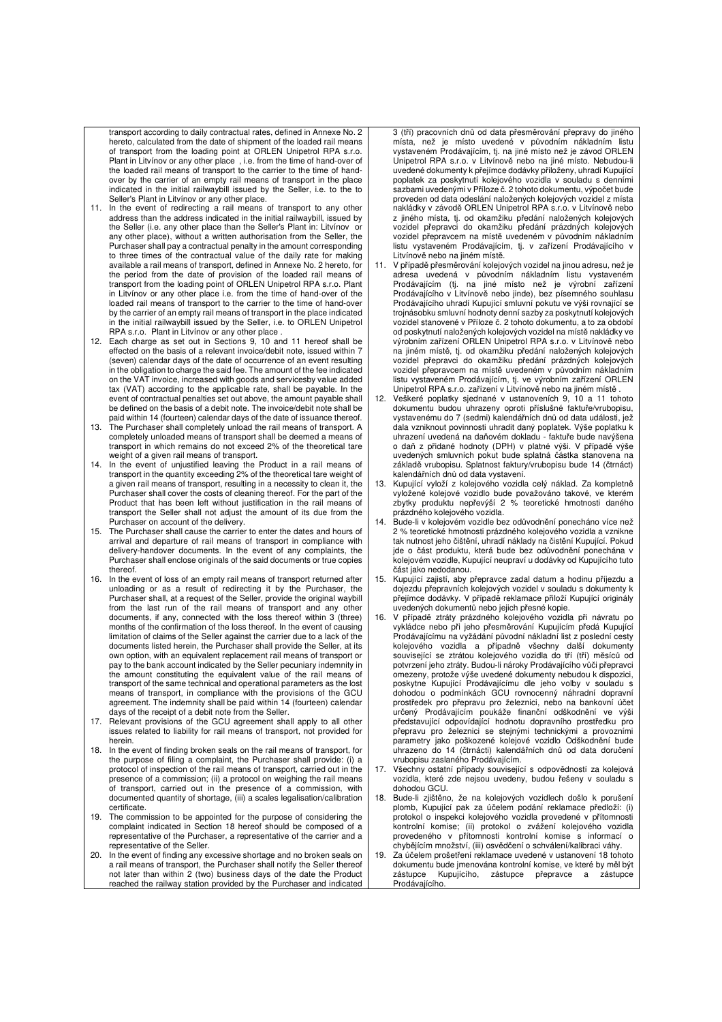transport according to daily contractual rates, defined in Annexe No. 2 hereto, calculated from the date of shipment of the loaded rail means of transport from the loading point at ORLEN Unipetrol RPA s.r.o. Plant in Litvínov or any other place , i.e. from the time of hand-over of the loaded rail means of transport to the carrier to the time of handover by the carrier of an empty rail means of transport in the place indicated in the initial railwaybill issued by the Seller, i.e. to the to

- Seller's Plant in Litvínov or any other place. 11. In the event of redirecting a rail means of transport to any other address than the address indicated in the initial railwaybill, issued by the Seller (i.e. any other place than the Seller's Plant in: Litvínov or any other place), without a written authorisation from the Seller, the Purchaser shall pay a contractual penalty in the amount corresponding to three times of the contractual value of the daily rate for making available a rail means of transport, defined in Annexe No. 2 hereto, for the period from the date of provision of the loaded rail means of transport from the loading point of ORLEN Unipetrol RPA s.r.o. Plant in Litvínov or any other place i.e. from the time of hand-over of the loaded rail means of transport to the carrier to the time of hand-over by the carrier of an empty rail means of transport in the place indicated in the initial railwaybill issued by the Seller, i.e. to ORLEN Unipetrol
- RPA s.r.o. Plant in Litvínov or any other place . 12. Each charge as set out in Sections 9, 10 and 11 hereof shall be effected on the basis of a relevant invoice/debit note, issued within 7 (seven) calendar days of the date of occurrence of an event resulting in the obligation to charge the said fee. The amount of the fee indicated on the VAT invoice, increased with goods and servicesby value added tax (VAT) according to the applicable rate, shall be payable. In the event of contractual penalties set out above, the amount payable shall be defined on the basis of a debit note. The invoice/debit note shall be
- paid within 14 (fourteen) calendar days of the date of issuance thereof. 13. The Purchaser shall completely unload the rail means of transport. A completely unloaded means of transport shall be deemed a means of transport in which remains do not exceed 2% of the theoretical tare weight of a given rail means of transport.
- 14. In the event of unjustified leaving the Product in a rail means of transport in the quantity exceeding 2% of the theoretical tare weight of a given rail means of transport, resulting in a necessity to clean it, the Purchaser shall cover the costs of cleaning thereof. For the part of the Product that has been left without justification in the rail means of transport the Seller shall not adjust the amount of its due from the Purchaser on account of the delivery.
- 15. The Purchaser shall cause the carrier to enter the dates and hours of arrival and departure of rail means of transport in compliance with delivery-handover documents. In the event of any complaints, the Purchaser shall enclose originals of the said documents or true copies thereof.
- 16. In the event of loss of an empty rail means of transport returned after unloading or as a result of redirecting it by the Purchaser, the Purchaser shall, at a request of the Seller, provide the original waybill from the last run of the rail means of transport and any other documents, if any, connected with the loss thereof within 3 (three) months of the confirmation of the loss thereof. In the event of causing limitation of claims of the Seller against the carrier due to a lack of the documents listed herein, the Purchaser shall provide the Seller, at its own option, with an equivalent replacement rail means of transport or pay to the bank account indicated by the Seller pecuniary indemnity in the amount constituting the equivalent value of the rail means of transport of the same technical and operational parameters as the lost means of transport, in compliance with the provisions of the GCU agreement. The indemnity shall be paid within 14 (fourteen) calendar days of the receipt of a debit note from the Seller.
- 17. Relevant provisions of the GCU agreement shall apply to all other issues related to liability for rail means of transport, not provided for herein.
- 18. In the event of finding broken seals on the rail means of transport, for the purpose of filing a complaint, the Purchaser shall provide: (i) a protocol of inspection of the rail means of transport, carried out in the presence of a commission; (ii) a protocol on weighing the rail means of transport, carried out in the presence of a commission, with documented quantity of shortage, (iii) a scales legalisation/calibration certificate.
- 19. The commission to be appointed for the purpose of considering the complaint indicated in Section 18 hereof should be composed of a representative of the Purchaser, a representative of the carrier and a representative of the Seller.
- In the event of finding any excessive shortage and no broken seals on a rail means of transport, the Purchaser shall notify the Seller thereof not later than within 2 (two) business days of the date the Product reached the railway station provided by the Purchaser and indicated

3 (tří) pracovních dnů od data přesměrování přepravy do jiného místa, než je místo uvedené v původním nákladním listu vystaveném Prodávajícím, tj. na jiné místo než je závod ORLEN Unipetrol RPA s.r.o. v Litvínově nebo na jiné místo. Nebudou-li uvedené dokumenty k přejímce dodávky přiloženy, uhradí Kupující poplatek za poskytnutí kolejového vozidla v souladu s denními sazbami uvedenými v Příloze č. 2 tohoto dokumentu, výpočet bude proveden od data odeslání naložených kolejových vozidel z místa nakládky v závodě ORLEN Unipetrol RPA s.r.o. v Litvínově nebo z jiného místa, tj. od okamžiku předání naložených kolejových vozidel přepravci do okamžiku předání prázdných kolejových vozidel přepravcem na místě uvedeném v původním nákladním listu vystaveném Prodávajícím, tj. v zařízení Prodávajícího v Litvínově nebo na jiném místě.

- 11. V případě přesměrování kolejových vozidel na jinou adresu, než je adresa uvedená v původním nákladním listu vystaveném Prodávajícím (tj. na jiné místo než je výrobní zařízení Prodávajícího v Litvínově nebo jinde), bez písemného souhlasu Prodávajícího uhradí Kupující smluvní pokutu ve výši rovnající se trojnásobku smluvní hodnoty denní sazby za poskytnutí kolejových vozidel stanovené v Příloze č. 2 tohoto dokumentu, a to za období od poskytnutí naložených kolejových vozidel na místě nakládky ve výrobním zařízení ORLEN Unipetrol RPA s.r.o. v Litvínově nebo na jiném místě, tj. od okamžiku předání naložených kolejových vozidel přepravci do okamžiku předání prázdných kolejových vozidel přepravcem na místě uvedeném v původním nákladním listu vystaveném Prodávajícím, tj. ve výrobním zařízení ORLEN Unipetrol RPA s.r.o. zařízení v Litvínově nebo na jiném místě .
- 12. Veškeré poplatky sjednané v ustanoveních 9, 10 a 11 tohoto dokumentu budou uhrazeny oproti příslušné faktuře/vrubopisu, vystavenému do 7 (sedmi) kalendářních dnů od data události, jež dala vzniknout povinnosti uhradit daný poplatek. Výše poplatku k uhrazení uvedená na daňovém dokladu - faktuře bude navýšena o daň z přidané hodnoty (DPH) v platné výši. V případě výše uvedených smluvních pokut bude splatná částka stanovena na základě vrubopisu. Splatnost faktury/vrubopisu bude 14 (čtrnáct) kalendářních dnů od data vystavení.
- 13. Kupující vyloží z kolejového vozidla celý náklad. Za kompletně vyložené kolejové vozidlo bude považováno takové, ve kterém zbytky produktu nepřevýší 2 % teoretické hmotnosti daného
- prázdného kolejového vozidla. 14. Bude-li v kolejovém vozidle bez odůvodnění ponecháno více než 2 % teoretické hmotnosti prázdného kolejového vozidla a vznikne tak nutnost jeho čištění, uhradí náklady na čistění Kupující. Pokud jde o část produktu, která bude bez odůvodnění ponechána v kolejovém vozidle, Kupující neupraví u dodávky od Kupujícího tuto část jako nedodanou.
- 15. Kupující zajistí, aby přepravce zadal datum a hodinu příjezdu a dojezdu přepravních kolejových vozidel v souladu s dokumenty k přejímce dodávky. V případě reklamace přiloží Kupující originály uvedených dokumentů nebo jejich přesné kopie.
- 16. V případě ztráty prázdného kolejového vozidla při návratu po vykládce nebo při jeho přesměrování Kupujícím předá Kupující Prodávajícímu na vyžádání původní nákladní list z poslední cesty kolejového vozidla a případně všechny další dokumenty související se ztrátou kolejového vozidla do tří (tří) měsíců od potvrzení jeho ztráty. Budou-li nároky Prodávajícího vůči přepravci omezeny, protože výše uvedené dokumenty nebudou k dispozici, poskytne Kupující Prodávajícímu dle jeho volby v souladu s dohodou o podmínkách GCU rovnocenný náhradní dopravní prostředek pro přepravu pro železnici, nebo na bankovní účet určený Prodávajícím poukáže finanční odškodnění ve výši představující odpovídající hodnotu dopravního prostředku pro přepravu pro železnici se stejnými technickými a provozními parametry jako poškozené kolejové vozidlo Odškodnění bude uhrazeno do 14 (čtrnácti) kalendářních dnů od data doručení vrubopisu zaslaného Prodávajícím.
- Všechny ostatní případy související s odpovědností za kolejová vozidla, které zde nejsou uvedeny, budou řešeny v souladu s dohodou GCU.
- 18. Bude-li zjištěno, že na kolejových vozidlech došlo k porušení plomb, Kupující pak za účelem podání reklamace předloží: (i) protokol o inspekci kolejového vozidla provedené v přítomnosti kontrolní komise; (ii) protokol o zvážení kolejového vozidla provedeného v přítomnosti kontrolní komise s informací o chybějícím množství, (iii) osvědčení o schválení/kalibraci váhy.
- Za účelem prošetření reklamace uvedené v ustanovení 18 tohoto dokumentu bude jmenována kontrolní komise, ve které by měl být zástupce Kupujícího, zástupce přepravce a zástupce Prodávajícího.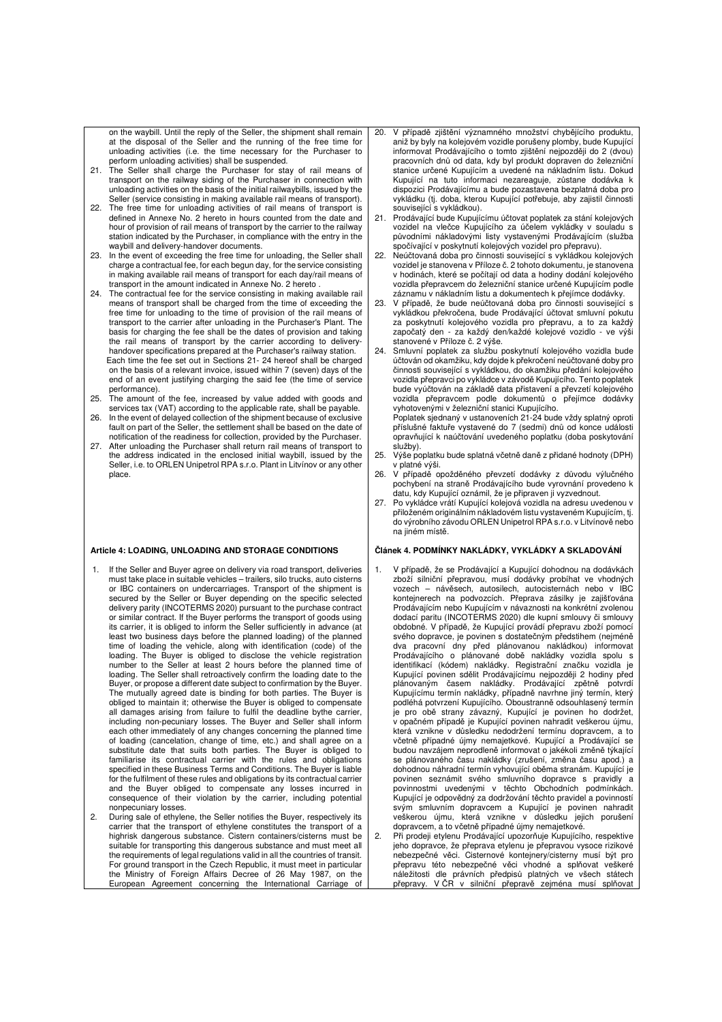on the waybill. Until the reply of the Seller, the shipment shall remain at the disposal of the Seller and the running of the free time for unloading activities (i.e. the time necessary for the Purchaser to

- perform unloading activities) shall be suspended. 21. The Seller shall charge the Purchaser for stay of rail means of transport on the railway siding of the Purchaser in connection with unloading activities on the basis of the initial railwaybills, issued by the Seller (service consisting in making available rail means of transport). 22. The free time for unloading activities of rail means of transport is
- defined in Annexe No. 2 hereto in hours counted from the date and hour of provision of rail means of transport by the carrier to the railway station indicated by the Purchaser, in compliance with the entry in the waybill and delivery-handover documents.
- 23. In the event of exceeding the free time for unloading, the Seller shall charge a contractual fee, for each begun day, for the service consisting in making available rail means of transport for each day/rail means of transport in the amount indicated in Annexe No. 2 hereto .
- 24. The contractual fee for the service consisting in making available rail means of transport shall be charged from the time of exceeding the free time for unloading to the time of provision of the rail means of transport to the carrier after unloading in the Purchaser's Plant. The basis for charging the fee shall be the dates of provision and taking the rail means of transport by the carrier according to deliveryhandover specifications prepared at the Purchaser's railway station. Each time the fee set out in Sections 21- 24 hereof shall be charged on the basis of a relevant invoice, issued within 7 (seven) days of the end of an event justifying charging the said fee (the time of service performance). 25. The amount of the fee, increased by value added with goods and
- services tax (VAT) according to the applicable rate, shall be payable.
- 26. In the event of delayed collection of the shipment because of exclusive fault on part of the Seller, the settlement shall be based on the date of notification of the readiness for collection, provided by the Purchaser.
- 27. After unloading the Purchaser shall return rail means of transport to the address indicated in the enclosed initial waybill, issued by the Seller, i.e. to ORLEN Unipetrol RPA s.r.o. Plant in Litvínov or any other place.

#### **Article 4: LOADING, UNLOADING AND STORAGE CONDITIONS**

- If the Seller and Buyer agree on delivery via road transport, deliveries must take place in suitable vehicles – trailers, silo trucks, auto cisterns or IBC containers on undercarriages. Transport of the shipment is secured by the Seller or Buyer depending on the specific selected delivery parity (INCOTERMS 2020) pursuant to the purchase contract or similar contract. If the Buyer performs the transport of goods using its carrier, it is obliged to inform the Seller sufficiently in advance (at least two business days before the planned loading) of the planned time of loading the vehicle, along with identification (code) of the loading. The Buyer is obliged to disclose the vehicle registration number to the Seller at least 2 hours before the planned time of loading. The Seller shall retroactively confirm the loading date to the Buyer, or propose a different date subject to confirmation by the Buyer. The mutually agreed date is binding for both parties. The Buyer is obliged to maintain it; otherwise the Buyer is obliged to compensate all damages arising from failure to fulfil the deadline bythe carrier, including non-pecuniary losses. The Buyer and Seller shall inform each other immediately of any changes concerning the planned time of loading (cancelation, change of time, etc.) and shall agree on a substitute date that suits both parties. The Buyer is obliged to familiarise its contractual carrier with the rules and obligations specified in these Business Terms and Conditions. The Buyer is liable for the fulfilment of these rules and obligations by its contractual carrier and the Buyer obliged to compensate any losses incurred in consequence of their violation by the carrier, including potential nonpecuniary losses.
- 2. During sale of ethylene, the Seller notifies the Buyer, respectively its carrier that the transport of ethylene constitutes the transport of a highrisk dangerous substance. Cistern containers/cisterns must be suitable for transporting this dangerous substance and must meet all the requirements of legal regulations valid in all the countries of transit. For ground transport in the Czech Republic, it must meet in particular the Ministry of Foreign Affairs Decree of 26 May 1987, on the European Agreement concerning the International Carriage of
- 20. V případě zjištění významného množství chybějícího produktu, aniž by byly na kolejovém vozidle porušeny plomby, bude Kupující informovat Prodávajícího o tomto zjištění nejpozději do 2 (dvou) pracovních dnů od data, kdy byl produkt dopraven do železniční stanice určené Kupujícím a uvedené na nákladním listu. Dokud Kupující na tuto informaci nezareaguje, zůstane dodávka k dispozici Prodávajícímu a bude pozastavena bezplatná doba pro vykládku (tj. doba, kterou Kupující potřebuje, aby zajistil činnosti související s vykládkou).
- 21. Prodávající bude Kupujícímu účtovat poplatek za stání kolejových vozidel na vlečce Kupujícího za účelem vykládky v souladu s původními nákladovými listy vystavenými Prodávajícím (služba spočívající v poskytnutí kolejových vozidel pro přepravu).
- 22. Neúčtovaná doba pro činnosti související s vykládkou kolejových vozidel je stanovena v Příloze č. 2 tohoto dokumentu, je stanovena v hodinách, které se počítají od data a hodiny dodání kolejového vozidla přepravcem do železniční stanice určené Kupujícím podle záznamu v nákladním listu a dokumentech k přejímce dodávky.
- 23. V případě, že bude neúčtovaná doba pro činnosti související s vykládkou překročena, bude Prodávající účtovat smluvní pokutu za poskytnutí kolejového vozidla pro přepravu, a to za každý započatý den - za každý den/každé kolejové vozidlo - ve výši stanovené v Příloze č. 2 výše.
- 24. Smluvní poplatek za službu poskytnutí kolejového vozidla bude účtován od okamžiku, kdy dojde k překročení neúčtované doby pro činnosti související s vykládkou, do okamžiku předání kolejového vozidla přepravci po vykládce v závodě Kupujícího. Tento poplatek bude vyúčtován na základě data přistavení a převzetí kolejového vozidla přepravcem podle dokumentů o přejímce dodávky vyhotovenými v železniční stanici Kupujícího. Poplatek sjednaný v ustanoveních 21-24 bude vždy splatný oproti příslušné faktuře vystavené do 7 (sedmi) dnů od konce události opravňující k naúčtování uvedeného poplatku (doba poskytování služby).
- 25. Výše poplatku bude splatná včetně daně z přidané hodnoty (DPH) v platné výši.
- 26. V případě opožděného převzetí dodávky z důvodu výlučného pochybení na straně Prodávajícího bude vyrovnání provedeno k datu, kdy Kupující oznámil, že je připraven ji vyzvednout.
- 27. Po vykládce vrátí Kupující kolejová vozidla na adresu uvedenou v přiloženém originálním nákladovém listu vystaveném Kupujícím, tj. do výrobního závodu ORLEN Unipetrol RPA s.r.o. v Litvínově nebo na jiném místě.

#### **Článek 4. PODMÍNKY NAKLÁDKY, VYKLÁDKY A SKLADOVÁNÍ**

- 1. V případě, že se Prodávající a Kupující dohodnou na dodávkách zboží silniční přepravou, musí dodávky probíhat ve vhodných vozech – návěsech, autosilech, autocisternách nebo v IBC kontejnerech na podvozcích. Přeprava zásilky je zajišťována Prodávajícím nebo Kupujícím v návaznosti na konkrétní zvolenou dodací paritu (INCOTERMS 2020) dle kupní smlouvy či smlouvy obdobné. V případě, že Kupující provádí přepravu zboží pomocí svého dopravce, je povinen s dostatečným předstihem (nejméně dva pracovní dny před plánovanou nakládkou) informovat Prodávajícího o plánované době nakládky vozidla spolu s identifikací (kódem) nakládky. Registrační značku vozidla je Kupující povinen sdělit Prodávajícímu nejpozději 2 hodiny před plánovaným časem nakládky. Prodávající zpětně potvrdí Kupujícímu termín nakládky, případně navrhne jiný termín, který podléhá potvrzení Kupujícího. Oboustranně odsouhlasený termín je pro obě strany závazný, Kupující je povinen ho dodržet, v opačném případě je Kupující povinen nahradit veškerou újmu, která vznikne v důsledku nedodržení termínu dopravcem, a to včetně případné újmy nemajetkové. Kupující a Prodávající se budou navzájem neprodleně informovat o jakékoli změně týkající se plánovaného času nakládky (zrušení, změna času apod.) a dohodnou náhradní termín vyhovující oběma stranám. Kupující je povinen seznámit svého smluvního dopravce s pravidly a povinnostmi uvedenými v těchto Obchodních podmínkách. Kupující je odpovědný za dodržování těchto pravidel a povinností svým smluvním dopravcem a Kupující je povinen nahradit veškerou újmu, která vznikne v důsledku jejich porušení dopravcem, a to včetně případné újmy nemajetkové.
- 2. Při prodeji etylenu Prodávající upozorňuje Kupujícího, respektive jeho dopravce, že přeprava etylenu je přepravou vysoce rizikové nebezpečné věci. Cisternové kontejnery/cisterny musí být pro přepravu této nebezpečné věci vhodné a splňovat veškeré náležitosti dle právních předpisů platných ve všech státech přepravy. V ČR v silniční přepravě zejména musí splňovat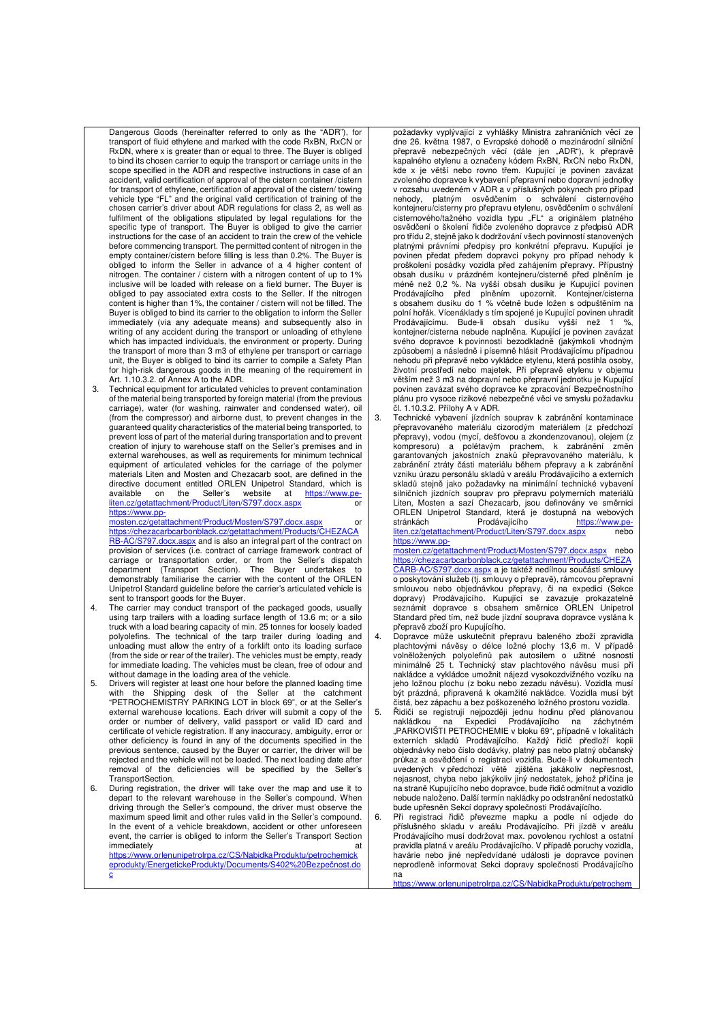Dangerous Goods (hereinafter referred to only as the "ADR"), for transport of fluid ethylene and marked with the code RxBN, RxCN or RxDN, where x is greater than or equal to three. The Buyer is obliged to bind its chosen carrier to equip the transport or carriage units in the scope specified in the ADR and respective instructions in case of an accident, valid certification of approval of the cistern container /cistern for transport of ethylene, certification of approval of the cistern/ towing vehicle type "FL" and the original valid certification of training of the chosen carrier's driver about ADR regulations for class 2, as well as fulfilment of the obligations stipulated by legal regulations for the specific type of transport. The Buyer is obliged to give the carrier instructions for the case of an accident to train the crew of the vehicle before commencing transport. The permitted content of nitrogen in the empty container/cistern before filling is less than 0.2%. The Buyer is obliged to inform the Seller in advance of a 4 higher content of nitrogen. The container / cistern with a nitrogen content of up to 1% inclusive will be loaded with release on a field burner. The Buyer is obliged to pay associated extra costs to the Seller. If the nitrogen content is higher than 1%, the container / cistern will not be filled. The Buyer is obliged to bind its carrier to the obligation to inform the Seller immediately (via any adequate means) and subsequently also in writing of any accident during the transport or unloading of ethylene which has impacted individuals, the environment or property. During the transport of more than 3 m3 of ethylene per transport or carriage unit, the Buyer is obliged to bind its carrier to compile a Safety Plan for high-risk dangerous goods in the meaning of the requirement in Art. 1.10.3.2. of Annex A to the ADR.

3. Technical equipment for articulated vehicles to prevent contamination of the material being transported by foreign material (from the previous carriage), water (for washing, rainwater and condensed water), oil (from the compressor) and airborne dust, to prevent changes in the guaranteed quality characteristics of the material being transported, to prevent loss of part of the material during transportation and to prevent creation of injury to warehouse staff on the Seller's premises and in external warehouses, as well as requirements for minimum technical equipment of articulated vehicles for the carriage of the polymer materials Liten and Mosten and Chezacarb soot, are defined in the directive document entitled ORLEN Unipetrol Standard, which is available on the Seller's website at https://www.peliten.cz/getattachment/Product/Liten/S797.docx.aspx https://www.pp-

mosten.cz/getattachment/Product/Mosten/S797.docx.aspx or

https://chezacarbcarbonblack.cz/getattachment/Products/CHEZACA RB-AC/S797.docx.aspx and is also an integral part of the contract on provision of services (i.e. contract of carriage framework contract of carriage or transportation order, or from the Seller's dispatch department (Transport Section). The Buyer undertakes to demonstrably familiarise the carrier with the content of the ORLEN Unipetrol Standard guideline before the carrier's articulated vehicle is sent to transport goods for the Buyer.

- 4. The carrier may conduct transport of the packaged goods, usually using tarp trailers with a loading surface length of 13.6 m; or a silo truck with a load bearing capacity of min. 25 tonnes for loosely loaded polyolefins. The technical of the tarp trailer during loading and unloading must allow the entry of a forklift onto its loading surface (from the side or rear of the trailer). The vehicles must be empty, ready for immediate loading. The vehicles must be clean, free of odour and without damage in the loading area of the vehicle.
- 5. Drivers will register at least one hour before the planned loading time with the Shipping desk of the Seller at the catchment "PETROCHEMISTRY PARKING LOT in block 69", or at the Seller's external warehouse locations. Each driver will submit a copy of the order or number of delivery, valid passport or valid ID card and certificate of vehicle registration. If any inaccuracy, ambiguity, error or other deficiency is found in any of the documents specified in the previous sentence, caused by the Buyer or carrier, the driver will be rejected and the vehicle will not be loaded. The next loading date after removal of the deficiencies will be specified by the Seller's TransportSection.
- 6. During registration, the driver will take over the map and use it to depart to the relevant warehouse in the Seller's compound. When driving through the Seller's compound, the driver must observe the maximum speed limit and other rules valid in the Seller's compound. In the event of a vehicle breakdown, accident or other unforeseen event, the carrier is obliged to inform the Seller's Transport Section immediately at<br>https://www.orlenunipetrolrpa.cz/CS/NabidkaProduktu/petrochemick

eprodukty/EnergetickeProdukty/Documents/S402%20Bezpečnost.do c

požadavky vyplývající z vyhlášky Ministra zahraničních věcí ze dne 26. května 1987, o Evropské dohodě o mezinárodní silniční přepravě nebezpečných věcí (dále jen "ADR"), k přepravě kapalného etylenu a označeny kódem RxBN, RxCN nebo RxDN, kde x je větší nebo rovno třem. Kupující je povinen zavázat zvoleného dopravce k vybavení přepravní nebo dopravní jednotky v rozsahu uvedeném v ADR a v příslušných pokynech pro případ nehody, platným osvědčením o schválení cisternového kontejneru/cisterny pro přepravu etylenu, osvědčením o schválení cisternového/tažného vozidla typu "FL" a originálem platného osvědčení o školení řidiče zvoleného dopravce z předpisů ADR pro třídu 2, stejně jako k dodržování všech povinností stanovených platnými právními předpisy pro konkrétní přepravu. Kupující je povinen předat předem dopravci pokyny pro případ nehody k proškolení posádky vozidla před zahájením přepravy. Přípustný obsah dusíku v prázdném kontejneru/cisterně před plněním je méně než 0,2 %. Na vyšší obsah dusíku je Kupující povinen Prodávajícího před plněním upozornit. Kontejner/cisterna s obsahem dusíku do 1 % včetně bude ložen s odpuštěním na polní hořák. Vícenáklady s tím spojené je Kupující povinen uhradit Prodávajícímu. Bude-li obsah dusíku vyšší než 1 %, kontejner/cisterna nebude naplněna. Kupující je povinen zavázat svého dopravce k povinnosti bezodkladně (jakýmkoli vhodným způsobem) a následně i písemně hlásit Prodávajícímu případnou nehodu při přepravě nebo vykládce etylenu, která postihla osoby, životní prostředí nebo majetek. Při přepravě etylenu v objemu větším než 3 m3 na dopravní nebo přepravní jednotku je Kupující povinen zavázat svého dopravce ke zpracování Bezpečnostního plánu pro vysoce rizikové nebezpečné věci ve smyslu požadavku čl. 1.10.3.2. Přílohy A v ADR.

3. Technické vybavení jízdních souprav k zabránění kontaminace přepravovaného materiálu cizorodým materiálem (z předchozí přepravy), vodou (mycí, dešťovou a zkondenzovanou), olejem (z kompresoru) a polétavým prachem, k zabránění změn garantovaných jakostních znaků přepravovaného materiálu, k zabránění ztráty části materiálu během přepravy a k zabránění vzniku úrazu personálu skladů v areálu Prodávajícího a externích skladů stejně jako požadavky na minimální technické vybavení silničních jízdních souprav pro přepravu polymerních materiálů Liten, Mosten a sazí Chezacarb, jsou definovány ve směrnici ORLEN Unipetrol Standard, která je dostupná na webových<br>stránkách Prodávajícího https://www.pestránkách **Prodávajícího** https://www.peliten.cz/getattachment/Product/Liten/S797.docx.aspx nebo

https://www.ppmosten.cz/getattachment/Product/Mosten/S797.docx.aspx nebo https://chezacarbcarbonblack.cz/getattachment/Products/CHEZA<br>CARB-AC/S797.docx.aspx a je taktéž nedílnou součástí smlouvy o poskytování služeb (tj. smlouvy o přepravě), rámcovou přepravní smlouvou nebo objednávkou přepravy, či na expedici (Sekce dopravy) Prodávajícího. Kupující se zavazuje prokazatelně seznámit dopravce s obsahem směrnice ORLEN Unipetrol Standard před tím, než bude jízdní souprava dopravce vyslána k přepravě zboží pro Kupujícího.

4. Dopravce může uskutečnit přepravu baleného zboží zpravidla plachtovými návěsy o délce ložné plochy 13,6 m. V případě volněložených polyolefinů pak autosilem o užitné nosnosti minimálně 25 t. Technický stav plachtového návěsu musí při nakládce a vykládce umožnit nájezd vysokozdvižného vozíku na jeho ložnou plochu (z boku nebo zezadu návěsu). Vozidla musí být prázdná, připravená k okamžité nakládce. Vozidla musí být čistá, bez zápachu a bez poškozeného ložného prostoru vozidla.

- 5. Řidiči se registrují nejpozději jednu hodinu před plánovanou nakládkou na Expedici Prodávajícího na záchytném "PARKOVIŠTI PETROCHEMIE v bloku 69", případně v lokalitách<br>externích skladů Prodávajícího. Každý řidič předloží kopii objednávky nebo číslo dodávky, platný pas nebo platný občanský průkaz a osvědčení o registraci vozidla. Bude-li v dokumentech uvedených v předchozí větě zjištěna jakákoliv nepřesnost, nejasnost, chyba nebo jakýkoliv jiný nedostatek, jehož příčina je na straně Kupujícího nebo dopravce, bude řidič odmítnut a vozidlo nebude naloženo. Další termín nakládky po odstranění nedostatků bude upřesněn Sekcí dopravy společnosti Prodávajícího.
- 6. Při registraci řidič převezme mapku a podle ní odjede do příslušného skladu v areálu Prodávajícího. Při jízdě v areálu Prodávajícího musí dodržovat max. povolenou rychlost a ostatní pravidla platná v areálu Prodávajícího. V případě poruchy vozidla, havárie nebo jiné nepředvídané události je dopravce povinen neprodleně informovat Sekci dopravy společnosti Prodávajícího na

 $\cdot$ ://www.orlenunipetrolrpa.cz/CS/NabidkaProduktu/petroche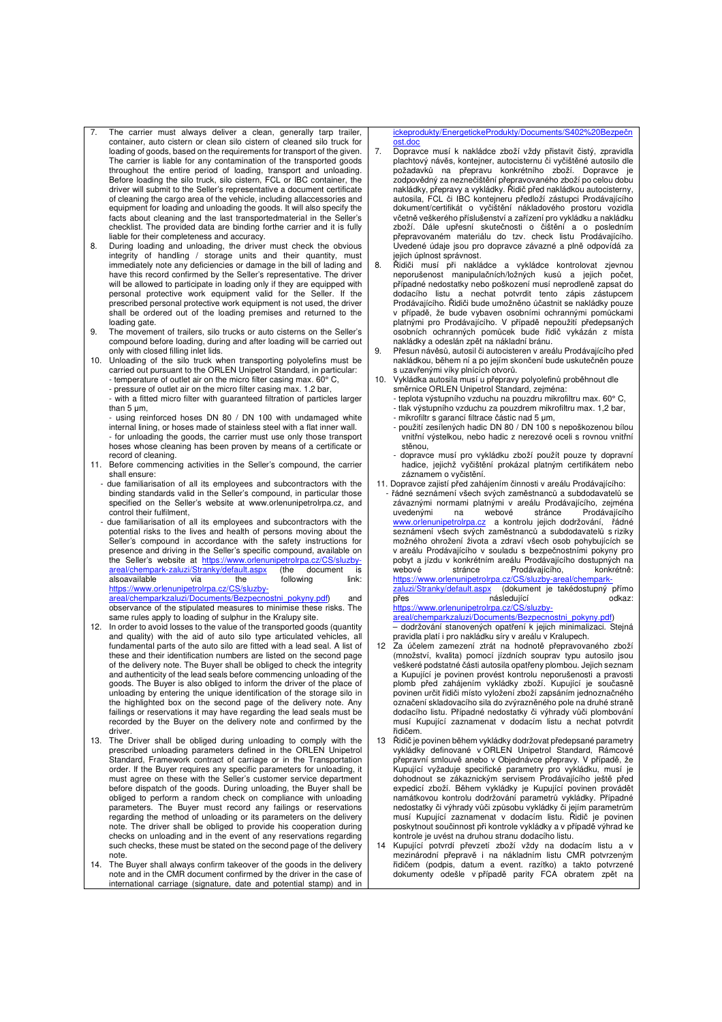- 7. The carrier must always deliver a clean, generally tarp trailer, container, auto cistern or clean silo cistern of cleaned silo truck for loading of goods, based on the requirements for transport of the given. The carrier is liable for any contamination of the transported goods throughout the entire period of loading, transport and unloading. Before loading the silo truck, silo cistern, FCL or IBC container, the driver will submit to the Seller's representative a document certificate of cleaning the cargo area of the vehicle, including allaccessories and equipment for loading and unloading the goods. It will also specify the facts about cleaning and the last transportedmaterial in the Seller's checklist. The provided data are binding forthe carrier and it is fully liable for their completeness and accuracy.
- 8. During loading and unloading, the driver must check the obvious integrity of handling / storage units and their quantity, must immediately note any deficiencies or damage in the bill of lading and have this record confirmed by the Seller's representative. The driver will be allowed to participate in loading only if they are equipped with personal protective work equipment valid for the Seller. If the prescribed personal protective work equipment is not used, the driver shall be ordered out of the loading premises and returned to the loading gate.
- 9. The movement of trailers, silo trucks or auto cisterns on the Seller's compound before loading, during and after loading will be carried out only with closed filling inlet lids.
- 10. Unloading of the silo truck when transporting polyolefins must be carried out pursuant to the ORLEN Unipetrol Standard, in particular: - temperature of outlet air on the micro filter casing max. 60° C,
	- pressure of outlet air on the micro filter casing max. 1.2 bar,
	- with a fitted micro filter with guaranteed filtration of particles larger than 5 μm,
	- using reinforced hoses DN 80 / DN 100 with undamaged white internal lining, or hoses made of stainless steel with a flat inner wall. - for unloading the goods, the carrier must use only those transport hoses whose cleaning has been proven by means of a certificate or record of cleaning.
- 11. Before commencing activities in the Seller's compound, the carrier shall ensure:
- due familiarisation of all its employees and subcontractors with the binding standards valid in the Seller's compound, in particular those specified on the Seller's website at www.orlenunipetrolrpa.cz, and control their fulfilment,
- due familiarisation of all its employees and subcontractors with the potential risks to the lives and health of persons moving about the Seller's compound in accordance with the safety instructions for presence and driving in the Seller's specific compound, available on the Seller's website at <u>https://www.orlenunipetrolrpa.cz/CS/sluzby-</u><br>areal/chempark-zaluzi/Stranky/default.aspx (the document is alsoavailable via the following link: https://www.orlenunipetrolrpa.cz/CS/sluzby-

areal/chemparkzaluzi/Documents/Bezpecnostni\_pokyny.pdf) observance of the stipulated measures to minimise these risks. The same rules apply to loading of sulphur in the Kralupy site.

- 12. In order to avoid losses to the value of the transported goods (quantity and quality) with the aid of auto silo type articulated vehicles, all fundamental parts of the auto silo are fitted with a lead seal. A list of these and their identification numbers are listed on the second page of the delivery note. The Buyer shall be obliged to check the integrity and authenticity of the lead seals before commencing unloading of the goods. The Buyer is also obliged to inform the driver of the place of unloading by entering the unique identification of the storage silo in the highlighted box on the second page of the delivery note. Any failings or reservations it may have regarding the lead seals must be recorded by the Buyer on the delivery note and confirmed by the driver. 13. The Driver shall be obliged during unloading to comply with the
- prescribed unloading parameters defined in the ORLEN Unipetrol Standard, Framework contract of carriage or in the Transportation order. If the Buyer requires any specific parameters for unloading, it must agree on these with the Seller's customer service department before dispatch of the goods. During unloading, the Buyer shall be obliged to perform a random check on compliance with unloading parameters. The Buyer must record any failings or reservations regarding the method of unloading or its parameters on the delivery note. The driver shall be obliged to provide his cooperation during checks on unloading and in the event of any reservations regarding such checks, these must be stated on the second page of the delivery note.
- 14. The Buyer shall always confirm takeover of the goods in the delivery note and in the CMR document confirmed by the driver in the case of international carriage (signature, date and potential stamp) and in

ickeprodukty/EnergetickeProdukty/Documents/S402%20Bezpečn ost.doc

- 7. Dopravce musí k nakládce zboží vždy přistavit čistý, zpravidla plachtový návěs, kontejner, autocisternu či vyčištěné autosilo dle požadavků na přepravu konkrétního zboží. Dopravce je zodpovědný za neznečištění přepravovaného zboží po celou dobu nakládky, přepravy a vykládky. Řidič před nakládkou autocisterny, autosila, FCL či IBC kontejneru předloží zástupci Prodávajícího dokument/certifikát o vyčištění nákladového prostoru vozidla včetně veškerého příslušenství a zařízení pro vykládku a nakládku zboží. Dále upřesní skutečnosti o čištění a o posledním přepravovaném materiálu do tzv. check listu Prodávajícího. Uvedené údaje jsou pro dopravce závazné a plně odpovídá za jejich úplnost správnost.
- 8. Řidiči musí při nakládce a vykládce kontrolovat zjevnou neporušenost manipulačních/ložných kusů a jejich počet, případné nedostatky nebo poškození musí neprodleně zapsat do dodacího listu a nechat potvrdit tento zápis zástupcem Prodávajícího. Řidiči bude umožněno účastnit se nakládky pouze v případě, že bude vybaven osobními ochrannými pomůckami platnými pro Prodávajícího. V případě nepoužití předepsaných osobních ochranných pomůcek bude řidič vykázán z místa nakládky a odeslán zpět na nákladní bránu.
- 9. Přesun návěsů, autosil či autocisteren v areálu Prodávajícího před nakládkou, během ní a po jejím skončení bude uskutečněn pouze s uzavřenými víky plnících otvorů.
- 10. Vykládka autosila musí u přepravy polyolefinů proběhnout dle směrnice ORLEN Unipetrol Standard, zejména:
	- teplota výstupního vzduchu na pouzdru mikrofiltru max. 60° C,
	- tlak výstupního vzduchu za pouzdrem mikrofiltru max. 1,2 bar,
	-
	- mikrofiltr s garancí filtrace částic nad 5 μm, použití zesílených hadic DN 80 / DN 100 s nepoškozenou bílou vnitřní výstelkou, nebo hadic z nerezové oceli s rovnou vnitřní stěnou,
	- dopravce musí pro vykládku zboží použít pouze ty dopravní hadice, jejichž vyčištění prokázal platným certifikátem nebo záznamem o vyčistění.
- 11. Dopravce zajistí před zahájením činnosti v areálu Prodávajícího:
- řádné seznámení všech svých zaměstnanců a subdodavatelů se závaznými normami platnými v areálu Prodávajícího, zejména uvedenými na webové stránce Prodávajícího<br><u>www.orlenunipetrolrpa.cz</u> a kontrolu jejich dodržování, řádné seznámení všech svých zaměstnanců a subdodavatelů s riziky možného ohrožení života a zdraví všech osob pohybujících se v areálu Prodávajícího v souladu s bezpečnostními pokyny pro pobyt a jízdu v konkrétním areálu Prodávajícího dostupných na webové stránce Prodávajícího, konkrétně: https://www.orlenunipetrolrpa.cz/CS/sluzby-areal/chem

zaluzi/Stranky/default.aspx (dokument je takédostupný přímo přes následující odkaz: https://www.orlenunipetrolrpa.cz/CS/sluzby-

areal/chemparkzaluzi/Documents/Bezpecnostni\_pokyny.pdf)

 – dodržování stanovených opatření k jejich minimalizaci. Stejná pravidla platí i pro nakládku síry v areálu v Kralupech.

- 12 Za účelem zamezení ztrát na hodnotě přepravovaného zboží (množství, kvalita) pomocí jízdních souprav typu autosilo jsou veškeré podstatné části autosila opatřeny plombou. Jejich seznam a Kupující je povinen provést kontrolu neporušenosti a pravosti plomb před zahájením vykládky zboží. Kupující je současně povinen určit řidiči místo vyložení zboží zapsáním jednoznačného označení skladovacího sila do zvýrazněného pole na druhé straně dodacího listu. Případné nedostatky či výhrady vůči plombování musí Kupující zaznamenat v dodacím listu a nechat potvrdit řidičem.
- 13 Řidič je povinen během vykládky dodržovat předepsané parametry vykládky definované v ORLEN Unipetrol Standard, Rámcové přepravní smlouvě anebo v Objednávce přepravy. V případě, že Kupující vyžaduje specifické parametry pro vykládku, musí je dohodnout se zákaznickým servisem Prodávajícího ještě před expedicí zboží. Během vykládky je Kupující povinen provádět namátkovou kontrolu dodržování parametrů vykládky. Případné nedostatky či výhrady vůči způsobu vykládky či jejím parametrům musí Kupující zaznamenat v dodacím listu. Řidič je povinen poskytnout součinnost při kontrole vykládky a v případě výhrad ke
- kontrole je uvést na druhou stranu dodacího listu. 14 Kupující potvrdí převzetí zboží vždy na dodacím listu a v mezinárodní přepravě i na nákladním listu CMR potvrzeným řidičem (podpis, datum a event. razítko) a takto potvrzené dokumenty odešle v případě parity FCA obratem zpět na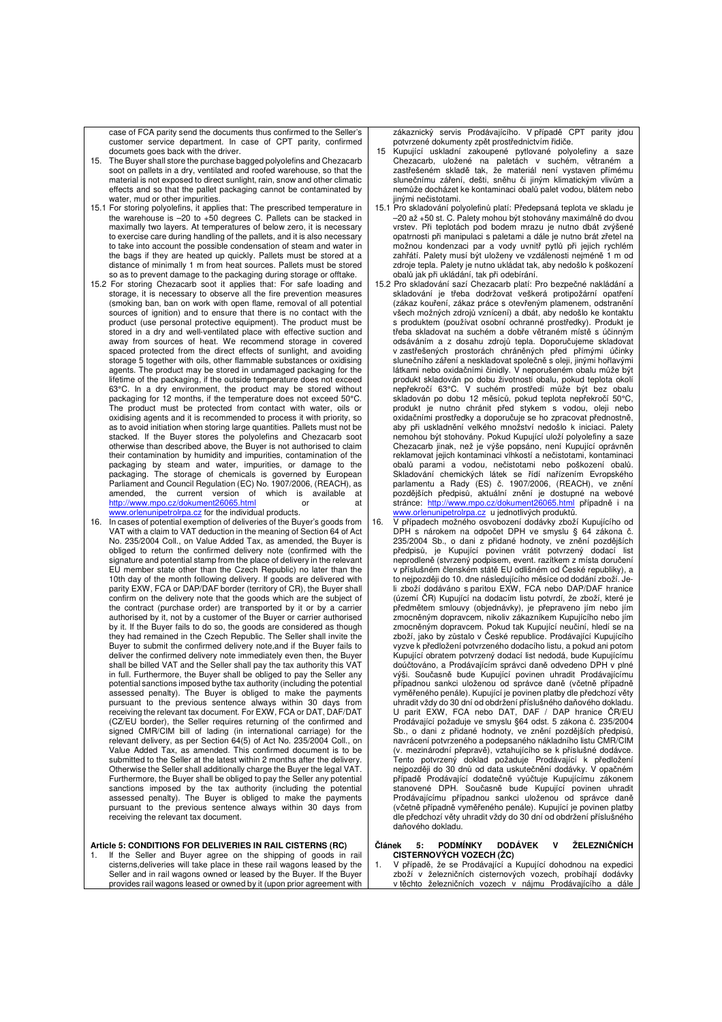case of FCA parity send the documents thus confirmed to the Seller's customer service department. In case of CPT parity, confirmed documets goes back with the driver.

- 15. The Buyer shall store the purchase bagged polyolefins and Chezacarb soot on pallets in a dry, ventilated and roofed warehouse, so that the material is not exposed to direct sunlight, rain, snow and other climatic effects and so that the pallet packaging cannot be contaminated by water, mud or other impurities.
- 15.1 For storing polyolefins, it applies that: The prescribed temperature in the warehouse is –20 to +50 degrees C. Pallets can be stacked in maximally two layers. At temperatures of below zero, it is necessary to exercise care during handling of the pallets, and it is also necessary to take into account the possible condensation of steam and water in the bags if they are heated up quickly. Pallets must be stored at a distance of minimally 1 m from heat sources. Pallets must be stored so as to prevent damage to the packaging during storage or offtake.
- 15.2 For storing Chezacarb soot it applies that: For safe loading and storage, it is necessary to observe all the fire prevention measures (smoking ban, ban on work with open flame, removal of all potential sources of ignition) and to ensure that there is no contact with the product (use personal protective equipment). The product must be stored in a dry and well-ventilated place with effective suction and away from sources of heat. We recommend storage in covered spaced protected from the direct effects of sunlight, and avoiding storage 5 together with oils, other flammable substances or oxidising agents. The product may be stored in undamaged packaging for the lifetime of the packaging, if the outside temperature does not exceed 63°C. In a dry environment, the product may be stored without packaging for 12 months, if the temperature does not exceed 50°C. The product must be protected from contact with water, oils or oxidising agents and it is recommended to process it with priority, so as to avoid initiation when storing large quantities. Pallets must not be stacked. If the Buyer stores the polyolefins and Chezacarb soot otherwise than described above, the Buyer is not authorised to claim their contamination by humidity and impurities, contamination of the packaging by steam and water, impurities, or damage to the packaging. The storage of chemicals is governed by European Parliament and Council Regulation (EC) No. 1907/2006, (REACH), as amended, the current version of which is available at  $\frac{http://www.mno.cz/dokument26065.html}{http://www.mno.cz/dokument26065.html}$  or http://www.mpo.cz/dokument26065.html or at www.orlenunipetrolrpa.cz for the individual products.
- 16. In cases of potential exemption of deliveries of the Buyer's goods from VAT with a claim to VAT deduction in the meaning of Section 64 of Act No. 235/2004 Coll., on Value Added Tax, as amended, the Buyer is obliged to return the confirmed delivery note (confirmed with the signature and potential stamp from the place of delivery in the relevant EU member state other than the Czech Republic) no later than the 10th day of the month following delivery. If goods are delivered with parity EXW, FCA or DAP/DAF border (territory of CR), the Buyer shall confirm on the delivery note that the goods which are the subject of the contract (purchase order) are transported by it or by a carrier authorised by it, not by a customer of the Buyer or carrier authorised by it. If the Buyer fails to do so, the goods are considered as though they had remained in the Czech Republic. The Seller shall invite the Buyer to submit the confirmed delivery note,and if the Buyer fails to deliver the confirmed delivery note immediately even then, the Buyer shall be billed VAT and the Seller shall pay the tax authority this VAT in full. Furthermore, the Buyer shall be obliged to pay the Seller any potential sanctions imposed bythe tax authority (including the potential assessed penalty). The Buyer is obliged to make the payments pursuant to the previous sentence always within 30 days from receiving the relevant tax document. For EXW, FCA or DAT, DAF/DAT (CZ/EU border), the Seller requires returning of the confirmed and signed CMR/CIM bill of lading (in international carriage) for the relevant delivery, as per Section 64(5) of Act No. 235/2004 Coll., on Value Added Tax, as amended. This confirmed document is to be submitted to the Seller at the latest within 2 months after the delivery. Otherwise the Seller shall additionally charge the Buyer the legal VAT. Furthermore, the Buyer shall be obliged to pay the Seller any potential sanctions imposed by the tax authority (including the potential assessed penalty). The Buyer is obliged to make the payments pursuant to the previous sentence always within 30 days from receiving the relevant tax document.

#### **Article 5: CONDITIONS FOR DELIVERIES IN RAIL CISTERNS (RC)**

If the Seller and Buyer agree on the shipping of goods in rail cisterns,deliveries will take place in these rail wagons leased by the Seller and in rail wagons owned or leased by the Buyer. If the Buyer provides rail wagons leased or owned by it (upon prior agreement with

zákaznický servis Prodávajícího. V případě CPT parity jdou potvrzené dokumenty zpět prostřednictvím řidiče.

- 15 Kupující uskladní zakoupené pytlované polyolefiny a saze Chezacarb, uložené na paletách v suchém, větraném a zastřešeném skladě tak, že materiál není vystaven přímému slunečnímu záření, dešti, sněhu či jiným klimatickým vlivům a nemůže docházet ke kontaminaci obalů palet vodou, blátem nebo jinými nečistotami.
- 15.1 Pro skladování polyolefinů platí: Předepsaná teplota ve skladu je –20 až +50 st. C. Palety mohou být stohovány maximálně do dvou vrstev. Při teplotách pod bodem mrazu je nutno dbát zvýšené opatrnosti při manipulaci s paletami a dále je nutno brát zřetel na možnou kondenzaci par a vody uvnitř pytlů při jejich rychlém zahřátí. Palety musí být uloženy ve vzdálenosti nejméně 1 m od zdroje tepla. Palety je nutno ukládat tak, aby nedošlo k poškození obalů jak při ukládání, tak při odebírání.
- 15.2 Pro skladování sazí Chezacarb platí: Pro bezpečné nakládání a skladování je třeba dodržovat veškerá protipožární opatření (zákaz kouření, zákaz práce s otevřeným plamenem, odstranění všech možných zdrojů vznícení) a dbát, aby nedošlo ke kontaktu s produktem (používat osobní ochranné prostředky). Produkt je třeba skladovat na suchém a dobře větraném místě s účinným odsáváním a z dosahu zdrojů tepla. Doporučujeme skladovat v zastřešených prostorách chráněných před přímými účinky slunečního záření a neskladovat společně s oleji, jinými hořlavými látkami nebo oxidačními činidly. V neporušeném obalu může být produkt skladován po dobu životnosti obalu, pokud teplota okolí nepřekročí 63°C. V suchém prostředí může být bez obalu skladován po dobu 12 měsíců, pokud teplota nepřekročí 50°C, produkt je nutno chránit před stykem s vodou, oleji nebo oxidačními prostředky a doporučuje se ho zpracovat přednostně, aby při uskladnění velkého množství nedošlo k iniciaci. Palety nemohou být stohovány. Pokud Kupující uloží polyolefiny a saze Chezacarb jinak, než je výše popsáno, není Kupující oprávněn reklamovat jejich kontaminaci vlhkostí a nečistotami, kontaminaci obalů parami a vodou, nečistotami nebo poškození obalů. Skladování chemických látek se řídí nařízením Evropského parlamentu a Rady (ES) č. 1907/2006, (REACH), ve znění pozdějších předpisů, aktuální znění je dostupné na webové<br>stránce: http://www.mpo.cz/dokument26065.html případně i na stránce: http://www.mpo.cz/dokument. www.orlenunipetrolrpa.cz u jednotlivých produktů.<br>16. V případech možného osvobození dodávky zboží Kupujícího od
- DPH s nárokem na odpočet DPH ve smyslu § 64 zákona č. 235/2004 Sb., o dani z přidané hodnoty, ve znění pozdějších předpisů, je Kupující povinen vrátit potvrzený dodací list neprodleně (stvrzený podpisem, event. razítkem z místa doručení v příslušném členském státě EU odlišném od České republiky), a to nejpozději do 10. dne následujícího měsíce od dodání zboží. Jeli zboží dodáváno s paritou EXW, FCA nebo DAP/DAF hranice (území ČR) Kupující na dodacím listu potvrdí, že zboží, které je předmětem smlouvy (objednávky), je přepraveno jím nebo jím zmocněným dopravcem, nikoliv zákazníkem Kupujícího nebo jím zmocněným dopravcem. Pokud tak Kupující neučiní, hledí se na zboží, jako by zůstalo v České republice. Prodávající Kupujícího vyzve k předložení potvrzeného dodacího listu, a pokud ani potom Kupující obratem potvrzený dodací list nedodá, bude Kupujícímu doúčtováno, a Prodávajícím správci daně odvedeno DPH v plné výši. Současně bude Kupující povinen uhradit Prodávajícímu případnou sankci uloženou od správce daně (včetně případně vyměřeného penále). Kupující je povinen platby dle předchozí věty uhradit vždy do 30 dní od obdržení příslušného daňového dokladu. U parit EXW, FCA nebo DAT, DAF / DAP hranice ČR/EU Prodávající požaduje ve smyslu §64 odst. 5 zákona č. 235/2004 Sb., o dani z přidané hodnoty, ve znění pozdějších předpisů, navrácení potvrzeného a podepsaného nákladního listu CMR/CIM (v. mezinárodní přepravě), vztahujícího se k příslušné dodávce. Tento potvrzený doklad požaduje Prodávající k předložení nejpozději do 30 dnů od data uskutečnění dodávky. V opačném případě Prodávající dodatečně vyúčtuje Kupujícímu zákonem stanovené DPH. Současně bude Kupující povinen uhradit Prodávajícímu případnou sankci uloženou od správce daně (včetně případně vyměřeného penále). Kupující je povinen platby dle předchozí věty uhradit vždy do 30 dní od obdržení příslušného daňového dokladu.

#### **Článek 5: PODMÍNKY DODÁVEK V ŽELEZNIČNÍCH CISTERNOVÝCH VOZECH (ŽC)**

1. V případě, že se Prodávající a Kupující dohodnou na expedici zboží v železničních cisternových vozech, probíhají dodávky v těchto železničních vozech v nájmu Prodávajícího a dále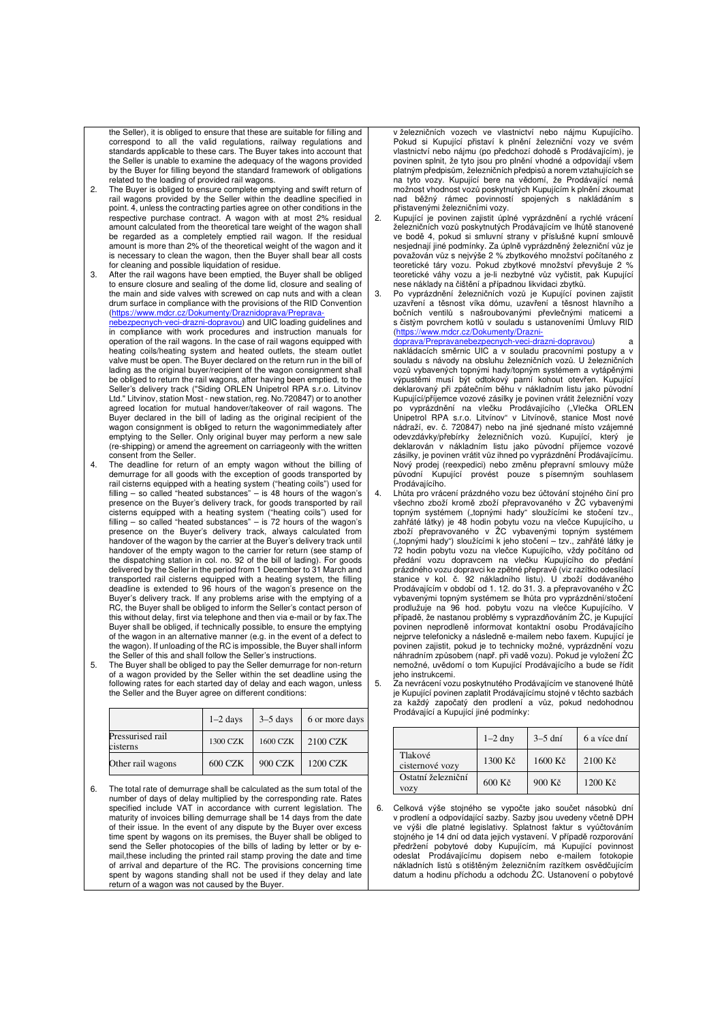the Seller), it is obliged to ensure that these are suitable for filling and correspond to all the valid regulations, railway regulations and standards applicable to these cars. The Buyer takes into account that the Seller is unable to examine the adequacy of the wagons provided by the Buyer for filling beyond the standard framework of obligations related to the loading of provided rail wagons.

- 2. The Buyer is obliged to ensure complete emptying and swift return of rail wagons provided by the Seller within the deadline specified in point. 4, unless the contracting parties agree on other conditions in the respective purchase contract. A wagon with at most 2% residual amount calculated from the theoretical tare weight of the wagon shall be regarded as a completely emptied rail wagon. If the residual amount is more than 2% of the theoretical weight of the wagon and it is necessary to clean the wagon, then the Buyer shall bear all costs for cleaning and possible liquidation of residue.
- 3. After the rail wagons have been emptied, the Buyer shall be obliged to ensure closure and sealing of the dome lid, closure and sealing of the main and side valves with screwed on cap nuts and with a clean drum surface in compliance with the provisions of the RID Convention (https://www.mdcr.cz/Dokumenty/Dr nebezpecnych-veci-drazni-dopravou) and UIC loading guidelines and

in compliance with work procedures and instruction manuals for operation of the rail wagons. In the case of rail wagons equipped with heating coils/heating system and heated outlets, the steam outlet valve must be open. The Buyer declared on the return run in the bill of lading as the original buyer/recipient of the wagon consignment shall be obliged to return the rail wagons, after having been emptied, to the Seller's delivery track ("Siding ORLEN Unipetrol RPA s.r.o. Litvinov Ltd." Litvinov, station Most - new station, reg. No.720847) or to another agreed location for mutual handover/takeover of rail wagons. The Buyer declared in the bill of lading as the original recipient of the wagon consignment is obliged to return the wagonimmediately after emptying to the Seller. Only original buyer may perform a new sale (re-shipping) or amend the agreement on carriageonly with the written consent from the Seller.

- 4. The deadline for return of an empty wagon without the billing of demurrage for all goods with the exception of goods transported by rail cisterns equipped with a heating system ("heating coils") used for filling – so called "heated substances" – is  $48$  hours of the wagon's presence on the Buyer's delivery track, for goods transported by rail cisterns equipped with a heating system ("heating coils") used for filling – so called "heated substances" – is 72 hours of the wagon's presence on the Buyer's delivery track, always calculated from handover of the wagon by the carrier at the Buyer's delivery track until handover of the empty wagon to the carrier for return (see stamp of the dispatching station in col. no. 92 of the bill of lading). For goods delivered by the Seller in the period from 1 December to 31 March and transported rail cisterns equipped with a heating system, the filling deadline is extended to 96 hours of the wagon's presence on the Buyer's delivery track. If any problems arise with the emptying of a RC, the Buyer shall be obliged to inform the Seller's contact person of this without delay, first via telephone and then via e-mail or by fax.The Buyer shall be obliged, if technically possible, to ensure the emptying of the wagon in an alternative manner (e.g. in the event of a defect to the wagon). If unloading of the RC is impossible, the Buyer shall inform the Seller of this and shall follow the Seller's instructions.
- 5. The Buyer shall be obliged to pay the Seller demurrage for non-return of a wagon provided by the Seller within the set deadline using the following rates for each started day of delay and each wagon, unless the Seller and the Buyer agree on different conditions:

|                              | $1-2$ days     | $3-5$ days | 6 or more days |
|------------------------------|----------------|------------|----------------|
| Pressurised rail<br>cisterns | 1300 CZK       | 1600 CZK   | 2100 CZK       |
| Other rail wagons            | <b>600 CZK</b> | 900 CZK    | 1200 CZK       |

6. The total rate of demurrage shall be calculated as the sum total of the number of days of delay multiplied by the corresponding rate. Rates specified include VAT in accordance with current legislation. The maturity of invoices billing demurrage shall be 14 days from the date of their issue. In the event of any dispute by the Buyer over excess time spent by wagons on its premises, the Buyer shall be obliged to send the Seller photocopies of the bills of lading by letter or by email,these including the printed rail stamp proving the date and time of arrival and departure of the RC. The provisions concerning time spent by wagons standing shall not be used if they delay and late return of a wagon was not caused by the Buyer.

v železničních vozech ve vlastnictví nebo nájmu Kupujícího. Pokud si Kupující přistaví k plnění železniční vozy ve svém vlastnictví nebo nájmu (po předchozí dohodě s Prodávajícím), je povinen splnit, že tyto jsou pro plnění vhodné a odpovídají všem platným předpisům, železničních předpisů a norem vztahujících se na tyto vozy. Kupující bere na vědomí, že Prodávající nemá možnost vhodnost vozů poskytnutých Kupujícím k plnění zkoumat nad běžný rámec povinností spojených s nakládáním s přistavenými železničními vozy.

- 2. Kupující je povinen zajistit úplné vyprázdnění a rychlé vrácení železničních vozů poskytnutých Prodávajícím ve lhůtě stanovené ve bodě 4, pokud si smluvní strany v příslušné kupní smlouvě nesjednají jiné podmínky. Za úplně vyprázdněný železniční vůz je považován vůz s nejvýše 2 % zbytkového množství počítaného z teoretické táry vozu. Pokud zbytkové množství převyšuje 2 % teoretické váhy vozu a je-li nezbytné vůz vyčistit, pak Kupující nese náklady na čištění a případnou likvidaci zbytků.
- 3. Po vyprázdnění železničních vozů je Kupující povinen zajistit uzavření a těsnost víka dómu, uzavření a těsnost hlavního a bočních ventilů s našroubovanými převlečnými maticemi s čistým povrchem kotlů v souladu s ustanoveními Úmluvy RID (https://www.mdcr.cz/Dokumenty/Drazni
	- doprava/Prepravanebezpecnych-veci-drazni-dopravou) a nakládacích směrnic UIC a v souladu pracovními postupy a v souladu s návody na obsluhu železničních vozů. U železničních vozů vybavených topnými hady/topným systémem a vytápěnými výpustěmi musí být odtokový parní kohout otevřen. Kupující deklarovaný při zpátečním běhu v nákladním listu jako původní Kupující/příjemce vozové zásilky je povinen vrátit železniční vozy po vyprázdnění na vlečku Prodávajícího ("Vlečka ORLEN<br>Unipetrol RPA s.r.o. Litvínov" v Litvínově, stanice Most nové<br>nádraží, ev. č. 720847) nebo na jiné sjednané místo vzájemné odevzdávky/přebírky železničních vozů. Kupující, který je deklarován v nákladním listu jako původní příjemce vozové zásilky, je povinen vrátit vůz ihned po vyprázdnění Prodávajícímu. Nový prodej (reexpedici) nebo změnu přepravní smlouvy může původní Kupující provést pouze s písemným souhlasem Prodávajícího.
- 4. Lhůta pro vrácení prázdného vozu bez účtování stojného činí pro všechno zboží kromě zboží přepravovaného v ŽC vybavenými topným systémem ("topnými hady" sloužícími ke stočení tzv.,<br>zahřáté látky) je 48 hodin pobytu vozu na vlečce Kupujícího, u<br>zboží přepravovaného v ŽC vybavenými topným systémem ("topnými hady") sloužícími k jeho stočení – tzv., zahřáté látky je 72 hodin pobytu vozu na vlečce Kupujícího, vždy počítáno od předání vozu dopravcem na vlečku Kupujícího do předání prázdného vozu dopravci ke zpětné přepravě (viz razítko odesílací stanice v kol. č. 92 nákladního listu). U zboží dodávaného Prodávajícím v období od 1. 12. do 31. 3. a přepravovaného v ŽC vybavenými topným systémem se lhůta pro vyprázdnění/stočení prodlužuje na 96 hod. pobytu vozu na vlečce Kupujícího. V případě, že nastanou problémy s vyprazdňováním ŽC, je Kupující povinen neprodleně informovat kontaktní osobu Prodávajícího nejprve telefonicky a následně e-mailem nebo faxem. Kupující je povinen zajistit, pokud je to technicky možné, vyprázdnění vozu náhradním způsobem (např. při vadě vozu). Pokud je vyložení ŽC nemožné, uvědomí o tom Kupující Prodávajícího a bude se řídit jeho instrukcemi.
- 5. Za nevrácení vozu poskytnutého Prodávajícím ve stanovené lhůtě je Kupující povinen zaplatit Prodávajícímu stojné v těchto sazbách za každý započatý den prodlení a vůz, pokud nedohodnou Prodávající a Kupující jiné podmínky:

|                                   | $1-2$ dny       | $3-5$ dní | 6 a více dní |
|-----------------------------------|-----------------|-----------|--------------|
| Tlakové<br>cisternové vozy        | 1300 Kč         | 1600 Kč   | $2100$ Kč    |
| Ostatní železniční<br><b>VOZV</b> | $600K\check{c}$ | 900 Kč    | 1200 Kč      |

6. Celková výše stojného se vypočte jako součet násobků dní v prodlení a odpovídající sazby. Sazby jsou uvedeny včetně DPH ve výši dle platné legislativy. Splatnost faktur s vyúčtováním stojného je 14 dní od data jejich vystavení. V případě rozporování předržení pobytové doby Kupujícím, má Kupující povinnost<br>odeslat Prodávajícímu dopisem nebo e-mailem fotokopie<br>nákladních listů s otištěným železničním razítkem osvědčujícím datum a hodinu příchodu a odchodu ŽC. Ustanovení o pobytové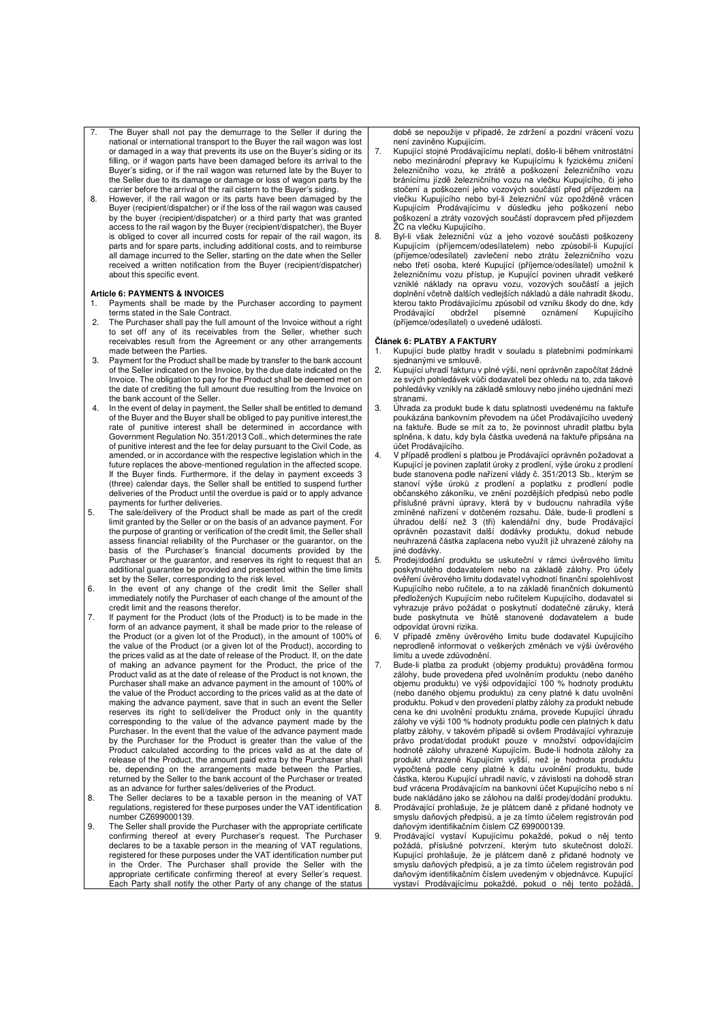- The Buyer shall not pay the demurrage to the Seller if during the national or international transport to the Buyer the rail wagon was lost or damaged in a way that prevents its use on the Buyer's siding or its filling, or if wagon parts have been damaged before its arrival to the Buyer's siding, or if the rail wagon was returned late by the Buyer to the Seller due to its damage or damage or loss of wagon parts by the carrier before the arrival of the rail cistern to the Buyer's siding.
- 8. However, if the rail wagon or its parts have been damaged by the Buyer (recipient/dispatcher) or if the loss of the rail wagon was caused by the buyer (recipient/dispatcher) or a third party that was granted access to the rail wagon by the Buyer (recipient/dispatcher), the Buyer is obliged to cover all incurred costs for repair of the rail wagon, its parts and for spare parts, including additional costs, and to reimburse all damage incurred to the Seller, starting on the date when the Seller received a written notification from the Buyer (recipient/dispatcher) about this specific event.

### **Article 6: PAYMENTS & INVOICES**

- 1. Payments shall be made by the Purchaser according to payment terms stated in the Sale Contract.
- 2. The Purchaser shall pay the full amount of the Invoice without a right to set off any of its receivables from the Seller, whether such receivables result from the Agreement or any other arrangements made between the Parties.
- 3. Payment for the Product shall be made by transfer to the bank account of the Seller indicated on the Invoice, by the due date indicated on the Invoice. The obligation to pay for the Product shall be deemed met on the date of crediting the full amount due resulting from the Invoice on the bank account of the Seller.
- 4. In the event of delay in payment, the Seller shall be entitled to demand of the Buyer and the Buyer shall be obliged to pay punitive interest,the rate of punitive interest shall be determined in accordance with Government Regulation No. 351/2013 Coll., which determines the rate of punitive interest and the fee for delay pursuant to the Civil Code, as amended, or in accordance with the respective legislation which in the future replaces the above-mentioned regulation in the affected scope. If the Buyer finds. Furthermore, if the delay in payment exceeds 3 (three) calendar days, the Seller shall be entitled to suspend further deliveries of the Product until the overdue is paid or to apply advance payments for further deliveries.
- 5. The sale/delivery of the Product shall be made as part of the credit limit granted by the Seller or on the basis of an advance payment. For the purpose of granting or verification of the credit limit, the Seller shall assess financial reliability of the Purchaser or the guarantor, on the basis of the Purchaser's financial documents provided by the Purchaser or the guarantor, and reserves its right to request that an additional guarantee be provided and presented within the time limits set by the Seller, corresponding to the risk level.
- 6. In the event of any change of the credit limit the Seller shall immediately notify the Purchaser of each change of the amount of the credit limit and the reasons therefor.
- 7. If payment for the Product (lots of the Product) is to be made in the form of an advance payment, it shall be made prior to the release of the Product (or a given lot of the Product), in the amount of 100% of the value of the Product (or a given lot of the Product), according to the prices valid as at the date of release of the Product. If, on the date of making an advance payment for the Product, the price of the Product valid as at the date of release of the Product is not known, the Purchaser shall make an advance payment in the amount of 100% of the value of the Product according to the prices valid as at the date of making the advance payment, save that in such an event the Seller reserves its right to sell/deliver the Product only in the quantity corresponding to the value of the advance payment made by the Purchaser. In the event that the value of the advance payment made by the Purchaser for the Product is greater than the value of the Product calculated according to the prices valid as at the date of release of the Product, the amount paid extra by the Purchaser shall be, depending on the arrangements made between the Parties, returned by the Seller to the bank account of the Purchaser or treated as an advance for further sales/deliveries of the Product.
- 8. The Seller declares to be a taxable person in the meaning of VAT regulations, registered for these purposes under the VAT identification number CZ699000139.
- 9. The Seller shall provide the Purchaser with the appropriate certificate confirming thereof at every Purchaser's request. The Purchaser declares to be a taxable person in the meaning of VAT regulations, registered for these purposes under the VAT identification number put in the Order. The Purchaser shall provide the Seller with the appropriate certificate confirming thereof at every Seller's request. Each Party shall notify the other Party of any change of the status

době se nepoužije v případě, že zdržení a pozdní vrácení vozu není zaviněno Kupujícím.

- 7. Kupující stojné Prodávajícímu neplatí, došlo-li během vnitrostátní nebo mezinárodní přepravy ke Kupujícímu k fyzickému zničení železničního vozu, ke ztrátě a poškození železničního vozu bránícímu jízdě železničního vozu na vlečku Kupujícího, či jeho stočení a poškození jeho vozových součástí před příjezdem na vlečku Kupujícího nebo byl-li železniční vůz opožděně vrácen Kupujícím Prodávajícímu v důsledku jeho poškození nebo poškození a ztráty vozových součástí dopravcem před příjezdem ŽC na vlečku Kupujícího.
- 8. Byl-li však železniční vůz a jeho vozové součásti poškozeny Kupujícím (příjemcem/odesílatelem) nebo způsobil-li Kupující (příjemce/odesílatel) zavlečení nebo ztrátu železničního vozu nebo třetí osoba, které Kupující (příjemce/odesílatel) umožnil k železničnímu vozu přístup, je Kupující povinen uhradit veškeré vzniklé náklady na opravu vozu, vozových součástí a jejich doplnění včetně dalších vedlejších nákladů a dále nahradit škodu, kterou takto Prodávajícímu způsobil od vzniku škody do dne, kdy<br>Prodávající obdržel písemné oznámení Kupujícího Prodávající obdržel písemné (příjemce/odesílatel) o uvedené události.

#### **Článek 6: PLATBY A FAKTURY**

- 1. Kupující bude platby hradit v souladu s platebními podmínkami sjednanými ve smlouvě.
- 2. Kupující uhradí fakturu v plné výši, není oprávněn započítat žádné ze svých pohledávek vůči dodavateli bez ohledu na to, zda takové pohledávky vznikly na základě smlouvy nebo jiného ujednání mezi .<br>stranami
- 3. Úhrada za produkt bude k datu splatnosti uvedenému na faktuře poukázána bankovním převodem na účet Prodávajícího uvedený na faktuře. Bude se mít za to, že povinnost uhradit platbu byla splněna, k datu, kdy byla částka uvedená na faktuře připsána na účet Prodávajícího.
- 4. V případě prodlení s platbou je Prodávající oprávněn požadovat a Kupující je povinen zaplatit úroky z prodlení, výše úroku z prodlení bude stanovena podle nařízení vlády č. 351/2013 Sb., kterým se stanoví výše úroků z prodlení a poplatku z prodlení podle občanského zákoníku, ve znění pozdějších předpisů nebo podle příslušné právní úpravy, která by v budoucnu nahradila výše zmíněné nařízení v dotčeném rozsahu. Dále, bude-li prodlení s úhradou delší než 3 (tři) kalendářní dny, bude Prodávající oprávněn pozastavit další dodávky produktu, dokud nebude neuhrazená částka zaplacena nebo využít již uhrazené zálohy na jiné dodávky.
- 5. Prodej/dodání produktu se uskuteční v rámci úvěrového limitu poskytnutého dodavatelem nebo na základě zálohy. Pro účely ověření úvěrového limitu dodavatel vyhodnotí finanční spolehlivost Kupujícího nebo ručitele, a to na základě finančních dokumentů předložených Kupujícím nebo ručitelem Kupujícího, dodavatel si vyhrazuje právo požádat o poskytnutí dodatečné záruky, která bude poskytnuta ve lhůtě stanovené dodavatelem a bude odpovídat úrovni rizika.
- 6. V případě změny úvěrového limitu bude dodavatel Kupujícího neprodleně informovat o veškerých změnách ve výši úvěrového limitu a uvede zdůvodnění.
- Bude-li platba za produkt (objemy produktu) prováděna formou zálohy, bude provedena před uvolněním produktu (nebo daného objemu produktu) ve výši odpovídající 100 % hodnoty produktu (nebo daného objemu produktu) za ceny platné k datu uvolnění produktu. Pokud v den provedení platby zálohy za produkt nebude cena ke dni uvolnění produktu známa, provede Kupující úhradu zálohy ve výši 100 % hodnoty produktu podle cen platných k datu platby zálohy, v takovém případě si ovšem Prodávající vyhrazuje právo prodat/dodat produkt pouze v množství odpovídajícím hodnotě zálohy uhrazené Kupujícím. Bude-li hodnota zálohy za produkt uhrazené Kupujícím vyšší, než je hodnota produktu vypočtená podle ceny platné k datu uvolnění produktu, bude částka, kterou Kupující uhradil navíc, v závislosti na dohodě stran buď vrácena Prodávajícím na bankovní účet Kupujícího nebo s ní bude nakládáno jako se zálohou na další prodej/dodání produktu. 8. Prodávající prohlašuje, že je plátcem daně z přidané hodnoty ve smyslu daňových předpisů, a je za tímto účelem registrován pod
- daňovým identifikačním číslem CZ 699000139. 9. Prodávající vystaví Kupujícímu pokaždé, pokud o něj tento požádá, příslušné potvrzení, kterým tuto skutečnost doloží. Kupující prohlašuje, že je plátcem daně z přidané hodnoty ve smyslu daňových předpisů, a je za tímto účelem registrován pod daňovým identifikačním číslem uvedeným v objednávce. Kupující

vystaví Prodávajícímu pokaždé, pokud o něj tento požádá,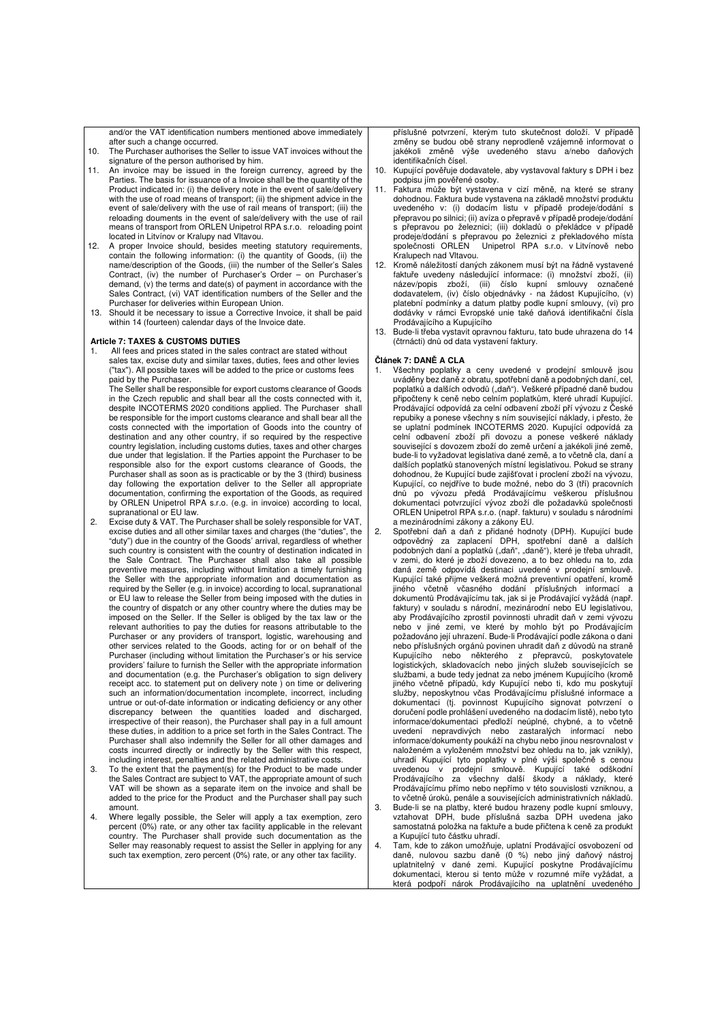and/or the VAT identification numbers mentioned above immediately after such a change occurred.

- 10. The Purchaser authorises the Seller to issue VAT invoices without the signature of the person authorised by him.
- 11. An invoice may be issued in the foreign currency, agreed by the Parties. The basis for issuance of a Invoice shall be the quantity of the Product indicated in: (i) the delivery note in the event of sale/delivery with the use of road means of transport: (ii) the shipment advice in the event of sale/delivery with the use of rail means of transport; (iii) the reloading douments in the event of sale/delivery with the use of rail means of transport from ORLEN Unipetrol RPA s.r.o. reloading point located in Litvínov or Kralupy nad Vltavou.
- 12. A proper Invoice should, besides meeting statutory requirements, contain the following information: (i) the quantity of Goods, (ii) the name/description of the Goods, (iii) the number of the Seller's Sales Contract, (iv) the number of Purchaser's Order – on Purchaser's demand, (v) the terms and date(s) of payment in accordance with the Sales Contract, (vi) VAT identification numbers of the Seller and the Purchaser for deliveries within European Union.
- 13. Should it be necessary to issue a Corrective Invoice, it shall be paid within 14 (fourteen) calendar days of the Invoice date.

### **Article 7: TAXES & CUSTOMS DUTIES**

All fees and prices stated in the sales contract are stated without sales tax, excise duty and similar taxes, duties, fees and other levies ("tax"). All possible taxes will be added to the price or customs fees paid by the Purchaser.

The Seller shall be responsible for export customs clearance of Goods in the Czech republic and shall bear all the costs connected with it, despite INCOTERMS 2020 conditions applied. The Purchaser shall be responsible for the import customs clearance and shall bear all the costs connected with the importation of Goods into the country of destination and any other country, if so required by the respective country legislation, including customs duties, taxes and other charges due under that legislation. If the Parties appoint the Purchaser to be responsible also for the export customs clearance of Goods, the Purchaser shall as soon as is practicable or by the 3 (third) business day following the exportation deliver to the Seller all appropriate documentation, confirming the exportation of the Goods, as required by ORLEN Unipetrol RPA s.r.o. (e.g. in invoice) according to local,

- supranational or EU law. 2. Excise duty & VAT. The Purchaser shall be solely responsible for VAT, excise duties and all other similar taxes and charges (the "duties", the "duty") due in the country of the Goods' arrival, regardless of whether such country is consistent with the country of destination indicated in the Sale Contract. The Purchaser shall also take all possible preventive measures, including without limitation a timely furnishing the Seller with the appropriate information and documentation as required by the Seller (e.g. in invoice) according to local, supranational or EU law to release the Seller from being imposed with the duties in the country of dispatch or any other country where the duties may be imposed on the Seller. If the Seller is obliged by the tax law or the relevant authorities to pay the duties for reasons attributable to the Purchaser or any providers of transport, logistic, warehousing and other services related to the Goods, acting for or on behalf of the Purchaser (including without limitation the Purchaser's or his service providers' failure to furnish the Seller with the appropriate information and documentation (e.g. the Purchaser's obligation to sign delivery receipt acc. to statement put on delivery note ) on time or delivering such an information/documentation incomplete, incorrect, including untrue or out-of-date information or indicating deficiency or any other discrepancy between the quantities loaded and discharged, irrespective of their reason), the Purchaser shall pay in a full amount these duties, in addition to a price set forth in the Sales Contract. The Purchaser shall also indemnify the Seller for all other damages and costs incurred directly or indirectly by the Seller with this respect, including interest, penalties and the related administrative costs.
- 3. To the extent that the payment(s) for the Product to be made under the Sales Contract are subject to VAT, the appropriate amount of such VAT will be shown as a separate item on the invoice and shall be added to the price for the Product and the Purchaser shall pay such amount.
- 4. Where legally possible, the Seler will apply a tax exemption, zero percent (0%) rate, or any other tax facility applicable in the relevant country. The Purchaser shall provide such documentation as the Seller may reasonably request to assist the Seller in applying for any such tax exemption, zero percent (0%) rate, or any other tax facility.

příslušné potvrzení, kterým tuto skutečnost doloží. V případě změny se budou obě strany neprodleně vzájemně informovat o jakékoli změně výše uvedeného stavu a/nebo daňových identifikačních čísel.

- 10. Kupující pověřuje dodavatele, aby vystavoval faktury s DPH i bez podpisu jím pověřené osoby.
- 11. Faktura může být vystavena v cizí měně, na které se strany dohodnou. Faktura bude vystavena na základě množství produktu uvedeného v: (i) dodacím listu v případě prodeje/dodání s přepravou po silnici; (ii) avíza o přepravě v případě prodeje/dodání s přepravou po železnici; (iii) dokladů o překládce v případě prodeje/dodání s přepravou po železnici z překladového místa společnosti ORLEN Unipetrol RPA s.r.o. v Litvínově nebo Kralupech nad Vltavou.
- 12. Kromě náležitostí daných zákonem musí být na řádně vystavené faktuře uvedeny následující informace: (i) množství zboží, (ii) název/popis zboží, (iii) číslo kupní smlouvy označené dodavatelem, (iv) číslo objednávky - na žádost Kupujícího, (v) platební podmínky a datum platby podle kupní smlouvy, (vi) pro dodávky v rámci Evropské unie také daňová identifikační čísla Prodávajícího a Kupujícího
- 13. Bude-li třeba vystavit opravnou fakturu, tato bude uhrazena do 14 (čtrnácti) dnů od data vystavení faktury.

#### **Článek 7: DANĚ A CLA**

- 1. Všechny poplatky a ceny uvedené v prodejní smlouvě jsou uváděny bez daně z obratu, spotřební daně a podobných daní, cel, poplatků a dalších odvodů ("daň"). Veškeré případné daně budou připočteny k ceně nebo celním poplatkům, které uhradí Kupující. Prodávající odpovídá za celní odbavení zboží pří vývozu z České repubiky a ponese všechny s ním související náklady, i přesto, že se uplatní podmínek INCOTERMS 2020. Kupující odpovídá za celní odbavení zboží při dovozu a ponese veškeré náklady související s dovozem zboží do země určení a jakékoli jiné země, bude-li to vyžadovat legislativa dané země, a to včetně cla, daní a dalších poplatků stanovených místní legislativou. Pokud se strany dohodnou, že Kupující bude zajišťovat i proclení zboží na vývozu, Kupující, co nejdříve to bude možné, nebo do 3 (tří) pracovních dnů po vývozu předá Prodávajícímu veškerou příslušnou dokumentaci potvrzující vývoz zboží dle požadavků společnosti ORLEN Unipetrol RPA s.r.o. (např. fakturu) v souladu s národními a mezinárodními zákony a zákony EU.
- 2. Spotřební daň a daň z přidané hodnoty (DPH). Kupující bude odpovědný za zaplacení DPH, spotřební daně a dalších podobných daní a poplatků ("daň", "daně"), které je třeba uhradit, v zemi, do které je zboží dovezeno, a to bez ohledu na to, zda daná země odpovídá destinaci uvedené v prodejní smlouvě. Kupující také přijme veškerá možná preventivní opatření, kromě jiného včetně včasného dodání příslušných informací a dokumentů Prodávajícímu tak, jak si je Prodávající vyžádá (např. faktury) v souladu s národní, mezinárodní nebo EU legislativou, aby Prodávajícího zprostil povinnosti uhradit daň v zemi vývozu nebo v jiné zemi, ve které by mohlo být po Prodávajícím požadováno její uhrazení. Bude-li Prodávající podle zákona o dani nebo příslušných orgánů povinen uhradit daň z důvodů na straně Kupujícího nebo některého z přepravců, poskytovatele<br>logistických, skladovacích nebo jiných služeb-souvisejících-se službami, a bude tedy jednat za nebo jménem Kupujícího (kromě jiného včetně případů, kdy Kupující nebo ti, kdo mu poskytují služby, neposkytnou včas Prodávajícímu příslušné informace a dokumentaci (tj. povinnost Kupujícího signovat potvrzení o doručení podle prohlášení uvedeného na dodacím listě), nebo tyto informace/dokumentaci předloží neúplné, chybné, a to včetně uvedení nepravdivých nebo zastaralých informací nebo informace/dokumenty poukáží na chybu nebo jinou nesrovnalost v naloženém a vyloženém množství bez ohledu na to, jak vznikly), uhradí Kupující tyto poplatky v plné výši společně s cenou uvedenou v prodejní smlouvě. Kupující také odškodní Prodávajícího za všechny další škody a náklady, které Prodávajícímu přímo nebo nepřímo v této souvislosti vzniknou, a to včetně úroků, penále a souvisejících administrativních nákladů. 10 Veeme uronu, penare a souvrognom animnou antenna super<br>Bude-li se na platby, které budou hrazeny podle kupní smlouvy,<br>vztahovat DPH, bude příslušná sazba DPH uvedena jako vztahovat DPH, bude příslušná sazba DPH uvedena jako samostatná položka na faktuře a bude přičtena k ceně za produkt a Kupující tuto částku uhradí.
- 4. Tam, kde to zákon umožňuje, uplatní Prodávající osvobození od daně, nulovou sazbu daně (0 %) nebo jiný daňový nástroj uplatnitelný v dané zemi. Kupující poskytne Prodávajícímu dokumentaci, kterou si tento může v rozumné míře vyžádat, a která podpoří nárok Prodávajícího na uplatnění uvedeného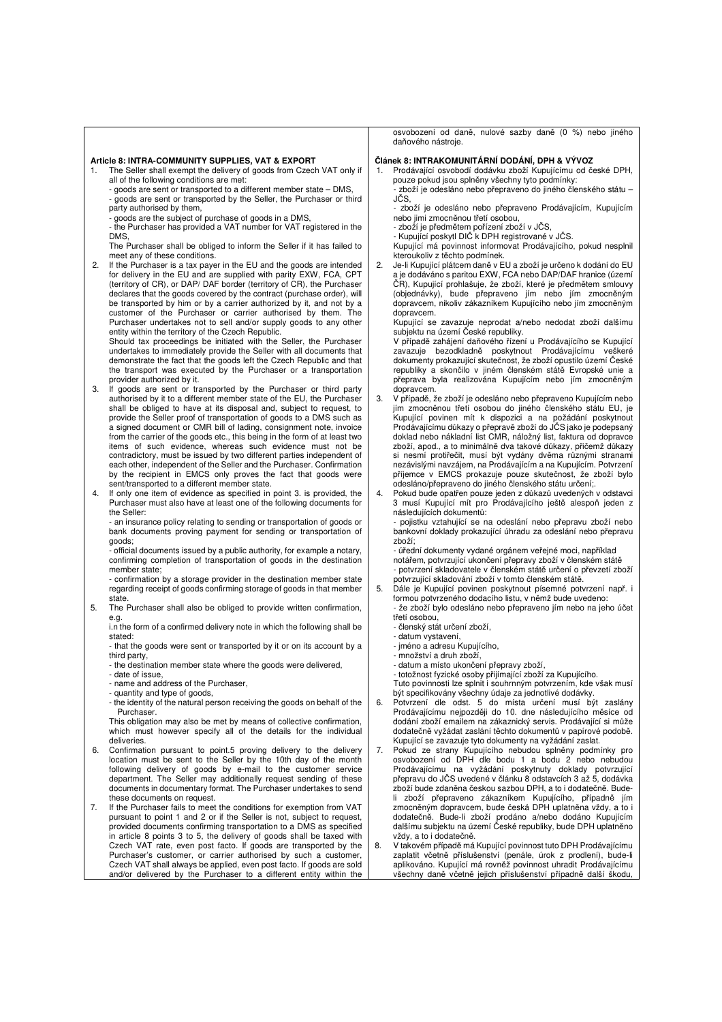#### **Article 8: INTRA-COMMUNITY SUPPLIES, VAT & EXPORT**

- 1. The Seller shall exempt the delivery of goods from Czech VAT only if all of the following conditions are met:
	- goods are sent or transported to a different member state DMS, goods are sent or transported by the Seller, the Purchaser or third party authorised by them,
	- goods are the subject of purchase of goods in a DMS,
	- the Purchaser has provided a VAT number for VAT registered in the DMS,
- The Purchaser shall be obliged to inform the Seller if it has failed to meet any of these conditions.
- 2. If the Purchaser is a tax payer in the EU and the goods are intended for delivery in the EU and are supplied with parity EXW, FCA, CPT (territory of CR), or DAP/ DAF border (territory of CR), the Purchaser declares that the goods covered by the contract (purchase order), will be transported by him or by a carrier authorized by it, and not by a customer of the Purchaser or carrier authorised by them. The Purchaser undertakes not to sell and/or supply goods to any other entity within the territory of the Czech Republic. Should tax proceedings be initiated with the Seller, the Purchaser

undertakes to immediately provide the Seller with all documents that demonstrate the fact that the goods left the Czech Republic and that the transport was executed by the Purchaser or a transportation provider authorized by it.

- 3. If goods are sent or transported by the Purchaser or third party authorised by it to a different member state of the EU, the Purchaser shall be obliged to have at its disposal and, subject to request, to provide the Seller proof of transportation of goods to a DMS such as a signed document or CMR bill of lading, consignment note, invoice from the carrier of the goods etc., this being in the form of at least two items of such evidence, whereas such evidence must not be contradictory, must be issued by two different parties independent of each other, independent of the Seller and the Purchaser. Confirmation by the recipient in EMCS only proves the fact that goods were sent/transported to a different member state.
- 4. If only one item of evidence as specified in point 3. is provided, the Purchaser must also have at least one of the following documents for the Seller:

- an insurance policy relating to sending or transportation of goods or bank documents proving payment for sending or transportation of goods;

- official documents issued by a public authority, for example a notary, confirming completion of transportation of goods in the destination member state;

- confirmation by a storage provider in the destination member state regarding receipt of goods confirming storage of goods in that member state

5. The Purchaser shall also be obliged to provide written confirmation, e.g.

i.n the form of a confirmed delivery note in which the following shall be stated:

- that the goods were sent or transported by it or on its account by a third party, - the destination member state where the goods were delivered,
- 
- date of issue,
- name and address of the Purchaser,
- 

- quantity and type of goods, - the identity of the natural person receiving the goods on behalf of the Purchaser.

This obligation may also be met by means of collective confirmation, which must however specify all of the details for the individual deliveries.

- 6. Confirmation pursuant to point.5 proving delivery to the delivery location must be sent to the Seller by the 10th day of the month following delivery of goods by e-mail to the customer service department. The Seller may additionally request sending of these documents in documentary format. The Purchaser undertakes to send these documents on request.
- 7. If the Purchaser fails to meet the conditions for exemption from VAT pursuant to point 1 and 2 or if the Seller is not, subject to request, provided documents confirming transportation to a DMS as specified in article 8 points 3 to 5, the delivery of goods shall be taxed with Czech VAT rate, even post facto. If goods are transported by the Purchaser's customer, or carrier authorised by such a customer, Czech VAT shall always be applied, even post facto. If goods are sold and/or delivered by the Purchaser to a different entity within the

osvobození od daně, nulové sazby daně (0 %) nebo jiného daňového nástroje.

#### **Článek 8: INTRAKOMUNITÁRNÍ DODÁNÍ, DPH & VÝVOZ**

1. Prodávající osvobodí dodávku zboží Kupujícímu od české DPH, pouze pokud jsou splněny všechny tyto podmínky: - zboží je odesláno nebo přepraveno do jiného členského státu –

JČS, - zboží je odesláno nebo přepraveno Prodávajícím, Kupujícím

- nebo jimi zmocněnou třetí osobou,
- zboží je předmětem pořízení zboží v JČS, Kupující poskytl DIČ k DPH registrované v JČS.

Kupující má povinnost informovat Prodávajícího, pokud nesplnil kteroukoliv z těchto podmínek.

2. Je-li Kupující plátcem daně v EU a zboží je určeno k dodání do EU a je dodáváno s paritou EXW, FCA nebo DAP/DAF hranice (území ČR), Kupující prohlašuje, že zboží, které je předmětem smlouvy (objednávky), bude přepraveno jím nebo jím zmocněným dopravcem, nikoliv zákazníkem Kupujícího nebo jím zmocněným dopravcem.

Kupující se zavazuje neprodat a/nebo nedodat zboží dalšímu subjektu na území České republiky. V případě zahájení daňového řízení u Prodávajícího se Kupující

zavazuje bezodkladně poskytnout Prodávajícímu veškeré dokumenty prokazující skutečnost, že zboží opustilo území České republiky a skončilo v jiném členském státě Evropské unie a přeprava byla realizována Kupujícím nebo jím zmocněným dopravcem.

- 3. V případě, že zboží je odesláno nebo přepraveno Kupujícím nebo jím zmocněnou třetí osobou do jiného členského státu EU, je Kupující povinen mít k dispozici a na požádání poskytnout Prodávajícímu důkazy o přepravě zboží do JČS jako je podepsaný doklad nebo nákladní list CMR, náložný list, faktura od dopravce zboží, apod., a to minimálně dva takové důkazy, přičemž důkazy si nesmí protiřečit, musí být vydány dvěma různými stranami nezávislými navzájem, na Prodávajícím a na Kupujícím. Potvrzení příjemce v EMCS prokazuje pouze skutečnost, že zboží bylo odesláno/přepraveno do jiného členského státu určení;.
- 4. Pokud bude opatřen pouze jeden z důkazů uvedených v odstavci 3 musí Kupující mít pro Prodávajícího ještě alespoň jeden z následujících dokumentů:

- pojistku vztahující se na odeslání nebo přepravu zboží nebo bankovní doklady prokazující úhradu za odeslání nebo přepravu zboží;

- úřední dokumenty vydané orgánem veřejné moci, například notářem, potvrzující ukončení přepravy zboží v členském státě - potvrzení skladovatele v členském státě určení o převzetí zboží potvrzující skladování zboží v tomto členském státě.

5. Dále je Kupující povinen poskytnout písemné potvrzení např. i formou potvrzeného dodacího listu, v němž bude uvedeno: - že zboží bylo odesláno nebo přepraveno jím nebo na jeho účet třetí osobou,

- členský stát určení zboží,
- datum vystavení,
- jméno a adresu Kupujícího,
- množství a druh zboží,
- datum a místo ukončení přepravy zboží,

- totožnost fyzické osoby přijímající zboží za Kupujícího.

Tuto povinnosti lze splnit i souhrnným potvrzením, kde však musí

- být specifikovány všechny údaje za jednotlivé dodávky. 6. Potvrzení dle odst. 5 do místa určení musí být zaslány Prodávajícímu nejpozději do 10. dne následujícího měsíce od dodání zboží emailem na zákaznický servis. Prodávající si může dodatečně vyžádat zaslání těchto dokumentů v papírové podobě. Kupující se zavazuje tyto dokumenty na vyžádání zaslat.
- 7. Pokud ze strany Kupujícího nebudou splněny podmínky pro osvobození od DPH dle bodu 1 a bodu 2 nebo nebudou Prodávajícímu na vyžádání poskytnuty doklady potvrzující přepravu do JČS uvedené v článku 8 odstavcích 3 až 5, dodávka zboží bude zdaněna českou sazbou DPH, a to i dodatečně. Budeli zboží přepraveno zákazníkem Kupujícího, případně jím zmocněným dopravcem, bude česká DPH uplatněna vždy, a to i dodatečně. Bude-li zboží prodáno a/nebo dodáno Kupujícím dalšímu subjektu na území České republiky, bude DPH uplatněno vždy, a to i dodatečně.
- 8. V takovém případě má Kupující povinnost tuto DPH Prodávajícímu zaplatit včetně příslušenství (penále, úrok z prodlení), bude-li aplikováno. Kupující má rovněž povinnost uhradit Prodávajícímu všechny daně včetně jejich příslušenství případně další škodu,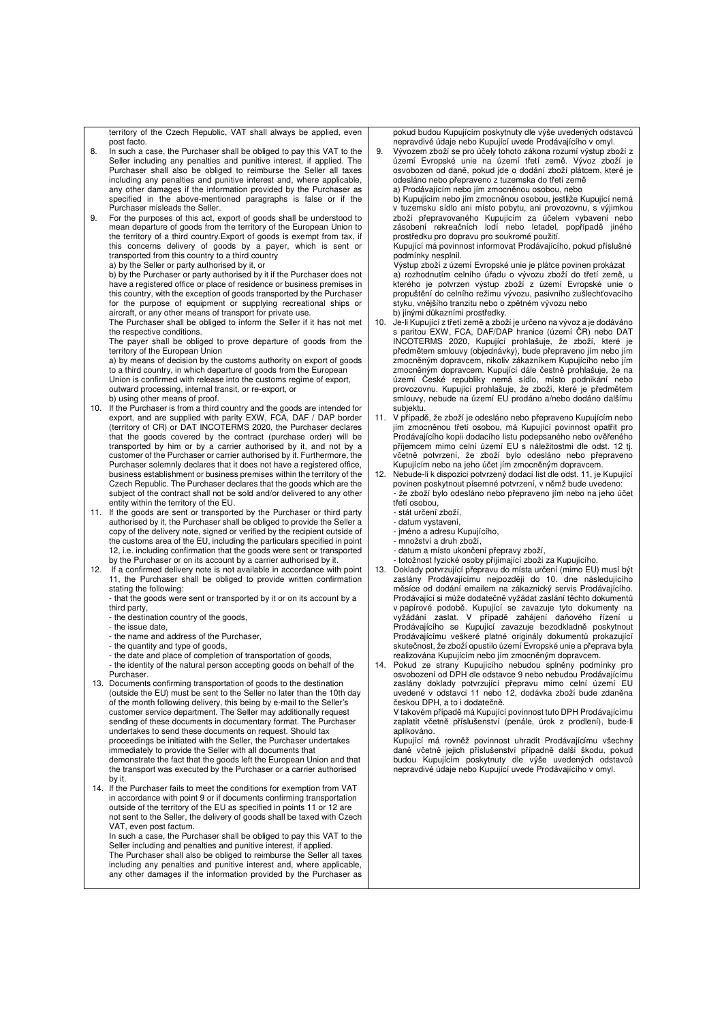territory of the Czech Republic, VAT shall always be applied, even post facto.

- 8. In such a case, the Purchaser shall be obliged to pay this VAT to the Seller including any penalties and punitive interest, if applied. The Purchaser shall also be obliged to reimburse the Seller all taxes including any penalties and punitive interest and, where applicable, any other damages if the information provided by the Purchaser as specified in the above-mentioned paragraphs is false or if the Purchaser misleads the Seller.
- 9. For the purposes of this act, export of goods shall be understood to mean departure of goods from the territory of the European Union to the territory of a third country.Export of goods is exempt from tax, if this concerns delivery of goods by a payer, which is sent or transported from this country to a third country a) by the Seller or party authorised by it, or

b) by the Purchaser or party authorised by it if the Purchaser does not have a registered office or place of residence or business premises in this country, with the exception of goods transported by the Purchaser for the purpose of equipment or supplying recreational ships or aircraft, or any other means of transport for private use.

The Purchaser shall be obliged to inform the Seller if it has not met the respective conditions.

The payer shall be obliged to prove departure of goods from the territory of the European Union

a) by means of decision by the customs authority on export of goods to a third country, in which departure of goods from the European Union is confirmed with release into the customs regime of export outward processing, internal transit, or re-export, or b) using other means of proof.

- 10. If the Purchaser is from a third country and the goods are intended for export, and are supplied with parity EXW, FCA, DAF / DAP border (territory of CR) or DAT INCOTERMS 2020, the Purchaser declares that the goods covered by the contract (purchase order) will be transported by him or by a carrier authorised by it, and not by a customer of the Purchaser or carrier authorised by it. Furthermore, the Purchaser solemnly declares that it does not have a registered office, business establishment or business premises within the territory of the Czech Republic. The Purchaser declares that the goods which are the subject of the contract shall not be sold and/or delivered to any other entity within the territory of the EU.
- 11. If the goods are sent or transported by the Purchaser or third party authorised by it, the Purchaser shall be obliged to provide the Seller a copy of the delivery note, signed or verified by the recipient outside of the customs area of the EU, including the particulars specified in point 12, i.e. including confirmation that the goods were sent or transported
- by the Purchaser or on its account by a carrier authorised by it. 12. If a confirmed delivery note is not available in accordance with point 11, the Purchaser shall be obliged to provide written confirmation stating the following:

that the goods were sent or transported by it or on its account by a third party,

- the destination country of the goods,
- the issue date, - the name and address of the Purchaser,
- the quantity and type of goods,
- the date and place of completion of transportation of goods,
- the identity of the natural person accepting goods on behalf of the Purchaser.
- 13. Documents confirming transportation of goods to the destination (outside the EU) must be sent to the Seller no later than the 10th day of the month following delivery, this being by e-mail to the Seller's customer service department. The Seller may additionally request sending of these documents in documentary format. The Purchaser undertakes to send these documents on request. Should tax proceedings be initiated with the Seller, the Purchaser undertakes immediately to provide the Seller with all documents that demonstrate the fact that the goods left the European Union and that the transport was executed by the Purchaser or a carrier authorised by it.
- 14. If the Purchaser fails to meet the conditions for exemption from VAT in accordance with point 9 or if documents confirming transportation outside of the territory of the EU as specified in points 11 or 12 are not sent to the Seller, the delivery of goods shall be taxed with Czech VAT, even post factum.

In such a case, the Purchaser shall be obliged to pay this VAT to the Seller including and penalties and punitive interest, if applied. The Purchaser shall also be obliged to reimburse the Seller all taxes including any penalties and punitive interest and, where applicable, any other damages if the information provided by the Purchaser as

pokud budou Kupujícím poskytnuty dle výše uvedených odstavců

nepravdivé údaje nebo Kupující uvede Prodávajícího v omyl. 9. Vývozem zboží se pro účely tohoto zákona rozumí výstup zboží z území Evropské unie na území třetí země. Vývoz zboží je osvobozen od daně, pokud jde o dodání zboží plátcem, které je odesláno nebo přepraveno z tuzemska do třetí země a) Prodávajícím nebo jím zmocněnou osobou, nebo b) Kupujícím nebo jím zmocněnou osobou, jestliže Kupující nemá v tuzemsku sídlo ani místo pobytu, ani provozovnu, s výjimkou

zboží přepravovaného Kupujícím za účelem vybavení nebo zásobení rekreačních lodí nebo letadel, popřípadě jiného prostředku pro dopravu pro soukromé použití.

Kupující má povinnost informovat Prodávajícího, pokud příslušné podmínky nesplnil.

Výstup zboží z území Evropské unie je plátce povinen prokázat a) rozhodnutím celního úřadu o vývozu zboží do třetí země, u kterého je potvrzen výstup zboží z území Evropské unie o propuštění do celního režimu vývozu, pasivního zušlechťovacího styku, vnějšího tranzitu nebo o zpětném vývozu nebo b) jinými důkazními prostředky.

- 10. Je-li Kupující z třetí země a zboží je určeno na vývoz a je dodáváno s paritou EXW, FCA, DAF/DAP hranice (území ČR) nebo DAT INCOTERMS 2020, Kupující prohlašuje, že zboží, které je předmětem smlouvy (objednávky), bude přepraveno jím nebo jím zmocněným dopravcem, nikoliv zákazníkem Kupujícího nebo jím zmocněným dopravcem. Kupující dále čestně prohlašuje, že na území České republiky nemá sídlo, místo podnikání nebo provozovnu. Kupující prohlašuje, že zboží, které je předmětem smlouvy, nebude na území EU prodáno a/nebo dodáno dalšímu subiektu.
- 11. V případě, že zboží je odesláno nebo přepraveno Kupujícím nebo jím zmocněnou třetí osobou, má Kupující povinnost opatřit pro Prodávajícího kopii dodacího listu podepsaného nebo ověřeného příjemcem mimo celní území EU s náležitostmi dle odst. 12 tj. včetně potvrzení, že zboží bylo odesláno nebo přepraveno Kupujícím nebo na jeho účet jím zmocněným dopravcem.
- 12. Nebude-li k dispozici potvrzený dodací list dle odst. 11, je Kupující povinen poskytnout písemné potvrzení, v němž bude uvedeno: že zboží bylo odesláno nebo přepraveno jím nebo na jeho účet třetí osobou,
	- stát určení zboží,
	- datum vystavení,
	- jméno a adresu Kupujícího,
	- množství a druh zboží,
	- datum a místo ukončení přepravy zboží,
- totožnost fyzické osoby přijímající zboží za Kupujícího. 13. Doklady potvrzující přepravu do místa určení (mimo EU) musí být zaslány Prodávajícímu nejpozději do 10. dne následujícího měsíce od dodání emailem na zákaznický servis Prodávajícího. Prodávající si může dodatečně vyžádat zaslání těchto dokumentů v papírové podobě. Kupující se zavazuje tyto dokumenty na vyžádání zaslat. V případě zahájení daňového řízení u Prodávajícího se Kupující zavazuje bezodkladně poskytnout Prodávajícímu veškeré platné originály dokumentů prokazující skutečnost, že zboží opustilo území Evropské unie a přeprava byla realizována Kupujícím nebo jím zmocněným dopravcem.

14. Pokud ze strany Kupujícího nebudou splněny podmínky pro osvobození od DPH dle odstavce 9 nebo nebudou Prodávajícímu zaslány doklady potvrzující přepravu mimo celní území EU uvedené v odstavci 11 nebo 12, dodávka zboží bude zdaněna českou DPH, a to i dodatečně.

V takovém případě má Kupující povinnost tuto DPH Prodávajícímu zaplatit včetně příslušenství (penále, úrok z prodlení), bude-li aplikováno.

Kupující má rovněž povinnost uhradit Prodávajícímu všechny daně včetně jejich příslušenství případně další škodu, pokud budou Kupujícím poskytnuty dle výše uvedených odstavců nepravdivé údaje nebo Kupující uvede Prodávajícího v omyl.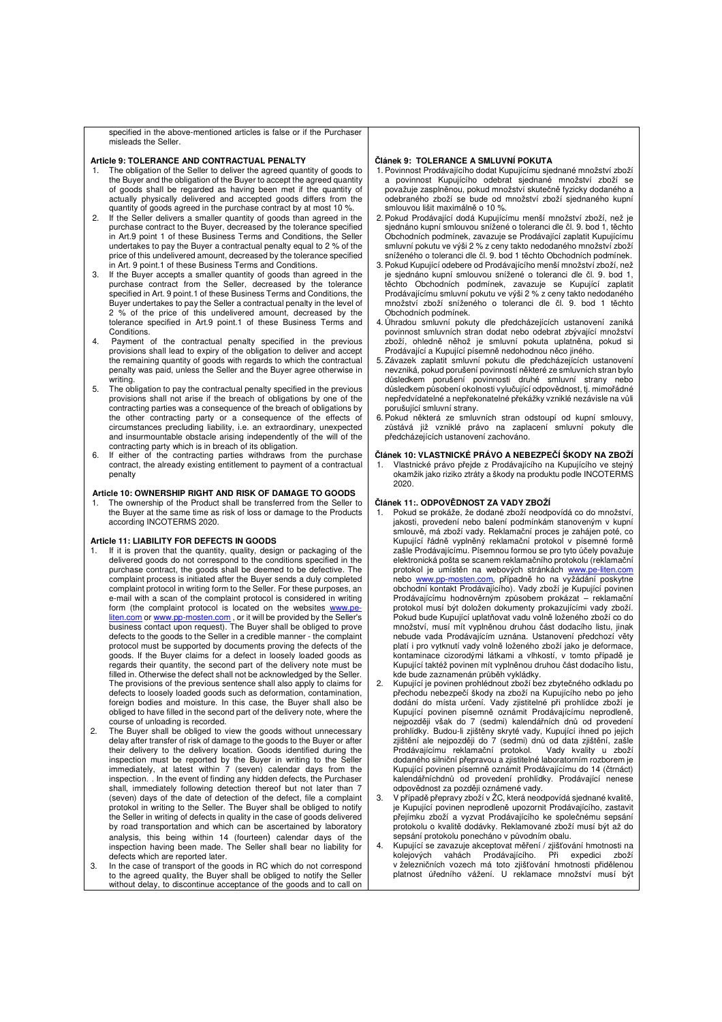specified in the above-mentioned articles is false or if the Purchaser misleads the Seller.

#### **Article 9: TOLERANCE AND CONTRACTUAL PENALTY**

- 1. The obligation of the Seller to deliver the agreed quantity of goods to the Buyer and the obligation of the Buyer to accept the agreed quantity of goods shall be regarded as having been met if the quantity of actually physically delivered and accepted goods differs from the quantity of goods agreed in the purchase contract by at most 10 %.
- 2. If the Seller delivers a smaller quantity of goods than agreed in the purchase contract to the Buyer, decreased by the tolerance specified in Art.9 point 1 of these Business Terms and Conditions, the Seller undertakes to pay the Buyer a contractual penalty equal to 2 % of the price of this undelivered amount, decreased by the tolerance specified in Art. 9 point.1 of these Business Terms and Conditions.
- 3. If the Buyer accepts a smaller quantity of goods than agreed in the purchase contract from the Seller, decreased by the tolerance specified in Art. 9 point.1 of these Business Terms and Conditions, the Buyer undertakes to pay the Seller a contractual penalty in the level of 2 % of the price of this undelivered amount, decreased by the % of the price of this undelivered amount, decreased by the tolerance specified in Art.9 point.1 of these Business Terms and Conditions.
- 4. Payment of the contractual penalty specified in the previous provisions shall lead to expiry of the obligation to deliver and accept the remaining quantity of goods with regards to which the contractual penalty was paid, unless the Seller and the Buyer agree otherwise in writing.
- 5. The obligation to pay the contractual penalty specified in the previous provisions shall not arise if the breach of obligations by one of the contracting parties was a consequence of the breach of obligations by the other contracting party or a consequence of the effects of circumstances precluding liability, i.e. an extraordinary, unexpected and insurmountable obstacle arising independently of the will of the contracting party which is in breach of its obligation.
- 6. If either of the contracting parties withdraws from the purchase contract, the already existing entitlement to payment of a contractual penalty

### **Article 10: OWNERSHIP RIGHT AND RISK OF DAMAGE TO GOODS**

The ownership of the Product shall be transferred from the Seller to the Buyer at the same time as risk of loss or damage to the Products according INCOTERMS 2020.

#### **Article 11: LIABILITY FOR DEFECTS IN GOODS**

- 1. If it is proven that the quantity, quality, design or packaging of the delivered goods do not correspond to the conditions specified in the purchase contract, the goods shall be deemed to be defective. The complaint process is initiated after the Buyer sends a duly completed complaint protocol in writing form to the Seller. For these purposes, an e-mail with a scan of the complaint protocol is considered in writing form (the complaint protocol is located on the websites www.p liten.com or www.pp-mosten.com, or it will be provided by the Seller's business contact upon request). The Buyer shall be obliged to prove defects to the goods to the Seller in a credible manner - the complaint protocol must be supported by documents proving the defects of the goods. If the Buyer claims for a defect in loosely loaded goods as regards their quantity, the second part of the delivery note must be filled in. Otherwise the defect shall not be acknowledged by the Seller. The provisions of the previous sentence shall also apply to claims for defects to loosely loaded goods such as deformation, contamination, foreign bodies and moisture. In this case, the Buyer shall also be obliged to have filled in the second part of the delivery note, where the course of unloading is recorded.
- 2. The Buyer shall be obliged to view the goods without unnecessary delay after transfer of risk of damage to the goods to the Buyer or after their delivery to the delivery location. Goods identified during the inspection must be reported by the Buyer in writing to the Seller immediately, at latest within 7 (seven) calendar days from the inspection. . In the event of finding any hidden defects, the Purchaser shall, immediately following detection thereof but not later than 7 (seven) days of the date of detection of the defect, file a complaint protokol in writing to the Seller. The Buyer shall be obliged to notify the Seller in writing of defects in quality in the case of goods delivered by road transportation and which can be ascertained by laboratory analysis, this being within 14 (fourteen) calendar days of the inspection having been made. The Seller shall bear no liability for defects which are reported later.
- 3. In the case of transport of the goods in RC which do not correspond to the agreed quality, the Buyer shall be obliged to notify the Seller without delay, to discontinue acceptance of the goods and to call on

#### **Článek 9: TOLERANCE A SMLUVNÍ POKUTA**

- 1. Povinnost Prodávajícího dodat Kupujícímu sjednané množství zboží a povinnost Kupujícího odebrat sjednané množství zboží se považuje zasplněnou, pokud množství skutečně fyzicky dodaného a odebraného zboží se bude od množství zboží sjednaného kupní smlouvou lišit maximálně o 10 %.
- 2. Pokud Prodávající dodá Kupujícímu menší množství zboží, než je sjednáno kupní smlouvou snížené o toleranci dle čl. 9. bod 1, těchto Obchodních podmínek, zavazuje se Prodávající zaplatit Kupujícímu smluvní pokutu ve výši 2 % z ceny takto nedodaného množství zboží sníženého o toleranci dle čl. 9. bod 1 těchto Obchodních podmínek.
- 3. Pokud Kupující odebere od Prodávajícího menší množství zboží, než je sjednáno kupní smlouvou snížené o toleranci dle čl. 9. bod 1, těchto Obchodních podmínek, zavazuje se Kupující zaplatit Prodávajícímu smluvní pokutu ve výši 2 % z ceny takto nedodaného množství zboží sníženého o toleranci dle čl. 9. bod 1 těchto Obchodních podmínek.
- 4. Úhradou smluvní pokuty dle předcházejících ustanovení zaniká povinnost smluvních stran dodat nebo odebrat zbývající množství zboží, ohledně něhož je smluvní pokuta uplatněna, pokud si Prodávající a Kupující písemně nedohodnou něco jiného.
- 5. Závazek zaplatit smluvní pokutu dle předcházejících ustanovení nevzniká, pokud porušení povinností některé ze smluvních stran bylo důsledkem porušení povinnosti druhé smluvní strany nebo důsledkem působení okolnosti vylučující odpovědnost, tj. mimořádné nepředvídatelné a nepřekonatelné překážky vzniklé nezávisle na vůli porušující smluvní strany.
- 6. Pokud některá ze smluvních stran odstoupí od kupní smlouvy, zůstává již vzniklé právo na zaplacení smluvní pokuty dle předcházejících ustanovení zachováno.

### **Článek 10: VLASTNICKÉ PRÁVO A NEBEZPEČÍ ŠKODY NA ZBOŽÍ**

1. Vlastnické právo přejde z Prodávajícího na Kupujícího ve stejný okamžik jako riziko ztráty a škody na produktu podle INCOTERMS 2020.

#### **Článek 11:. ODPOVĚDNOST ZA VADY ZBOŽÍ**

- Pokud se prokáže, že dodané zboží neodpovídá co do množství, jakosti, provedení nebo balení podmínkám stanoveným v kupní smlouvě, má zboží vady. Reklamační proces je zahájen poté, co Kupující řádně vyplněný reklamační protokol v písemné formě zašle Prodávajícímu. Písemnou formou se pro tyto účely považuje elektronická pošta se scanem reklamačního protokolu (reklamační protokol je umístěn na webových stránkách www.pe-liten.com nebo www.pp-mosten.com, případně ho na vyžádání poskytne obchodní kontakt Prodávajícího). Vady zboží je Kupující povinen Prodávajícímu hodnověrným způsobem prokázat – reklamační protokol musí být doložen dokumenty prokazujícími vady zboží. Pokud bude Kupující uplatňovat vadu volně loženého zboží co do množství, musí mít vyplněnou druhou část dodacího listu, jinak nebude vada Prodávajícím uznána. Ustanovení předchozí věty platí i pro vytknutí vady volně loženého zboží jako je deformace, kontaminace cizorodými látkami a vlhkostí, v tomto případě je Kupující taktéž povinen mít vyplněnou druhou část dodacího listu, kde bude zaznamenán průběh vykládky.
- 2. Kupující je povinen prohlédnout zboží bez zbytečného odkladu po přechodu nebezpečí škody na zboží na Kupujícího nebo po jeho dodání do místa určení. Vady zjistitelné při prohlídce zboží je Kupující povinen písemně oznámit Prodávajícímu neprodleně, nejpozději však do 7 (sedmi) kalendářních dnů od provedení prohlídky. Budou-li zjištěny skryté vady, Kupující ihned po jejich zjištění ale nejpozději do 7 (sedmi) dnů od data zjištění, zašle Prodávajícímu reklamační protokol. Vady kvality u zboží dodaného silniční přepravou a zjistitelné laboratorním rozborem je Kupující povinen písemně oznámit Prodávajícímu do 14 (čtrnáct) kalendářníchdnů od provedení prohlídky. Prodávající nenese
- odpovědnost za později oznámené vady. 3. V případě přepravy zboží v ŽC, která neodpovídá sjednané kvalitě, je Kupující povinen neprodleně upozornit Prodávajícího, zastavit přejímku zboží a vyzvat Prodávajícího ke společnému sepsání protokolu o kvalitě dodávky. Reklamované zboží musí být až do sepsání protokolu ponecháno v původním obalu.
- 4. Kupující se zavazuje akceptovat měření / zjišťování hmotnosti na<br>kolejových vahách Prodávajícího. Při expedici zboží kolejových vahách Prodávajícího. Při expedici v železničních vozech má toto zjišťování hmotnosti přidělenou platnost úředního vážení. U reklamace množství musí být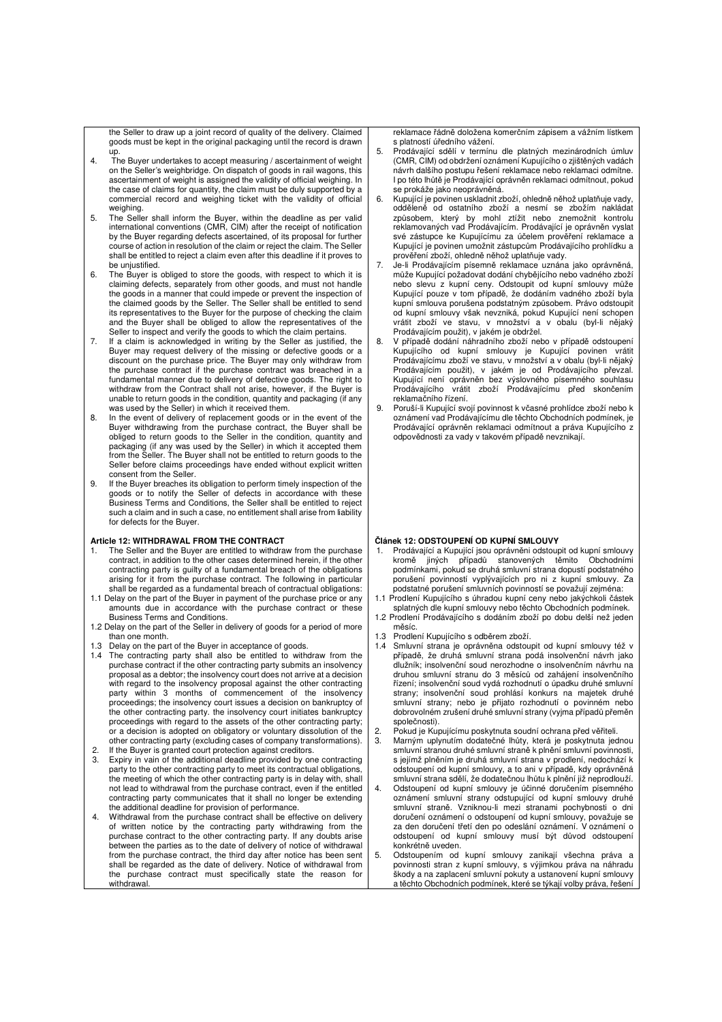the Seller to draw up a joint record of quality of the delivery. Claimed goods must be kept in the original packaging until the record is drawn up.

- 4. The Buyer undertakes to accept measuring / ascertainment of weight on the Seller's weighbridge. On dispatch of goods in rail wagons, this ascertainment of weight is assigned the validity of official weighing. In the case of claims for quantity, the claim must be duly supported by a commercial record and weighing ticket with the validity of official weighing.
- 5. The Seller shall inform the Buyer, within the deadline as per valid international conventions (CMR, CIM) after the receipt of notification by the Buyer regarding defects ascertained, of its proposal for further course of action in resolution of the claim or reject the claim. The Seller shall be entitled to reject a claim even after this deadline if it proves to be uniustified.
- 6. The Buyer is obliged to store the goods, with respect to which it is claiming defects, separately from other goods, and must not handle the goods in a manner that could impede or prevent the inspection of the claimed goods by the Seller. The Seller shall be entitled to send its representatives to the Buyer for the purpose of checking the claim and the Buyer shall be obliged to allow the representatives of the
- Seller to inspect and verify the goods to which the claim pertains. 7. If a claim is acknowledged in writing by the Seller as justified, the Buyer may request delivery of the missing or defective goods or a discount on the purchase price. The Buyer may only withdraw from the purchase contract if the purchase contract was breached in a fundamental manner due to delivery of defective goods. The right to withdraw from the Contract shall not arise, however, if the Buyer is unable to return goods in the condition, quantity and packaging (if any was used by the Seller) in which it received them.
- 8. In the event of delivery of replacement goods or in the event of the Buyer withdrawing from the purchase contract, the Buyer shall be obliged to return goods to the Seller in the condition, quantity and packaging (if any was used by the Seller) in which it accepted them from the Seller. The Buyer shall not be entitled to return goods to the Seller before claims proceedings have ended without explicit written consent from the Seller.
- 9. If the Buyer breaches its obligation to perform timely inspection of the goods or to notify the Seller of defects in accordance with these Business Terms and Conditions, the Seller shall be entitled to reject such a claim and in such a case, no entitlement shall arise from liability for defects for the Buyer.

#### **Article 12: WITHDRAWAL FROM THE CONTRACT**

- 1. The Seller and the Buyer are entitled to withdraw from the purchase contract, in addition to the other cases determined herein, if the other contracting party is guilty of a fundamental breach of the obligations arising for it from the purchase contract. The following in particular shall be regarded as a fundamental breach of contractual obligations:
- 1.1 Delay on the part of the Buyer in payment of the purchase price or any amounts due in accordance with the purchase contract or these Business Terms and Conditions.
- 1.2 Delay on the part of the Seller in delivery of goods for a period of more than one month.
- 
- 1.3 Delay on the part of the Buyer in acceptance of goods. 1.4 The contracting party shall also be entitled to withdraw from the purchase contract if the other contracting party submits an insolvency proposal as a debtor; the insolvency court does not arrive at a decision with regard to the insolvency proposal against the other contracting party within 3 months of commencement of the insolvency proceedings; the insolvency court issues a decision on bankruptcy of the other contracting party. the insolvency court initiates bankruptcy proceedings with regard to the assets of the other contracting party; or a decision is adopted on obligatory or voluntary dissolution of the other contracting party (excluding cases of company transformations). 2. If the Buyer is granted court protection against creditors.
- Expiry in vain of the additional deadline provided by one contracting party to the other contracting party to meet its contractual obligations, the meeting of which the other contracting party is in delay with, shall not lead to withdrawal from the purchase contract, even if the entitled contracting party communicates that it shall no longer be extending the additional deadline for provision of performance.
- 4. Withdrawal from the purchase contract shall be effective on delivery of written notice by the contracting party withdrawing from the purchase contract to the other contracting party. If any doubts arise between the parties as to the date of delivery of notice of withdrawal from the purchase contract, the third day after notice has been sent shall be regarded as the date of delivery. Notice of withdrawal from the purchase contract must specifically state the reason for withdrawal.

reklamace řádně doložena komerčním zápisem a vážním lístkem s platností úředního vážení.

- 5. Prodávající sdělí v termínu dle platných mezinárodních úmluv (CMR, CIM) od obdržení oznámení Kupujícího o zjištěných vadách návrh dalšího postupu řešení reklamace nebo reklamaci odmítne. I po této lhůtě je Prodávající oprávněn reklamaci odmítnout, pokud se prokáže jako neoprávněná.
- 6. Kupující je povinen uskladnit zboží, ohledně něhož uplatňuje vady, odděleně od ostatního zboží a nesmí se zbožím nakládat způsobem, který by mohl ztížit nebo znemožnit kontrolu reklamovaných vad Prodávajícím. Prodávající je oprávněn vyslat své zástupce ke Kupujícímu za účelem prověření reklamace a Kupující je povinen umožnit zástupcům Prodávajícího prohlídku a prověření zboží, ohledně něhož uplatňuje vady.
- 7. Je-li Prodávajícím písemně reklamace uznána jako oprávněná, může Kupující požadovat dodání chybějícího nebo vadného zboží nebo slevu z kupní ceny. Odstoupit od kupní smlouvy může Kupující pouze v tom případě, že dodáním vadného zboží byla kupní smlouva porušena podstatným způsobem. Právo odstoupit od kupní smlouvy však nevzniká, pokud Kupující není schopen vrátit zboží ve stavu, v množství a v obalu (byl-li nějaký
- Prodávajícím použit), v jakém je obdržel. 8. V případě dodání náhradního zboží nebo v případě odstoupení Kupujícího od kupní smlouvy je Kupující povinen vrátit Prodávajícímu zboží ve stavu, v množství a v obalu (byl-li nějaký Prodávajícím použit), v jakém je od Prodávajícího převzal. Kupující není oprávněn bez výslovného písemného souhlasu Prodávajícího vrátit zboží Prodávajícímu před skončením reklamačního řízení.
- 9. Poruší-li Kupující svojí povinnost k včasné prohlídce zboží nebo k oznámení vad Prodávajícímu dle těchto Obchodních podmínek, je Prodávající oprávněn reklamaci odmítnout a práva Kupujícího z odpovědnosti za vady v takovém případě nevznikají.

#### **Článek 12: ODSTOUPENÍ OD KUPNÍ SMLOUVY**

- Prodávající a Kupující jsou oprávněni odstoupit od kupní smlouvy kromě jiných případů stanovených těmito Obchodními podmínkami, pokud se druhá smluvní strana dopustí podstatného porušení povinností vyplývajících pro ni z kupní smlouvy. Za podstatné porušení smluvních povinností se považují zejména:
- 1.1 Prodlení Kupujícího s úhradou kupní ceny nebo jakýchkoli částek splatných dle kupní smlouvy nebo těchto Obchodních podmínek.
- 1.2 Prodlení Prodávajícího s dodáním zboží po dobu delší než jeden měsíc.
- 1.3 Prodlení Kupujícího s odběrem zboží.<br>1.4 Smluvní strana je oprávněna odstou
- Smluvní strana je oprávněna odstoupit od kupní smlouvy též v případě, že druhá smluvní strana podá insolvenční návrh jako dlužník; insolvenční soud nerozhodne o insolvenčním návrhu na druhou smluvní stranu do 3 měsíců od zahájení insolvenčního řízení; insolvenční soud vydá rozhodnutí o úpadku druhé smluvní strany; insolvenční soud prohlásí konkurs na majetek druhé smluvní strany; nebo je přijato rozhodnutí o povinném nebo dobrovolném zrušení druhé smluvní strany (vyjma případů přeměn společnosti).
- 2. Pokud je Kupujícímu poskytnuta soudní ochrana před věřiteli.<br>3. Marným uplynutím dodatečné lhůty, která je poskytnuta je
- 3. Marným uplynutím dodatečné lhůty, která je poskytnuta jednou smluvní stranou druhé smluvní straně k plnění smluvní povinnosti, s jejímž plněním je druhá smluvní strana v prodlení, nedochází k odstoupení od kupní smlouvy, a to ani v případě, kdy oprávněná smluvní strana sdělí, že dodatečnou lhůtu k plnění již neprodlouží.
- 4. Odstoupení od kupní smlouvy je účinné doručením písemného oznámení smluvní strany odstupující od kupní smlouvy druhé smluvní straně. Vzniknou-li mezi stranami pochybnosti o dni doručení oznámení o odstoupení od kupní smlouvy, považuje se za den doručení třetí den po odeslání oznámení. V oznámení o odstoupení od kupní smlouvy musí být důvod odstoupení konkrétně uveden.
- Odstoupením od kupní smlouvy zanikají všechna práva a povinnosti stran z kupní smlouvy, s výjimkou práva na náhradu škody a na zaplacení smluvní pokuty a ustanovení kupní smlouvy a těchto Obchodních podmínek, které se týkají volby práva, řešení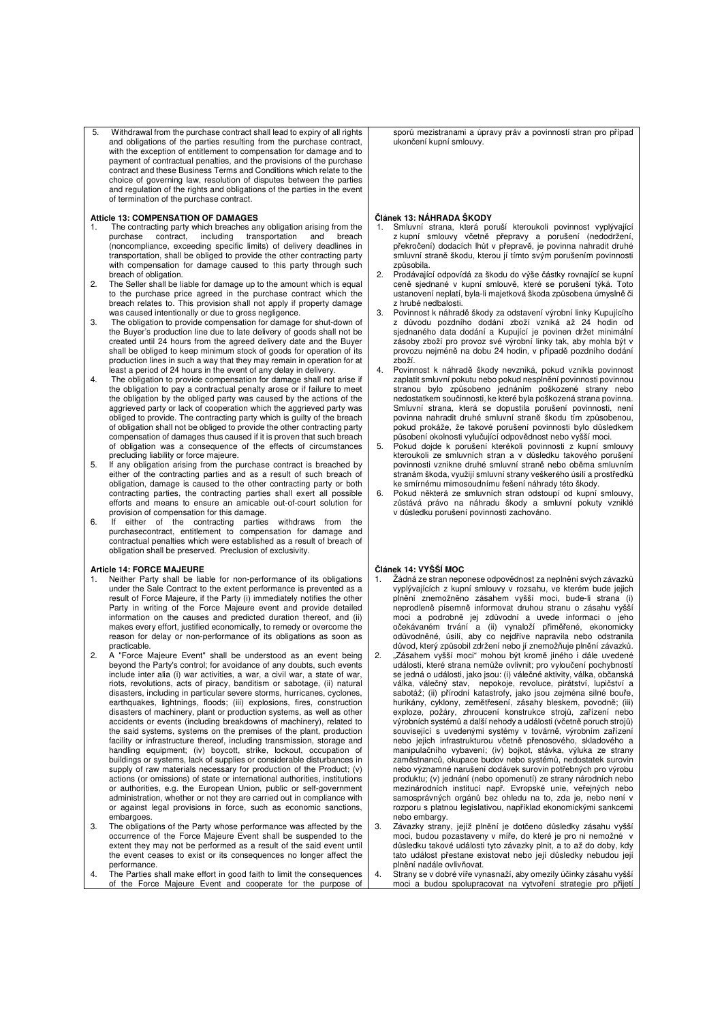5. Withdrawal from the purchase contract shall lead to expiry of all rights and obligations of the parties resulting from the purchase contract, with the exception of entitlement to compensation for damage and to payment of contractual penalties, and the provisions of the purchase contract and these Business Terms and Conditions which relate to the choice of governing law, resolution of disputes between the parties and regulation of the rights and obligations of the parties in the event of termination of the purchase contract.

#### **Atticle 13: COMPENSATION OF DAMAGES**

- 1. The contracting party which breaches any obligation arising from the purchase contract, including transportation and breach (noncompliance, exceeding specific limits) of delivery deadlines in transportation, shall be obliged to provide the other contracting party with compensation for damage caused to this party through such breach of obligation.
- 2. The Seller shall be liable for damage up to the amount which is equal to the purchase price agreed in the purchase contract which the breach relates to. This provision shall not apply if property damage was caused intentionally or due to gross negligence.
- 3. The obligation to provide compensation for damage for shut-down of the Buyer's production line due to late delivery of goods shall not be created until 24 hours from the agreed delivery date and the Buyer shall be obliged to keep minimum stock of goods for operation of its production lines in such a way that they may remain in operation for at least a period of 24 hours in the event of any delay in delivery.
- 4. The obligation to provide compensation for damage shall not arise if the obligation to pay a contractual penalty arose or if failure to meet the obligation by the obliged party was caused by the actions of the aggrieved party or lack of cooperation which the aggrieved party was obliged to provide. The contracting party which is guilty of the breach of obligation shall not be obliged to provide the other contracting party compensation of damages thus caused if it is proven that such breach of obligation was a consequence of the effects of circumstances
- precluding liability or force majeure. 5. If any obligation arising from the purchase contract is breached by either of the contracting parties and as a result of such breach of obligation, damage is caused to the other contracting party or both contracting parties, the contracting parties shall exert all possible efforts and means to ensure an amicable out-of-court solution for provision of compensation for this damage.
- 6. If either of the contracting parties withdraws from the purchasecontract, entitlement to compensation for damage and contractual penalties which were established as a result of breach of obligation shall be preserved. Preclusion of exclusivity.

#### **Article 14: FORCE MAJEURE**

- 1. Neither Party shall be liable for non-performance of its obligations under the Sale Contract to the extent performance is prevented as a result of Force Majeure, if the Party (i) immediately notifies the other Party in writing of the Force Majeure event and provide detailed information on the causes and predicted duration thereof, and (ii) makes every effort, justified economically, to remedy or overcome the reason for delay or non-performance of its obligations as soon as practicable.
- 2. A "Force Majeure Event" shall be understood as an event being beyond the Party's control; for avoidance of any doubts, such events include inter alia (i) war activities, a war, a civil war, a state of war, riots, revolutions, acts of piracy, banditism or sabotage, (ii) natural disasters, including in particular severe storms, hurricanes, cyclones, earthquakes, lightnings, floods; (iii) explosions, fires, construction disasters of machinery, plant or production systems, as well as other accidents or events (including breakdowns of machinery), related to the said systems, systems on the premises of the plant, production facility or infrastructure thereof, including transmission, storage and handling equipment; (iv) boycott, strike, lockout, occupation of buildings or systems, lack of supplies or considerable disturbances in supply of raw materials necessary for production of the Product; (v) actions (or omissions) of state or international authorities, institutions or authorities, e.g. the European Union, public or self-government administration, whether or not they are carried out in compliance with or against legal provisions in force, such as economic sanctions, embargoes.
- 3. The obligations of the Party whose performance was affected by the occurrence of the Force Majeure Event shall be suspended to the extent they may not be performed as a result of the said event until the event ceases to exist or its consequences no longer affect the performance.
- 4. The Parties shall make effort in good faith to limit the consequences of the Force Majeure Event and cooperate for the purpose of

sporů mezistranami a úpravy práv a povinností stran pro případ ukončení kupní smlouvy.

#### **Článek 13: NÁHRADA ŠKODY**

- 1. Smluvní strana, která poruší kteroukoli povinnost vyplývající z kupní smlouvy včetně přepravy a porušení (nedodržení, překročení) dodacích lhůt v přepravě, je povinna nahradit druhé smluvní straně škodu, kterou jí tímto svým porušením povinnosti způsobila.
- 2. Prodávající odpovídá za škodu do výše částky rovnající se kupní ceně sjednané v kupní smlouvě, které se porušení týká. Toto ustanovení neplatí, byla-li majetková škoda způsobena úmyslně či z hrubé nedbalosti.
- 3. Povinnost k náhradě škody za odstavení výrobní linky Kupujícího z důvodu pozdního dodání zboží vzniká až 24 hodin od sjednaného data dodání a Kupující je povinen držet minimální zásoby zboží pro provoz své výrobní linky tak, aby mohla být v provozu nejméně na dobu 24 hodin, v případě pozdního dodání .<br>zhoží
- 4. Povinnost k náhradě škody nevzniká, pokud vznikla povinnost zaplatit smluvní pokutu nebo pokud nesplnění povinnosti povinnou stranou bylo způsobeno jednáním poškozené strany nebo nedostatkem součinnosti, ke které byla poškozená strana povinna. Smluvní strana, která se dopustila porušení povinnosti, není povinna nahradit druhé smluvní straně škodu tím způsobenou, pokud prokáže, že takové porušení povinnosti bylo důsledkem působení okolnosti vylučující odpovědnost nebo vyšší moci.
- 5. Pokud dojde k porušení kterékoli povinnosti z kupní smlouvy kteroukoli ze smluvních stran a v důsledku takového porušení povinnosti vznikne druhé smluvní straně nebo oběma smluvním stranám škoda, využijí smluvní strany veškerého úsilí a prostředků ke smírnému mimosoudnímu řešení náhrady této škody.
- Pokud některá ze smluvních stran odstoupí od kupní smlouvy, zůstává právo na náhradu škody a smluvní pokuty vzniklé v důsledku porušení povinnosti zachováno.

### **Článek 14: VYŠŠÍ MOC**

- Žádná ze stran neponese odpovědnost za neplnění svých závazků vyplývajících z kupní smlouvy v rozsahu, ve kterém bude jejich plnění znemožněno zásahem vyšší moci, bude-li strana (i) neprodleně písemně informovat druhou stranu o zásahu vyšší moci a podrobně jej zdůvodní a uvede informaci o jeho očekávaném trvání a (ii) vynaloží přiměřené, ekonomicky odůvodněné, úsilí, aby co nejdříve napravila nebo odstranila důvod, který způsobil zdržení nebo jí znemožňuje plnění závazků.
- 2. "Zásahem vyšší moci" mohou být kromě jiného i dále uvedené události, které strana nemůže ovlivnit; pro vyloučení pochybností se jedná o události, jako jsou: (i) válečné aktivity, válka, občanská válka, válečný stav, nepokoje, revoluce, pirátství, lupičství a<br>sabotáž; (ii) přírodní katastrofy, jako jsou zejména silné bouře,<br>hurikány, cyklony, zemětřesení, zásahy bleskem, povodně; (iii)<br>exploze, požáry, zhroucení výrobních systémů a další nehody a události (včetně poruch strojů) související s uvedenými systémy v továrně, výrobním zařízení nebo jejich infrastrukturou včetně přenosového, skladového a manipulačního vybavení; (iv) bojkot, stávka, výluka ze strany zaměstnanců, okupace budov nebo systémů, nedostatek surovin nebo významné narušení dodávek surovin potřebných pro výrobu produktu; (v) jednání (nebo opomenutí) ze strany národních nebo mezinárodních institucí např. Evropské unie, veřejných nebo samosprávných orgánů bez ohledu na to, zda je, nebo není v rozporu s platnou legislativou, například ekonomickými sankcemi nebo embargy.
- 3. Závazky strany, jejíž plnění je dotčeno důsledky zásahu vyšší moci, budou pozastaveny v míře, do které je pro ni nemožné v důsledku takové události tyto závazky plnit, a to až do doby, kdy tato událost přestane existovat nebo její důsledky nebudou její plnění nadále ovlivňovat.
- 4. Strany se v dobré víře vynasnaží, aby omezily účinky zásahu vyšší moci a budou spolupracovat na vytvoření strategie pro přijetí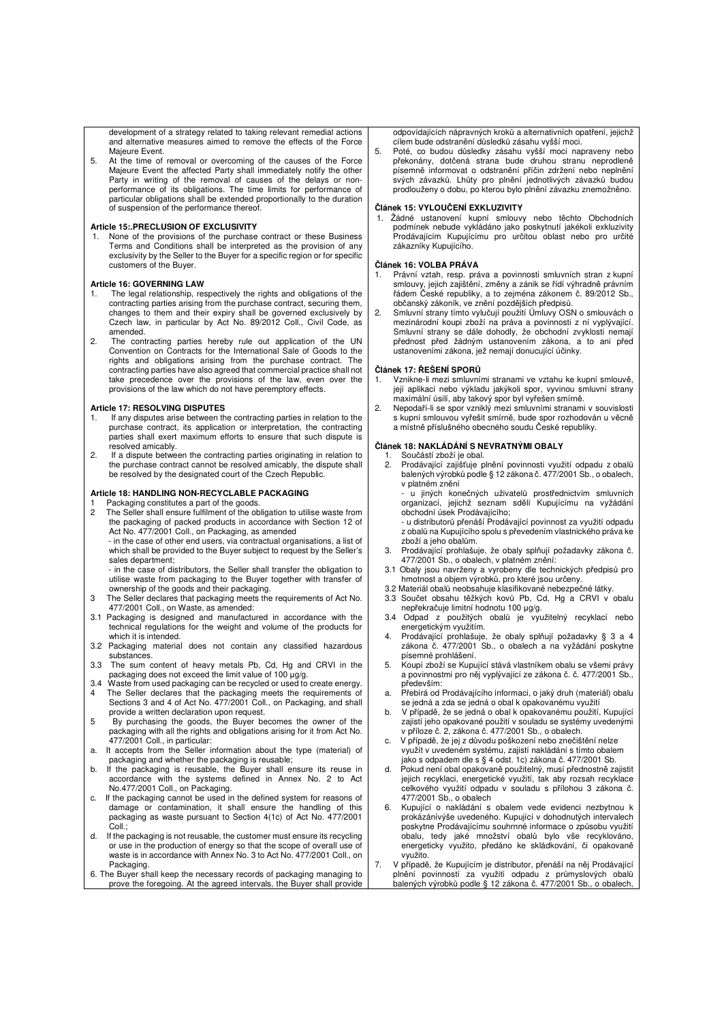development of a strategy related to taking relevant remedial actions and alternative measures aimed to remove the effects of the Force Majeure Event.

5. At the time of removal or overcoming of the causes of the Force Majeure Event the affected Party shall immediately notify the other Party in writing of the removal of causes of the delays or nonperformance of its obligations. The time limits for performance of particular obligations shall be extended proportionally to the duration of suspension of the performance thereof.

#### **Article 15:.PRECLUSION OF EXCLUSIVITY**

None of the provisions of the purchase contract or these Business Terms and Conditions shall be interpreted as the provision of any exclusivity by the Seller to the Buyer for a specific region or for specific customers of the Buyer.

### **Article 16: GOVERNING LAW**

- 1. The legal relationship, respectively the rights and obligations of the contracting parties arising from the purchase contract, securing them, changes to them and their expiry shall be governed exclusively by Czech law, in particular by Act No. 89/2012 Coll., Civil Code, as amended.
- 2. The contracting parties hereby rule out application of the UN Convention on Contracts for the International Sale of Goods to the rights and obligations arising from the purchase contract. The contracting parties have also agreed that commercial practice shall not take precedence over the provisions of the law, even over the provisions of the law which do not have peremptory effects.

#### **Article 17: RESOLVING DISPUTES**

- 1. If any disputes arise between the contracting parties in relation to the purchase contract, its application or interpretation, the contracting parties shall exert maximum efforts to ensure that such dispute is resolved amicably.
- 2. If a dispute between the contracting parties originating in relation to the purchase contract cannot be resolved amicably, the dispute shall be resolved by the designated court of the Czech Republic.

#### **Article 18: HANDLING NON-RECYCLABLE PACKAGING**

- Packaging constitutes a part of the goods.
- 2 The Seller shall ensure fulfilment of the obligation to utilise waste from the packaging of packed products in accordance with Section 12 of Act No. 477/2001 Coll., on Packaging, as amended - in the case of other end users, via contractual organisations, a list of

which shall be provided to the Buyer subject to request by the Seller's sales department;

- in the case of distributors, the Seller shall transfer the obligation to utilise waste from packaging to the Buyer together with transfer of ownership of the goods and their packaging.

- 3 The Seller declares that packaging meets the requirements of Act No. 477/2001 Coll., on Waste, as amended:
- 3.1 Packaging is designed and manufactured in accordance with the technical regulations for the weight and volume of the products for which it is intended.
- 3.2 Packaging material does not contain any classified hazardous substances.
- 3.3 The sum content of heavy metals Pb, Cd, Hg and CRVI in the packaging does not exceed the limit value of 100 μg/g.
- 3.4 Waste from used packaging can be recycled or used to create energy. 4 The Seller declares that the packaging meets the requirements of Sections 3 and 4 of Act No. 477/2001 Coll., on Packaging, and shall provide a written declaration upon request.
- 5 By purchasing the goods, the Buyer becomes the owner of the packaging with all the rights and obligations arising for it from Act No. 477/2001 Coll., in particular:
- a. It accepts from the Seller information about the type (material) of packaging and whether the packaging is reusable;
- b. If the packaging is reusable, the Buyer shall ensure its reuse in accordance with the systems defined in Annex No. 2 to Act No.477/2001 Coll., on Packaging. c. If the packaging cannot be used in the defined system for reasons of
- damage or contamination, it shall ensure the handling of this packaging as waste pursuant to Section 4(1c) of Act No. 477/2001  $C_0$ <sub>II</sub> $\cdot$
- d. If the packaging is not reusable, the customer must ensure its recycling or use in the production of energy so that the scope of overall use of waste is in accordance with Annex No. 3 to Act No. 477/2001 Coll., on **Packaging**
- 6. The Buyer shall keep the necessary records of packaging managing to prove the foregoing. At the agreed intervals, the Buyer shall provide

odpovídajících nápravných kroků a alternativních opatření, jejichž cílem bude odstranění důsledků zásahu vyšší moci.

5. Poté, co budou důsledky zásahu vyšší moci napraveny nebo překonány, dotčená strana bude druhou stranu neprodleně písemně informovat o odstranění příčin zdržení nebo neplnění svých závazků. Lhůty pro plnění jednotlivých závazků budou prodlouženy o dobu, po kterou bylo plnění závazku znemožněno.

### **Článek 15: VYLOUČENÍ EXKLUZIVITY**

1. Žádné ustanovení kupní smlouvy nebo těchto Obchodních podmínek nebude vykládáno jako poskytnutí jakékoli exkluzivity Prodávajícím Kupujícímu pro určitou oblast nebo pro určité zákazníky Kupujícího.

#### **Článek 16: VOLBA PRÁVA**

- 1. Právní vztah, resp. práva a povinnosti smluvních stran z kupní smlouvy, jejich zajištění, změny a zánik se řídí výhradně právním řádem České republiky, a to zejména zákonem č. 89/2012 Sb., občanský zákoník, ve znění pozdějších předpisů.
- 2. Smluvní strany tímto vylučují použití Úmluvy OSN o smlouvách o mezinárodní koupi zboží na práva a povinnosti z ní vyplývající. Smluvní strany se dále dohodly, že obchodní zvyklosti nemají přednost před žádným ustanovením zákona, a to ani před ustanoveními zákona, jež nemají donucující účinky.

### **Článek 17: ŘEŠENÍ SPORŮ**

- 1. Vznikne-li mezi smluvními stranami ve vztahu ke kupní smlouvě, její aplikaci nebo výkladu jakýkoli spor, vyvinou smluvní strany maximální úsilí, aby takový spor byl vyřešen smírně.
- 2. Nepodaří-li se spor vzniklý mezi smluvními stranami v souvislosti s kupní smlouvou vyřešit smírně, bude spor rozhodován u věcně a místně příslušného obecného soudu České republiky.

#### **Článek 18: NAKLÁDÁNÍ S NEVRATNÝMI OBALY**

- 
- 1. Součástí zboží je obal. 2. Prodávající zajišťuje plnění povinnosti využití odpadu z obalů balených výrobků podle § 12 zákona č. 477/2001 Sb., o obalech, v platném znění
	- u jiných konečných uživatelů prostřednictvím smluvních organizací, jejichž seznam sdělí Kupujícímu na vyžádání obchodní úsek Prodávajícího;
	- u distributorů přenáší Prodávající povinnost za využití odpadu z obalů na Kupujícího spolu s převedením vlastnického práva ke zboží a jeho obalům.
- 3. Prodávající prohlašuje, že obaly splňují požadavky zákona č.
- 477/2001 Sb., o obalech, v platném znění: 3.1 Obaly jsou navrženy a vyrobeny dle technických předpisů pro hmotnost a objem výrobků, pro které jsou určeny.
- 3.2 Materiál obalů neobsahuje klasifikované nebezpečné látky.
- 3.3 Součet obsahu těžkých kovů Pb, Cd, Hg a CRVI v obalu nepřekračuje limitní hodnotu 100 μg/g.
- 3.4 Odpad z použitých obalů je využitelný recyklací nebo energetickým využitím.
- 4. Prodávající prohlašuje, že obaly splňují požadavky § 3 a 4 zákona č. 477/2001 Sb., o obalech a na vyžádání poskytne písemné prohlášení.
- 5. Koupí zboží se Kupující stává vlastníkem obalu se všemi právy a povinnostmi pro něj vyplývající ze zákona č. č. 477/2001 Sb., především: a. Přebírá od Prodávajícího informaci, o jaký druh (materiál) obalu
- se jedná a zda se jedná o obal k opakovanému využití
- b. V případě, že se jedná o obal k opakovanému použití, Kupující zajistí jeho opakované použití v souladu se systémy uvedenými v příloze č. 2, zákona č. 477/2001 Sb., o obalech.
- c. V případě, že jej z důvodu poškození nebo znečištění nelze využít v uvedeném systému, zajistí nakládání s tímto obalem jako s odpadem dle s § 4 odst. 1c) zákona č. 477/2001 Sb.
- d. Pokud není obal opakovaně použitelný, musí přednostně zajistit jejich recyklaci, energetické využití, tak aby rozsah recyklace celkového využití odpadu v souladu s přílohou 3 zákona č. 477/2001 Sb., o obalech
- 6. Kupující o nakládání s obalem vede evidenci nezbytnou k prokázánívýše uvedeného. Kupující v dohodnutých intervalech poskytne Prodávajícímu souhrnné informace o způsobu využití obalu, tedy jaké množství obalů bylo vše recyklováno, energeticky využito, předáno ke skládkování, či opakovaně využito.
- 7. V případě, že Kupujícím je distributor, přenáší na něj Prodávající plnění povinností za využití odpadu z průmyslových obalů balených výrobků podle § 12 zákona č. 477/2001 Sb., o obalech,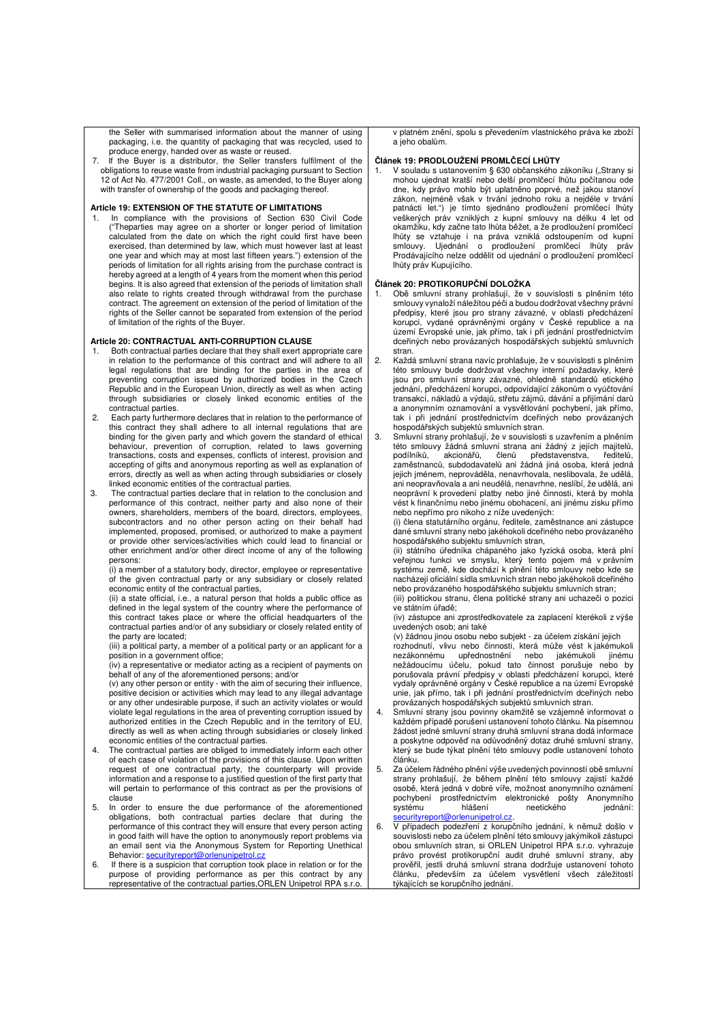the Seller with summarised information about the manner of using packaging, i.e. the quantity of packaging that was recycled, used to produce energy, handed over as waste or reused.

7. If the Buyer is a distributor, the Seller transfers fulfilment of the obligations to reuse waste from industrial packaging pursuant to Section 12 of Act No. 477/2001 Coll., on waste, as amended, to the Buyer along with transfer of ownership of the goods and packaging thereof.

#### **Article 19: EXTENSION OF THE STATUTE OF LIMITATIONS**

In compliance with the provisions of Section 630 Civil Code ("Theparties may agree on a shorter or longer period of limitation calculated from the date on which the right could first have been exercised, than determined by law, which must however last at least one year and which may at most last fifteen years.") extension of the periods of limitation for all rights arising from the purchase contract is hereby agreed at a length of 4 years from the moment when this period begins. It is also agreed that extension of the periods of limitation shall also relate to rights created through withdrawal from the purchase contract. The agreement on extension of the period of limitation of the rights of the Seller cannot be separated from extension of the period of limitation of the rights of the Buyer.

### **Article 20: CONTRACTUAL ANTI-CORRUPTION CLAUSE**

- 1. Both contractual parties declare that they shall exert appropriate care in relation to the performance of this contract and will adhere to all legal regulations that are binding for the parties in the area of preventing corruption issued by authorized bodies in the Czech Republic and in the European Union, directly as well as when acting through subsidiaries or closely linked economic entities of the contractual parties.
- 2. Each party furthermore declares that in relation to the performance of this contract they shall adhere to all internal regulations that are binding for the given party and which govern the standard of ethical behaviour, prevention of corruption, related to laws governing transactions, costs and expenses, conflicts of interest, provision and accepting of gifts and anonymous reporting as well as explanation of errors, directly as well as when acting through subsidiaries or closely linked economic entities of the contractual parties.
- 3. The contractual parties declare that in relation to the conclusion and performance of this contract, neither party and also none of their owners, shareholders, members of the board, directors, employees, subcontractors and no other person acting on their behalf had implemented, proposed, promised, or authorized to make a payment or provide other services/activities which could lead to financial or other enrichment and/or other direct income of any of the following persons:

(i) a member of a statutory body, director, employee or representative of the given contractual party or any subsidiary or closely related economic entity of the contractual parties,

(ii) a state official, i.e., a natural person that holds a public office as defined in the legal system of the country where the performance of this contract takes place or where the official headquarters of the contractual parties and/or of any subsidiary or closely related entity of the party are located;

(iii) a political party, a member of a political party or an applicant for a position in a government office;

(iv) a representative or mediator acting as a recipient of payments on behalf of any of the aforementioned persons; and/or

(v) any other person or entity - with the aim of securing their influence, positive decision or activities which may lead to any illegal advantage or any other undesirable purpose, if such an activity violates or would violate legal regulations in the area of preventing corruption issued by authorized entities in the Czech Republic and in the territory of EU, directly as well as when acting through subsidiaries or closely linked economic entities of the contractual parties.

- 4. The contractual parties are obliged to immediately inform each other of each case of violation of the provisions of this clause. Upon written request of one contractual party, the counterparty will provide information and a response to a justified question of the first party that will pertain to performance of this contract as per the provisions of clause
- 5. In order to ensure the due performance of the aforementioned obligations, both contractual parties declare that during the performance of this contract they will ensure that every person acting in good faith will have the option to anonymously report problems via an email sent via the Anonymous System for Reporting Unethical Behavior: securityreport@orlenunipetrol.cz
- 6. If there is a suspicion that corruption took place in relation or for the purpose of providing performance as per this contract by any representative of the contractual parties,ORLEN Unipetrol RPA s.r.o.

v platném znění, spolu s převedením vlastnického práva ke zboží a jeho obalům.

#### **Článek 19: PRODLOUŽENÍ PROMLČECÍ LHŮTY**

V souladu s ustanovením § 630 občanského zákoníku ("Strany si mohou ujednat kratší nebo delší promlčecí lhůtu počítanou ode dne, kdy právo mohlo být uplatněno poprvé, než jakou stanoví zákon, nejméně však v trvání jednoho roku a nejdéle v trvání patnácti let.") je tímto sjednáno prodloužení promlčecí lhůty veškerých práv vzniklých z kupní smlouvy na délku 4 let od okamžiku, kdy začne tato lhůta běžet, a že prodloužení promlčecí lhůty se vztahuje i na práva vzniklá odstoupením od kupní smlouvy. Ujednání o prodloužení promlčecí lhůty práv Prodávajícího nelze oddělit od ujednání o prodloužení promlčecí lhůty práv Kupujícího.

### **Článek 20: PROTIKORUPČNÍ DOLOŽKA**

- 1. Obě smluvní strany prohlašují, že v souvislosti s plněním této smlouvy vynaloží náležitou péči a budou dodržovat všechny právní předpisy, které jsou pro strany závazné, v oblasti předcházení korupci, vydané oprávněnými orgány v České republice a na území Evropské unie, jak přímo, tak i při jednání prostřednictvím dceřiných nebo provázaných hospodářských subjektů smluvních stran.
- 2. Každá smluvní strana navíc prohlašuje, že v souvislosti s plněním této smlouvy bude dodržovat všechny interní požadavky, které jsou pro smluvní strany závazné, ohledně standardů etického jednání, předcházení korupci, odpovídající zákonům o vyúčtování transakcí, nákladů a výdajů, střetu zájmů, dávání a přijímání darů a anonymním oznamování a vysvětlování pochybení, jak přímo, tak i při jednání prostřednictvím dceřiných nebo provázaných hospodářských subjektů smluvních stran.
- 3. Smluvní strany prohlašují, že v souvislosti s uzavřením a plněním této smlouvy žádná smluvní strana ani žádný z jejích majitelů,<br>podílníků, akcionářů, členů představenstva, ředitelů, podílníků, akcionářů, členů představenstva, ředitelů, zaměstnanců, subdodavatelů ani žádná jiná osoba, která jedná jejich jménem, neprováděla, nenavrhovala, neslibovala, že udělá, ani neopravňovala a ani neudělá, nenavrhne, neslíbí, že udělá, ani neoprávní k provedení platby nebo jiné činnosti, která by mohla vést k finančnímu nebo jinému obohacení, ani jinému zisku přímo nebo nepřímo pro nikoho z níže uvedených:

(i) člena statutárního orgánu, ředitele, zaměstnance ani zástupce dané smluvní strany nebo jakéhokoli dceřiného nebo provázaného hospodářského subjektu smluvních stran,

(ii) státního úředníka chápaného jako fyzická osoba, která plní veřejnou funkci ve smyslu, který tento pojem má v právním systému země, kde dochází k plnění této smlouvy nebo kde se nacházejí oficiální sídla smluvních stran nebo jakéhokoli dceřiného nebo provázaného hospodářského subjektu smluvních stran;

(iii) politickou stranu, člena politické strany ani uchazeči o pozici ve státním úřadě;

(iv) zástupce ani zprostředkovatele za zaplacení kterékoli z výše uvedených osob; ani také

(v) žádnou jinou osobu nebo subjekt - za účelem získání jejich rozhodnutí, vlivu nebo činnosti, která může vést k jakémukoli

nezákonnému upřednostnění nebo jakémukoli jinému nežádoucímu účelu, pokud tato činnost porušuje nebo by porušovala právní předpisy v oblasti předcházení korupci, které vydaly oprávněné orgány v České republice a na území Evropské unie, jak přímo, tak i při jednání prostřednictvím dceřiných nebo provázaných hospodářských subjektů smluvních stran.

- 4. Smluvní strany jsou povinny okamžitě se vzájemně informovat o každém případě porušení ustanovení tohoto článku. Na písemnou žádost jedné smluvní strany druhá smluvní strana dodá informace a poskytne odpověď na odůvodněný dotaz druhé smluvní strany, který se bude týkat plnění této smlouvy podle ustanovení tohoto článku.
- 5. Za účelem řádného plnění výše uvedených povinností obě smluvní strany prohlašují, že během plnění této smlouvy zajistí každé osobě, která jedná v dobré víře, možnost anonymního oznámení pochybení prostřednictvím elektronické pošty Anonymního<br>systému hlášení neetického jednání: systému hlášení neetického jednání:<br>securityreport@orlenunipetrol.cz. curityreport@orlenur

6. V případech podezření z korupčního jednání, k němuž došlo v souvislosti nebo za účelem plnění této smlouvy jakýmikoli zástupci obou smluvních stran, si ORLEN Unipetrol RPA s.r.o. vyhrazuje právo provést protikorupční audit druhé smluvní strany, aby prověřil, jestli druhá smluvní strana dodržuje ustanovení tohoto článku, především za účelem vysvětlení všech záležitostí týkajících se korupčního jednání.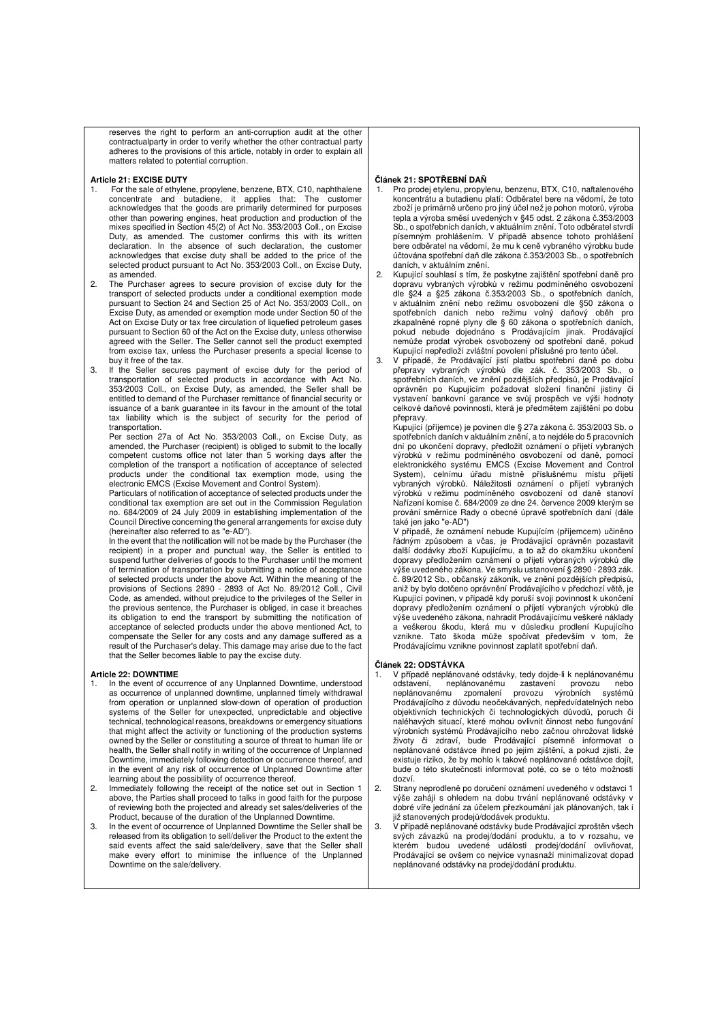reserves the right to perform an anti-corruption audit at the other contractualparty in order to verify whether the other contractual party adheres to the provisions of this article, notably in order to explain all matters related to potential corruption.

#### **Article 21: EXCISE DUTY**

- For the sale of ethylene, propylene, benzene, BTX, C10, naphthalene concentrate and butadiene, it applies that: The customer acknowledges that the goods are primarily determined for purposes other than powering engines, heat production and production of the mixes specified in Section 45(2) of Act No. 353/2003 Coll., on Excise Duty, as amended. The customer confirms this with its written declaration. In the absence of such declaration, the customer acknowledges that excise duty shall be added to the price of the selected product pursuant to Act No. 353/2003 Coll., on Excise Duty, as amended.
- 2. The Purchaser agrees to secure provision of excise duty for the transport of selected products under a conditional exemption mode pursuant to Section 24 and Section 25 of Act No. 353/2003 Coll., on Excise Duty, as amended or exemption mode under Section 50 of the Act on Excise Duty or tax free circulation of liquefied petroleum gases pursuant to Section 60 of the Act on the Excise duty, unless otherwise agreed with the Seller. The Seller cannot sell the product exempted from excise tax, unless the Purchaser presents a special license to buy it free of the tax.
- 3. If the Seller secures payment of excise duty for the period of transportation of selected products in accordance with Act No. 353/2003 Coll., on Excise Duty, as amended, the Seller shall be entitled to demand of the Purchaser remittance of financial security or issuance of a bank guarantee in its favour in the amount of the total tax liability which is the subject of security for the period of transportation.

Per section 27a of Act No. 353/2003 Coll., on Excise Duty, as amended, the Purchaser (recipient) is obliged to submit to the locally competent customs office not later than 5 working days after the completion of the transport a notification of acceptance of selected products under the conditional tax exemption mode, using the electronic EMCS (Excise Movement and Control System).

 Particulars of notification of acceptance of selected products under the conditional tax exemption are set out in the Commission Regulation no. 684/2009 of 24 July 2009 in establishing implementation of the Council Directive concerning the general arrangements for excise duty (hereinafter also referred to as "e-AD").

In the event that the notification will not be made by the Purchaser (the recipient) in a proper and punctual way, the Seller is entitled to suspend further deliveries of goods to the Purchaser until the moment of termination of transportation by submitting a notice of acceptance of selected products under the above Act. Within the meaning of the provisions of Sections 2890 - 2893 of Act No. 89/2012 Coll., Civil Code, as amended, without prejudice to the privileges of the Seller in the previous sentence, the Purchaser is obliged, in case it breaches its obligation to end the transport by submitting the notification of acceptance of selected products under the above mentioned Act, to compensate the Seller for any costs and any damage suffered as a result of the Purchaser's delay. This damage may arise due to the fact that the Seller becomes liable to pay the excise duty.

#### **Article 22: DOWNTIME**

- 1. In the event of occurrence of any Unplanned Downtime, understood as occurrence of unplanned downtime, unplanned timely withdrawal from operation or unplanned slow-down of operation of production systems of the Seller for unexpected, unpredictable and objective technical, technological reasons, breakdowns or emergency situations that might affect the activity or functioning of the production systems owned by the Seller or constituting a source of threat to human life or health, the Seller shall notify in writing of the occurrence of Unplanned Downtime, immediately following detection or occurrence thereof, and in the event of any risk of occurrence of Unplanned Downtime after learning about the possibility of occurrence thereof.
- 2. Immediately following the receipt of the notice set out in Section 1 above, the Parties shall proceed to talks in good faith for the purpose of reviewing both the projected and already set sales/deliveries of the Product, because of the duration of the Unplanned Downtime.
- 3. In the event of occurrence of Unplanned Downtime the Seller shall be released from its obligation to sell/deliver the Product to the extent the said events affect the said sale/delivery, save that the Seller shall make every effort to minimise the influence of the Unplanned Downtime on the sale/delivery.

#### **Článek 21: SPOTŘEBNÍ DAŇ**

- 1. Pro prodej etylenu, propylenu, benzenu, BTX, C10, naftalenového koncentrátu a butadienu platí: Odběratel bere na vědomí, že toto zboží je primárně určeno pro jiný účel než je pohon motorů, výroba tepla a výroba směsí uvedených v §45 odst. 2 zákona č.353/2003 Sb., o spotřebních daních, v aktuálním znění. Toto odběratel stvrdí písemným prohlášením. V případě absence tohoto prohlášení bere odběratel na vědomí, že mu k ceně vybraného výrobku bude účtována spotřební daň dle zákona č.353/2003 Sb., o spotřebních daních, v aktuálním znění.
- 2. Kupující souhlasí s tím, že poskytne zajištění spotřební daně pro dopravu vybraných výrobků v režimu podmíněného osvobození dle §24 a §25 zákona č.353/2003 Sb., o spotřebních daních, v aktuálním znění nebo režimu osvobození dle §50 zákona o spotřebních danich nebo režimu volný daňový oběh pro zkapalněné ropné plyny dle § 60 zákona o spotřebních daních, pokud nebude dojednáno s Prodávajícím jinak. Prodávající nemůže prodat výrobek osvobozený od spotřební daně, pokud Kupující nepředloží zvláštní povolení příslušné pro tento účel.
- 3. V případě, že Prodávající jistí platbu spotřební daně po dobu přepravy vybraných výrobků dle zák. č. 353/2003 Sb., o spotřebních daních, ve znění pozdějších předpisů, je Prodávající oprávněn po Kupujícím požadovat složení finanční jistiny či vystavení bankovní garance ve svůj prospěch ve výši hodnoty celkové daňové povinnosti, která je předmětem zajištění po dobu přepravy. Kupující (příjemce) je povinen dle § 27a zákona č. 353/2003 Sb. o

spotřebních daních v aktuálním znění, a to nejdéle do 5 pracovních dní po ukončení dopravy, předložit oznámení o přijetí vybraných výrobků v režimu podmíněného osvobození od daně, pomocí elektronického systému EMCS (Excise Movement and Control System), celnímu úřadu místně příslušnému místu přijetí vybraných výrobků. Náležitosti oznámení o přijetí vybraných výrobků v režimu podmíněného osvobození od daně stanoví Nařízení komise č. 684/2009 ze dne 24. července 2009 kterým se prování směrnice Rady o obecné úpravě spotřebních daní (dále také jen jako "e-AD")

V případě, že oznámení nebude Kupujícím (příjemcem) učiněno řádným způsobem a včas, je Prodávající oprávněn pozastavit další dodávky zboží Kupujícímu, a to až do okamžiku ukončení dopravy předložením oznámení o přijetí vybraných výrobků dle výše uvedeného zákona. Ve smyslu ustanovení § 2890 - 2893 zák. č. 89/2012 Sb., občanský zákoník, ve znění pozdějších předpisů, aniž by bylo dotčeno oprávnění Prodávajícího v předchozí větě, je Kupující povinen, v případě kdy poruší svoji povinnost k ukončení dopravy předložením oznámení o přijetí vybraných výrobků dle výše uvedeného zákona, nahradit Prodávajícímu veškeré náklady a veškerou škodu, která mu v důsledku prodlení Kupujícího vznikne. Tato škoda může spočívat především v tom, že Prodávajícímu vznikne povinnost zaplatit spotřební daň.

#### **Článek 22: ODSTÁVKA**

- V případě neplánované odstávky, tedy dojde-li k neplánovanému odstavení, neplánovanému zastavení provozu nebo neplánovanému zastavení provozu neplánovanému zpomalení provozu výrobních systémů Prodávajícího z důvodu neočekávaných, nepředvídatelných nebo objektivních technických či technologických důvodů, poruch či naléhavých situací, které mohou ovlivnit činnost nebo fungování výrobních systémů Prodávajícího nebo začnou ohrožovat lidské životy či zdraví, bude Prodávající písemně informovat o neplánované odstávce ihned po jejím zjištění, a pokud zjistí, že existuje riziko, že by mohlo k takové neplánované odstávce dojít, bude o této skutečnosti informovat poté, co se o této možnosti dozví.
- 2. Strany neprodleně po doručení oznámení uvedeného v odstavci 1 výše zahájí s ohledem na dobu trvání neplánované odstávky v dobré víře jednání za účelem přezkoumání jak plánovaných, tak i již stanovených prodejů/dodávek produktu.
- 3. V případě neplánované odstávky bude Prodávající zproštěn všech svých závazků na prodej/dodání produktu, a to v rozsahu, ve kterém budou uvedené události prodej/dodání ovlivňovat, Prodávající se ovšem co nejvíce vynasnaží minimalizovat dopad neplánované odstávky na prodej/dodání produktu.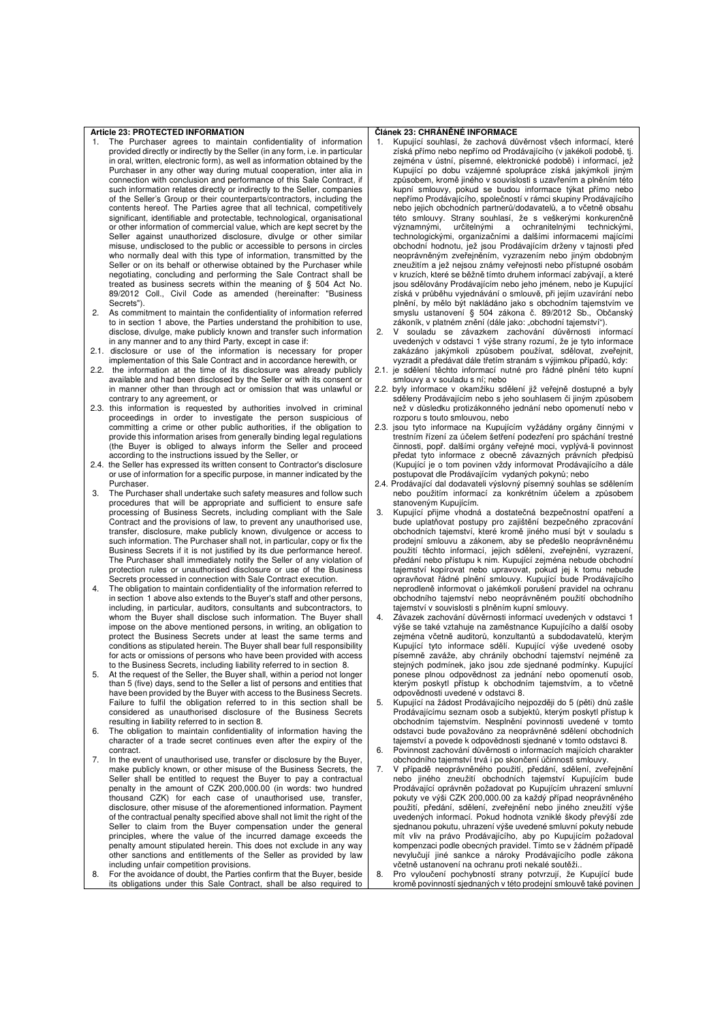### **Article 23: PROTECTED INFORMATION**

- 1. The Purchaser agrees to maintain confidentiality of information provided directly or indirectly by the Seller (in any form, i.e. in particular in oral, written, electronic form), as well as information obtained by the Purchaser in any other way during mutual cooperation, inter alia in connection with conclusion and performance of this Sale Contract, if such information relates directly or indirectly to the Seller, companies of the Seller's Group or their counterparts/contractors, including the contents hereof. The Parties agree that all technical, competitively significant, identifiable and protectable, technological, organisational or other information of commercial value, which are kept secret by the Seller against unauthorized disclosure, divulge or other similar misuse, undisclosed to the public or accessible to persons in circles who normally deal with this type of information, transmitted by the Seller or on its behalf or otherwise obtained by the Purchaser while negotiating, concluding and performing the Sale Contract shall be treated as business secrets within the meaning of § 504 Act No.<br>89/2012 Coll., Civil Code as amended (hereinafter: "Business 89/2012 Coll., Civil Code as amended (hereinafter: Secrets").
- 2. As commitment to maintain the confidentiality of information referred to in section 1 above, the Parties understand the prohibition to use, disclose, divulge, make publicly known and transfer such information in any manner and to any third Party, except in case if:
- 2.1. disclosure or use of the information is necessary for proper implementation of this Sale Contract and in accordance herewith, or
- 2.2. the information at the time of its disclosure was already publicly available and had been disclosed by the Seller or with its consent or in manner other than through act or omission that was unlawful or contrary to any agreement, or
- 2.3. this information is requested by authorities involved in criminal proceedings in order to investigate the person suspicious of committing a crime or other public authorities, if the obligation to provide this information arises from generally binding legal regulations (the Buyer is obliged to always inform the Seller and proceed according to the instructions issued by the Seller, or
- 2.4. the Seller has expressed its written consent to Contractor's disclosure or use of information for a specific purpose, in manner indicated by the Purchaser.
- 3. The Purchaser shall undertake such safety measures and follow such procedures that will be appropriate and sufficient to ensure safe processing of Business Secrets, including compliant with the Sale Contract and the provisions of law, to prevent any unauthorised use, transfer, disclosure, make publicly known, divulgence or access to such information. The Purchaser shall not, in particular, copy or fix the Business Secrets if it is not justified by its due performance hereof. The Purchaser shall immediately notify the Seller of any violation of protection rules or unauthorised disclosure or use of the Business Secrets processed in connection with Sale Contract execution.
- 4. The obligation to maintain confidentiality of the information referred to in section 1 above also extends to the Buyer's staff and other persons, including, in particular, auditors, consultants and subcontractors, to whom the Buyer shall disclose such information. The Buyer shall impose on the above mentioned persons, in writing, an obligation to protect the Business Secrets under at least the same terms and conditions as stipulated herein. The Buyer shall bear full responsibility for acts or omissions of persons who have been provided with access to the Business Secrets, including liability referred to in section 8.
- 5. At the request of the Seller, the Buyer shall, within a period not longer than 5 (five) days, send to the Seller a list of persons and entities that have been provided by the Buyer with access to the Business Secrets. Failure to fulfil the obligation referred to in this section shall be considered as unauthorised disclosure of the Business Secrets resulting in liability referred to in section 8.
- 6. The obligation to maintain confidentiality of information having the character of a trade secret continues even after the expiry of the contract.
- 7. In the event of unauthorised use, transfer or disclosure by the Buyer, make publicly known, or other misuse of the Business Secrets, the Seller shall be entitled to request the Buyer to pay a contractual penalty in the amount of CZK 200,000.00 (in words: two hundred thousand CZK) for each case of unauthorised use, transfer, disclosure, other misuse of the aforementioned information. Payment of the contractual penalty specified above shall not limit the right of the Seller to claim from the Buyer compensation under the general principles, where the value of the incurred damage exceeds the penalty amount stipulated herein. This does not exclude in any way other sanctions and entitlements of the Seller as provided by law including unfair competition provisions.
- 8. For the avoidance of doubt, the Parties confirm that the Buyer, beside its obligations under this Sale Contract, shall be also required to

### **Článek 23: CHRÁNĚNÉ INFORMACE**

- 1. Kupující souhlasí, že zachová důvěrnost všech informací, které získá přímo nebo nepřímo od Prodávajícího (v jakékoli podobě, tj. zejména v ústní, písemné, elektronické podobě) i informací, jež Kupující po dobu vzájemné spolupráce získá jakýmkoli jiným způsobem, kromě jiného v souvislosti s uzavřením a plněním této kupní smlouvy, pokud se budou informace týkat přímo nebo nepřímo Prodávajícího, společností v rámci skupiny Prodávajícího nebo jejich obchodních partnerů/dodavatelů, a to včetně obsahu této smlouvy. Strany souhlasí, že s veškerými konkurenčně významnými, určitelnými a ochranitelnými technickými, technologickými, organizačními a dalšími informacemi majícími obchodní hodnotu, jež jsou Prodávajícím drženy v tajnosti před neoprávněným zveřejněním, vyzrazením nebo jiným obdobným zneužitím a jež nejsou známy veřejnosti nebo přístupné osobám v kruzích, které se běžně tímto druhem informací zabývají, a které jsou sdělovány Prodávajícím nebo jeho jménem, nebo je Kupující získá v průběhu vyjednávání o smlouvě, při jejím uzavírání nebo plnění, by mělo být nakládáno jako s obchodním tajemstvím ve smyslu ustanovení § 504 zákona č. 89/2012 Sb., Občanský
- zákoník, v platném znění (dále jako: "obchodní tajemství"). 2. V souladu se závazkem zachování důvěrnosti informací uvedených v odstavci 1 výše strany rozumí, že je tyto informace zakázáno jakýmkoli způsobem používat, sdělovat, zveřejnit, vyzradit a předávat dále třetím stranám s výjimkou případů, kdy:
- 2.1. je sdělení těchto informací nutné pro řádné plnění této kupní smlouvy a v souladu s ní; nebo
- 2.2. byly informace v okamžiku sdělení již veřejně dostupné a byly sděleny Prodávajícím nebo s jeho souhlasem či jiným způsobem než v důsledku protizákonného jednání nebo opomenutí nebo v
- rozporu s touto smlouvou, nebo 2.3. jsou tyto informace na Kupujícím vyžádány orgány činnými v trestním řízení za účelem šetření podezření pro spáchání trestné činnosti, popř. dalšími orgány veřejné moci, vyplývá-li povinnost předat tyto informace z obecně závazných právních předpisů (Kupující je o tom povinen vždy informovat Prodávajícího a dále postupovat dle Prodávajícím vydaných pokynů; nebo
- 2.4. Prodávající dal dodavateli výslovný písemný souhlas se sdělením nebo použitím informací za konkrétním účelem a způsobem stanoveným Kupujícím.
- 3. Kupující přijme vhodná a dostatečná bezpečnostní opatření a bude uplatňovat postupy pro zajištění bezpečného zpracování obchodních tajemství, které kromě jiného musí být v souladu s prodejní smlouvu a zákonem, aby se předešlo neoprávněnému použití těchto informací, jejich sdělení, zveřejnění, vyzrazení, předání nebo přístupu k nim. Kupující zejména nebude obchodní tajemství kopírovat nebo upravovat, pokud jej k tomu nebude opravňovat řádné plnění smlouvy. Kupující bude Prodávajícího neprodleně informovat o jakémkoli porušení pravidel na ochranu obchodního tajemství nebo neoprávněném použití obchodního tajemství v souvislosti s plněním kupní smlouvy.
- 4. Závazek zachování důvěrnosti informací uvedených v odstavci 1 výše se také vztahuje na zaměstnance Kupujícího a další osoby zejména včetně auditorů, konzultantů a subdodavatelů, kterým Kupující tyto informace sdělí. Kupující výše uvedené osoby písemně zaváže, aby chránily obchodní tajemství nejméně za stejných podmínek, jako jsou zde sjednané podmínky. Kupující ponese plnou odpovědnost za jednání nebo opomenutí osob, kterým poskytl přístup k obchodním tajemstvím, a to včetně odpovědnosti uvedené v odstavci 8.
- 5. Kupující na žádost Prodávajícího nejpozději do 5 (pěti) dnů zašle Prodávajícímu seznam osob a subjektů, kterým poskytl přístup k obchodním tajemstvím. Nesplnění povinnosti uvedené v tomto odstavci bude považováno za neoprávněné sdělení obchodních tajemství a povede k odpovědnosti sjednané v tomto odstavci 8.
- 6. Povinnost zachování důvěrnosti o informacích majících charakter obchodního tajemství trvá i po skončení účinnosti smlouvy.
- 7. V případě neoprávněného použití, předání, sdělení, zveřejnění nebo jiného zneužití obchodních tajemství Kupujícím bude Prodávající oprávněn požadovat po Kupujícím uhrazení smluvní pokuty ve výši CZK 200,000.00 za každý případ neoprávněného použití, předání, sdělení, zveřejnění nebo jiného zneužití výše uvedených informací. Pokud hodnota vzniklé škody převýší zde sjednanou pokutu, uhrazení výše uvedené smluvní pokuty nebude mít vliv na právo Prodávajícího, aby po Kupujícím požadoval kompenzaci podle obecných pravidel. Tímto se v žádném případě nevylučují jiné sankce a nároky Prodávajícího podle zákona včetně ustanovení na ochranu proti nekalé soutěži..
- 8. Pro vyloučení pochybností strany potvrzují, že Kupující bude kromě povinností sjednaných v této prodejní smlouvě také povinen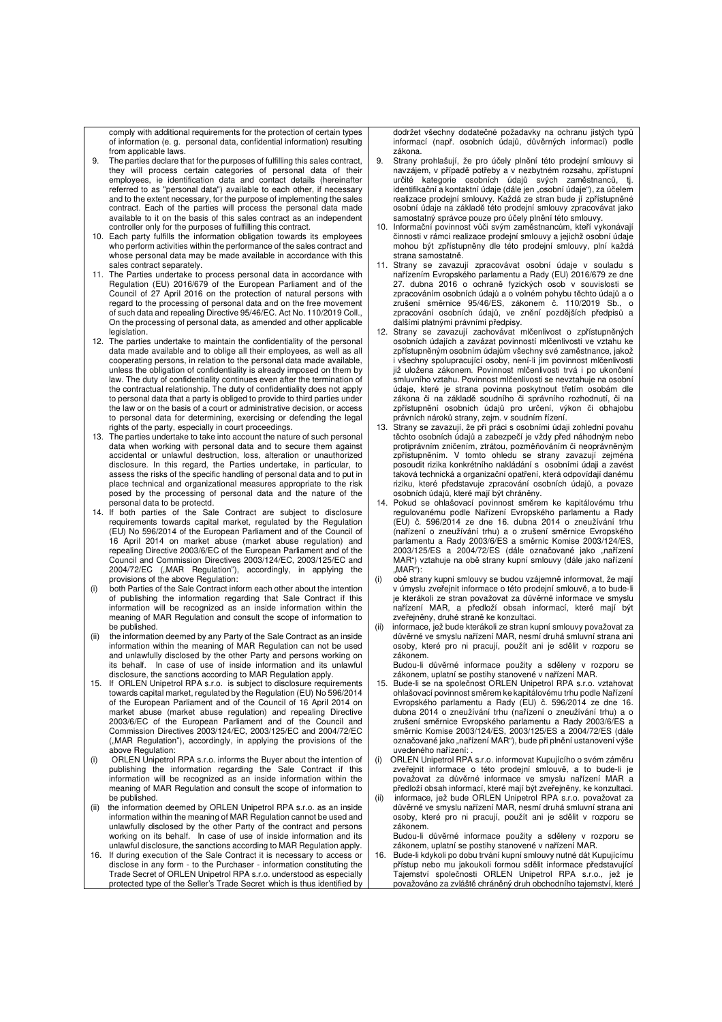comply with additional requirements for the protection of certain types of information (e. g. personal data, confidential information) resulting from applicable laws.

- 9. The parties declare that for the purposes of fulfilling this sales contract, they will process certain categories of personal data of their employees, ie identification data and contact details (hereinafter referred to as "personal data") available to each other, if necessary and to the extent necessary, for the purpose of implementing the sales contract. Each of the parties will process the personal data made available to it on the basis of this sales contract as an independent
- controller only for the purposes of fulfilling this contract. 10. Each party fulfills the information obligation towards its employees who perform activities within the performance of the sales contract and whose personal data may be made available in accordance with this sales contract separately.
- 11. The Parties undertake to process personal data in accordance with Regulation (EU) 2016/679 of the European Parliament and of the Council of 27 April 2016 on the protection of natural persons with regard to the processing of personal data and on the free movement of such data and repealing Directive 95/46/EC. Act No. 110/2019 Coll., On the processing of personal data, as amended and other applicable **legislation**
- 12. The parties undertake to maintain the confidentiality of the personal data made available and to oblige all their employees, as well as all cooperating persons, in relation to the personal data made available, unless the obligation of confidentiality is already imposed on them by law. The duty of confidentiality continues even after the termination of the contractual relationship. The duty of confidentiality does not apply to personal data that a party is obliged to provide to third parties under the law or on the basis of a court or administrative decision, or access to personal data for determining, exercising or defending the legal rights of the party, especially in court proceedings.
- 13. The parties undertake to take into account the nature of such personal data when working with personal data and to secure them against accidental or unlawful destruction, loss, alteration or unauthorized disclosure. In this regard, the Parties undertake, in particular, to assess the risks of the specific handling of personal data and to put in place technical and organizational measures appropriate to the risk posed by the processing of personal data and the nature of the personal data to be protectd.
- 14. If both parties of the Sale Contract are subject to disclosure requirements towards capital market, regulated by the Regulation (EU) No 596/2014 of the European Parliament and of the Council of 16 April 2014 on market abuse (market abuse regulation) and repealing Directive 2003/6/EC of the European Parliament and of the Council and Commission Directives 2003/124/EC, 2003/125/EC and 2004/72/EC ("MAR Regulation"), accordingly, in applying the provisions of the above Regulation:
- (i) both Parties of the Sale Contract inform each other about the intention of publishing the information regarding that Sale Contract if this information will be recognized as an inside information within the meaning of MAR Regulation and consult the scope of information to be published.
- (ii) the information deemed by any Party of the Sale Contract as an inside information within the meaning of MAR Regulation can not be used and unlawfully disclosed by the other Party and persons working on its behalf. In case of use of inside information and its unlawful disclosure, the sanctions according to MAR Regulation apply.
- 15. If ORLEN Unipetrol RPA s.r.o. is subject to disclosure requirements towards capital market, regulated by the Regulation (EU) No 596/2014 of the European Parliament and of the Council of 16 April 2014 on market abuse (market abuse regulation) and repealing Directive 2003/6/EC of the European Parliament and of the Council and Commission Directives 2003/124/EC, 2003/125/EC and 2004/72/EC ("MAR Regulation"), accordingly, in applying the provisions of the above Regulation:
- (i) ORLEN Unipetrol RPA s.r.o. informs the Buyer about the intention of publishing the information regarding the Sale Contract if this information will be recognized as an inside information within the meaning of MAR Regulation and consult the scope of information to be published.
- (ii) the information deemed by ORLEN Unipetrol RPA s.r.o. as an inside information within the meaning of MAR Regulation cannot be used and unlawfully disclosed by the other Party of the contract and persons working on its behalf. In case of use of inside information and its unlawful disclosure, the sanctions according to MAR Regulation apply.
- If during execution of the Sale Contract it is necessary to access or disclose in any form - to the Purchaser - information constituting the Trade Secret of ORLEN Unipetrol RPA s.r.o. understood as especially protected type of the Seller's Trade Secret which is thus identified by

dodržet všechny dodatečné požadavky na ochranu jistých typů informací (např. osobních údajů, důvěrných informací) podle zákona.

- 9. Strany prohlašují, že pro účely plnění této prodejní smlouvy si navzájem, v případě potřeby a v nezbytném rozsahu, zpřístupní určité kategorie osobních údajů svých zaměstnanců, tj. identifikační a kontaktní údaje (dále jen "osobní údaje"), za účelem realizace prodejní smlouvy. Každá ze stran bude jí zpřístupněné osobní údaje na základě této prodejní smlouvy zpracovávat jako samostatný správce pouze pro účely plnění této smlouvy.
- 10. Informační povinnost vůči svým zaměstnancům, kteří vykonávají činnosti v rámci realizace prodejní smlouvy a jejichž osobní údaje mohou být zpřístupněny dle této prodejní smlouvy, plní každá strana samostatně.
- Strany se zavazují zpracovávat osobní údaje v souladu s nařízením Evropského parlamentu a Rady (EU) 2016/679 ze dne 27. dubna 2016 o ochraně fyzických osob v souvislosti se zpracováním osobních údajů a o volném pohybu těchto údajů a o zrušení směrnice 95/46/ES, zákonem č. 110/2019 Sb., o zpracování osobních údajů, ve znění pozdějších předpisů a dalšími platnými právními předpisy.
- 12. Strany se zavazují zachovávat mlčenlivost o zpřístupněných osobních údajích a zavázat povinností mlčenlivosti ve vztahu ke zpřístupněným osobním údajům všechny své zaměstnance, jakož všechny spolupracující osoby, není-li jim povinnost mlčenlivosti již uložena zákonem. Povinnost mlčenlivosti trvá i po ukončení smluvního vztahu. Povinnost mlčenlivosti se nevztahuje na osobní údaje, které je strana povinna poskytnout třetím osobám dle zákona či na základě soudního či správního rozhodnutí, či na zpřístupnění osobních údajů pro určení, výkon či obhajobu
- právních nároků strany, zejm. v soudním řízení. 13. Strany se zavazují, že při práci s osobními údaji zohlední povahu těchto osobních údajů a zabezpečí je vždy před náhodným nebo protiprávním zničením, ztrátou, pozměňováním či neoprávněným zpřístupněním. V tomto ohledu se strany zavazují zejména posoudit rizika konkrétního nakládání s osobními údaji a zavést taková technická a organizační opatření, která odpovídají danému riziku, které představuje zpracování osobních údajů, a povaze osobních údajů, které mají být chráněny.
- 14. Pokud se ohlašovací povinnost směrem ke kapitálovému trhu regulovanému podle Nařízení Evropského parlamentu a Rady (EU) č. 596/2014 ze dne 16. dubna 2014 o zneužívání trhu (nařízení o zneužívání trhu) a o zrušení směrnice Evropského parlamentu a Rady 2003/6/ES a směrnic Komise 2003/124/ES, 2003/125/ES a 2004/72/ES (dále označované jako "nařízení MAR") vztahuje na obě strany kupní smlouvy (dále jako nařízení  $MAR''$ )
- (i) obě strany kupní smlouvy se budou vzájemně informovat, že mají v úmyslu zveřejnit informace o této prodejní smlouvě, a to bude-li je kterákoli ze stran považovat za důvěrné informace ve smyslu nařízení MAR, a předloží obsah informací, které mají být zveřejněny, druhé straně ke konzultaci.
- informace, jež bude kterákoli ze stran kupní smlouvy považovat za důvěrné ve smyslu nařízení MAR, nesmí druhá smluvní strana ani osoby, které pro ni pracují, použít ani je sdělit v rozporu se zákonem.

Budou-li důvěrné informace použity a sděleny v rozporu se zákonem, uplatní se postihy stanovené v nařízení MAR.

- 15. Bude-li se na společnost ORLEN Unipetrol RPA s.r.o. vztahovat ohlašovací povinnost směrem ke kapitálovému trhu podle Nařízení Evropského parlamentu a Rady (EU) č. 596/2014 ze dne 16. dubna 2014 o zneužívání trhu (nařízení o zneužívání trhu) a o zrušení směrnice Evropského parlamentu a Rady 2003/6/ES a směrnic Komise 2003/124/ES, 2003/125/ES a 2004/72/ES (dále označované jako "nařízení MAR"), bude při plnění ustanovení výše uvedeného nařízení: .
- (i) ORLEN Unipetrol RPA s.r.o. informovat Kupujícího o svém záměru zveřejnit informace o této prodejní smlouvě, a to bude-li je považovat za důvěrné informace ve smyslu nařízení MAR a předloží obsah informací, které mají být zveřejněny, ke konzultaci.
- (ii) informace, jež bude ORLEN Unipetrol RPA s.r.o. považovat za důvěrné ve smyslu nařízení MAR, nesmí druhá smluvní strana ani osoby, které pro ni pracují, použít ani je sdělit v rozporu se zákonem.

Budou-li důvěrné informace použity a sděleny v rozporu se zákonem, uplatní se postihy stanovené v nařízení MAR.

Bude-li kdykoli po dobu trvání kupní smlouvy nutné dát Kupujícímu přístup nebo mu jakoukoli formou sdělit informace představující Tajemství společnosti ORLEN Unipetrol RPA s.r.o., jež je považováno za zvláště chráněný druh obchodního tajemství, které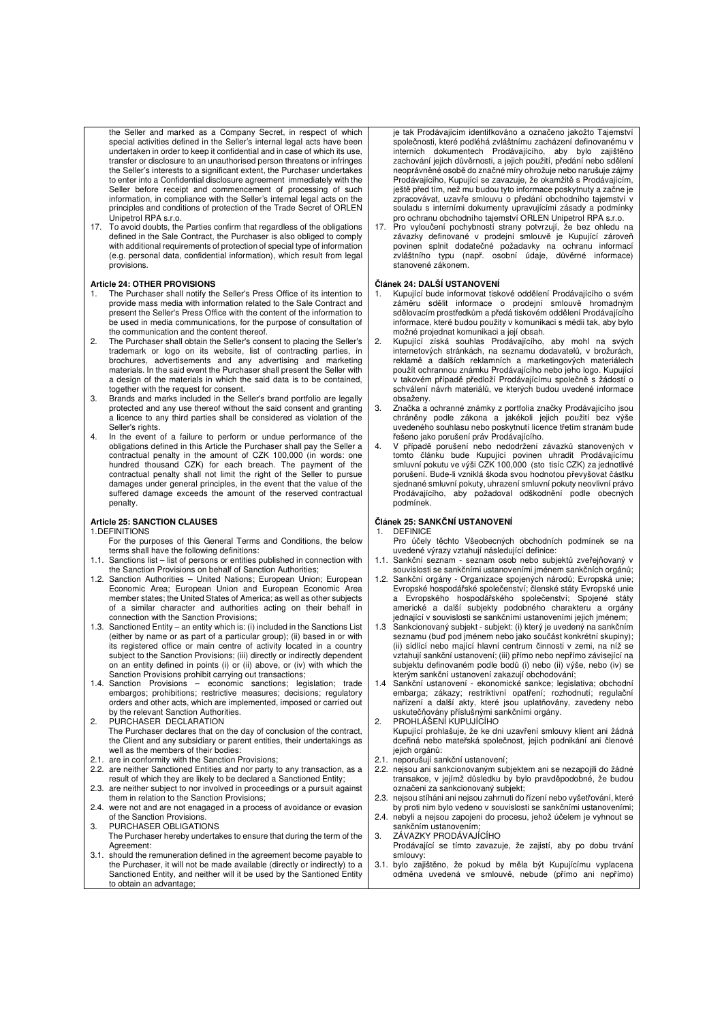the Seller and marked as a Company Secret, in respect of which special activities defined in the Seller's internal legal acts have been undertaken in order to keep it confidential and in case of which its use, transfer or disclosure to an unauthorised person threatens or infringes the Seller's interests to a significant extent, the Purchaser undertakes to enter into a Confidential disclosure agreement immediately with the Seller before receipt and commencement of processing of such information, in compliance with the Seller's internal legal acts on the principles and conditions of protection of the Trade Secret of ORLEN Unipetrol RPA s.r.o.

17. To avoid doubts, the Parties confirm that regardless of the obligations defined in the Sale Contract, the Purchaser is also obliged to comply with additional requirements of protection of special type of information (e.g. personal data, confidential information), which result from legal provisions.

### **Article 24: OTHER PROVISIONS**

- 1. The Purchaser shall notify the Seller's Press Office of its intention to provide mass media with information related to the Sale Contract and present the Seller's Press Office with the content of the information to be used in media communications, for the purpose of consultation of the communication and the content thereof.
- 2. The Purchaser shall obtain the Seller's consent to placing the Seller's trademark or logo on its website, list of contracting parties, in brochures, advertisements and any advertising and marketing materials. In the said event the Purchaser shall present the Seller with a design of the materials in which the said data is to be contained together with the request for consent.
- 3. Brands and marks included in the Seller's brand portfolio are legally protected and any use thereof without the said consent and granting a licence to any third parties shall be considered as violation of the Seller's rights.
- 4. In the event of a failure to perform or undue performance of the obligations defined in this Article the Purchaser shall pay the Seller a contractual penalty in the amount of CZK 100,000 (in words: one hundred thousand CZK) for each breach. The payment of the contractual penalty shall not limit the right of the Seller to pursue damages under general principles, in the event that the value of the suffered damage exceeds the amount of the reserved contractual penalty.

#### **Article 25: SANCTION CLAUSES**

1.DEFINITIONS

- For the purposes of this General Terms and Conditions, the below terms shall have the following definitions:
- 1.1. Sanctions list list of persons or entities published in connection with the Sanction Provisions on behalf of Sanction Authorities;
- 1.2. Sanction Authorities United Nations; European Union; European Economic Area; European Union and European Economic Area member states; the United States of America; as well as other subjects of a similar character and authorities acting on their behalf in connection with the Sanction Provisions;
- 1.3. Sanctioned Entity an entity which is: (i) included in the Sanctions List (either by name or as part of a particular group); (ii) based in or with its registered office or main centre of activity located in a country subject to the Sanction Provisions; (iii) directly or indirectly dependent on an entity defined in points (i) or (ii) above, or (iv) with which the Sanction Provisions prohibit carrying out transactions;
- 1.4. Sanction Provisions economic sanctions; legislation; trade embargos; prohibitions; restrictive measures; decisions; regulatory orders and other acts, which are implemented, imposed or carried out by the relevant Sanction Authorities.
- 2. PURCHASER DECLARATION The Purchaser declares that on the day of conclusion of the contract, the Client and any subsidiary or parent entities, their undertakings as well as the members of their bodies:
- 2.1. are in conformity with the Sanction Provisions;
- 2.2. are neither Sanctioned Entities and nor party to any transaction, as a result of which they are likely to be declared a Sanctioned Entity;
- 2.3. are neither subject to nor involved in proceedings or a pursuit against them in relation to the Sanction Provisions;
- 2.4. were not and are not enagaged in a process of avoidance or evasion of the Sanction Provisions. 3. PURCHASER OBLIGATIONS
- The Purchaser hereby undertakes to ensure that during the term of the Agreement:
- should the remuneration defined in the agreement become payable to the Purchaser, it will not be made available (directly or indirectly) to a Sanctioned Entity, and neither will it be used by the Santioned Entity to obtain an advantage;

je tak Prodávajícím identifkováno a označeno jakožto Tajemství společnosti, které podléhá zvláštnímu zacházení definovanému v interních dokumentech Prodávajícího, aby bylo zajištěno zachování jejich důvěrnosti, a jejich použití, předání nebo sdělení neoprávněné osobě do značné míry ohrožuje nebo narušuje zájmy Prodávajícího, Kupující se zavazuje, že okamžitě s Prodávajícím, ještě před tím, než mu budou tyto informace poskytnuty a začne je zpracovávat, uzavře smlouvu o předání obchodního tajemství v souladu s interními dokumenty upravujícími zásady a podmínky pro ochranu obchodního tajemství ORLEN Unipetrol RPA s.r.o.

17. Pro vyloučení pochybností strany potvrzují, že bez ohledu na závazky definované v prodejní smlouvě je Kupující zároveň povinen splnit dodatečné požadavky na ochranu informací zvláštního typu (např. osobní údaje, důvěrné informace) stanovené zákonem.

### **Článek 24: DALŠÍ USTANOVENÍ**

- 1. Kupující bude informovat tiskové oddělení Prodávajícího o svém záměru sdělit informace o prodejní smlouvě hromadným sdělovacím prostředkům a předá tiskovém oddělení Prodávajícího informace, které budou použity v komunikaci s médii tak, aby bylo
- možné projednat komunikaci a její obsah. 2. Kupující získá souhlas Prodávajícího, aby mohl na svých internetových stránkách, na seznamu dodavatelů, v brožurách, reklamě a dalších reklamních a marketingových materiálech použít ochrannou známku Prodávajícího nebo jeho logo. Kupující v takovém případě předloží Prodávajícímu společně s žádostí o schválení návrh materiálů, ve kterých budou uvedené informace obsaženy.
- 3. Značka a ochranné známky z portfolia značky Prodávajícího jsou chráněny podle zákona a jakékoli jejich použití bez výše uvedeného souhlasu nebo poskytnutí licence třetím stranám bude řešeno jako porušení práv Prodávajícího.
- 4. V případě porušení nebo nedodržení závazků stanovených v tomto článku bude Kupující povinen uhradit Prodávajícímu smluvní pokutu ve výši CZK 100,000 (sto tisíc CZK) za jednotlivé porušení. Bude-li vzniklá škoda svou hodnotou převyšovat částku sjednané smluvní pokuty, uhrazení smluvní pokuty neovlivní právo Prodávajícího, aby požadoval odškodnění podle obecných podmínek.

### **Článek 25: SANKČNÍ USTANOVENÍ**

- 1. DEFINICE
- Pro účely těchto Všeobecných obchodních podmínek se na uvedené výrazy vztahují následující definice:
- 1.1. Sankční seznam seznam osob nebo subjektů zveřejňovaný v souvislosti se sankčními ustanoveními jménem sankčních orgánů;
- Sankční orgány Organizace spojených národů; Evropská unie; Evropské hospodářské společenství; členské státy Evropské unie a Evropského hospodářského společenství; Spojené státy americké a další subjekty podobného charakteru a orgány jednající v souvislosti se sankčními ustanoveními jejich jménem;
- 1.3 Sankcionovaný subjekt subjekt: (i) který je uvedený na sankčním seznamu (buď pod jménem nebo jako součást konkrétní skupiny); (ii) sídlící nebo mající hlavní centrum činnosti v zemi, na níž se vztahují sankční ustanovení; (iii) přímo nebo nepřímo závisející na subjektu definovaném podle bodů (i) nebo (ii) výše, nebo (iv) se kterým sankční ustanovení zakazují obchodování;
- 1.4 Sankční ustanovení ekonomické sankce; legislativa; obchodní embarga; zákazy; restriktivní opatření; rozhodnutí; regulační nařízení a další akty, které jsou uplatňovány, zavedeny nebo uskutečňovány příslušnými sankčními orgány. 2. PROHLÁŠENÍ KUPUJÍCÍHO
- Kupující prohlašuje, že ke dni uzavření smlouvy klient ani žádná dceřiná nebo mateřská společnost, jejich podnikání ani členové jejich orgánů:
- 2.1. neporušují sankční ustanovení;
- 2.2. nejsou ani sankcionovaným subjektem ani se nezapojili do žádné transakce, v jejímž důsledku by bylo pravděpodobné, že budou označeni za sankcionovaný subjekt;
- 2.3. nejsou stíháni ani nejsou zahrnuti do řízení nebo vyšetřování, které by proti nim bylo vedeno v souvislosti se sankčními ustanoveními;
- 2.4. nebyli a nejsou zapojeni do procesu, jehož účelem je vyhnout se sankčním ustanovením;
- 3. ZÁVAZKY PRODÁVAJÍCÍHO Prodávající se tímto zavazuje, že zajistí, aby po dobu trvání smlouvy:
- 3.1. bylo zajištěno, že pokud by měla být Kupujícímu vyplacena odměna uvedená ve smlouvě, nebude (přímo ani nepřímo)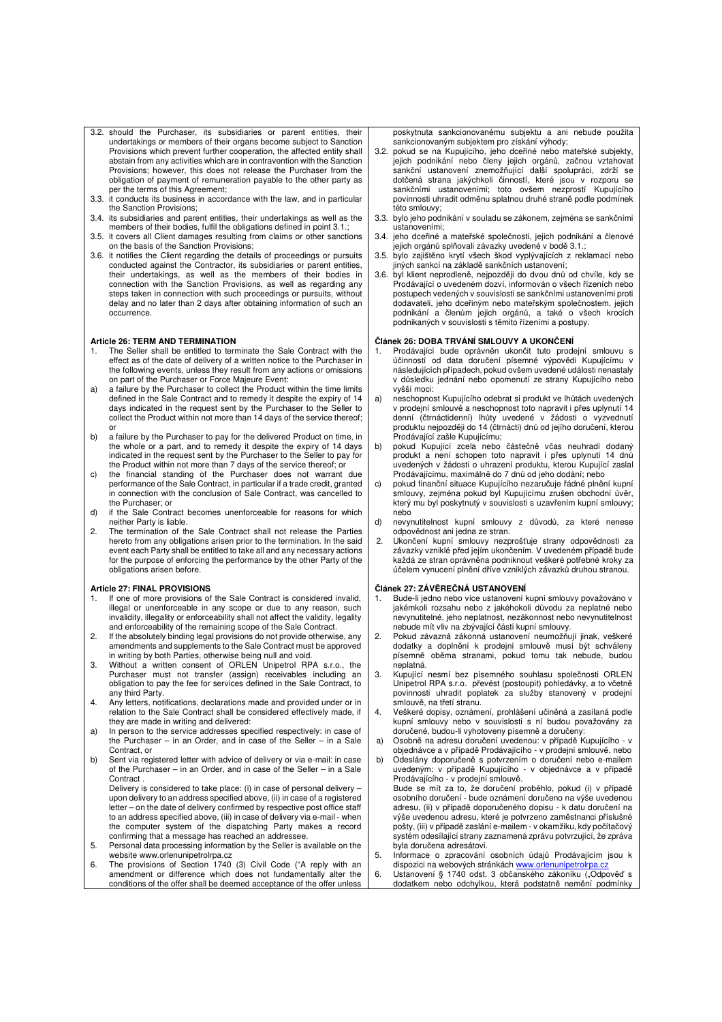- 3.2. should the Purchaser, its subsidiaries or parent entities, their undertakings or members of their organs become subject to Sanction Provisions which prevent further cooperation, the affected entity shall abstain from any activities which are in contravention with the Sanction Provisions; however, this does not release the Purchaser from the obligation of payment of remuneration payable to the other party as per the terms of this Agreement;
- 3.3. it conducts its business in accordance with the law, and in particular the Sanction Provisions;
- 3.4. its subsidiaries and parent entities, their undertakings as well as the members of their bodies, fulfil the obligations defined in point 3.1.;
- 3.5. it covers all Client damages resulting from claims or other sanctions on the basis of the Sanction Provisions;
- 3.6. it notifies the Client regarding the details of proceedings or pursuits conducted against the Contractor, its subsidiaries or parent entities, their undertakings, as well as the members of their bodies in connection with the Sanction Provisions, as well as regarding any steps taken in connection with such proceedings or pursuits, without delay and no later than 2 days after obtaining information of such an occurrence.

#### **Article 26: TERM AND TERMINATION**

- 1. The Seller shall be entitled to terminate the Sale Contract with the effect as of the date of delivery of a written notice to the Purchaser in the following events, unless they result from any actions or omissions are rollowing events, unless they result from any and on part of the Purchaser or Force Majeure Event:
- a) a failure by the Purchaser to collect the Product within the time limits defined in the Sale Contract and to remedy it despite the expiry of 14 days indicated in the request sent by the Purchaser to the Seller to collect the Product within not more than 14 days of the service thereof;
- or b) a failure by the Purchaser to pay for the delivered Product on time, in the whole or a part, and to remedy it despite the expiry of 14 days indicated in the request sent by the Purchaser to the Seller to pay for
- the Product within not more than 7 days of the service thereof; or c) the financial standing of the Purchaser does not warrant due performance of the Sale Contract, in particular if a trade credit, granted in connection with the conclusion of Sale Contract, was cancelled to the Purchaser; or
- d) if the Sale Contract becomes unenforceable for reasons for which neither Party is liable.
- 2. The termination of the Sale Contract shall not release the Parties hereto from any obligations arisen prior to the termination. In the said event each Party shall be entitled to take all and any necessary actions for the purpose of enforcing the performance by the other Party of the obligations arisen before.

#### **Article 27: FINAL PROVISIONS**

- 1. If one of more provisions of the Sale Contract is considered invalid, illegal or unenforceable in any scope or due to any reason, such invalidity, illegality or enforceability shall not affect the validity, legality and enforceability of the remaining scope of the Sale Contract.
- 2. If the absolutely binding legal provisions do not provide otherwise, any amendments and supplements to the Sale Contract must be approved
- in writing by both Parties, otherwise being null and void. 3. Without a written consent of ORLEN Unipetrol RPA s.r.o., the Purchaser must not transfer (assign) receivables including an obligation to pay the fee for services defined in the Sale Contract, to any third Party.
- 4. Any letters, notifications, declarations made and provided under or in relation to the Sale Contract shall be considered effectively made, if they are made in writing and delivered:
- a) In person to the service addresses specified respectively: in case of the Purchaser – in an Order, and in case of the Seller – in a Sale Contract, or
- b) Sent via registered letter with advice of delivery or via e-mail: in case of the Purchaser – in an Order, and in case of the Seller – in a Sale Contract.

Delivery is considered to take place: (i) in case of personal delivery – upon delivery to an address specified above, (ii) in case of a registered letter – on the date of delivery confirmed by respective post office staff to an address specified above, (iii) in case of delivery via e-mail - when the computer system of the dispatching Party makes a record

- confirming that a message has reached an addressee. 5. Personal data processing information by the Seller is available on the website www.orlenunipetrolrpa.cz
- 6. The provisions of Section 1740 (3) Civil Code ("A reply with an amendment or difference which does not fundamentally alter the conditions of the offer shall be deemed acceptance of the offer unless

poskytnuta sankcionovanému subjektu a ani nebude použita sankcionovaným subjektem pro získání výhody;

- 3.2. pokud se na Kupujícího, jeho dceřiné nebo mateřské subjekty, jejich podnikání nebo členy jejich orgánů, začnou vztahovat sankční ustanovení znemožňující další spolupráci, zdrží se dotčená strana jakýchkoli činností, které jsou v rozporu se sankčními ustanoveními; toto ovšem nezprostí Kupujícího povinnosti uhradit odměnu splatnou druhé straně podle podmínek této smlouvy;
- 3.3. bylo jeho podnikání v souladu se zákonem, zejména se sankčními ustanoveními;
- 3.4. jeho dceřiné a mateřské společnosti, jejich podnikání a členové jejich orgánů splňovali závazky uvedené v bodě 3.1.;
- 3.5. bylo zajištěno krytí všech škod vyplývajících z reklamací nebo jiných sankcí na základě sankčních ustanovení;
- 3.6. byl klient neprodleně, nejpozději do dvou dnů od chvíle, kdy se Prodávající o uvedeném dozví, informován o všech řízeních nebo postupech vedených v souvislosti se sankčními ustanoveními proti dodavateli, jeho dceřiným nebo mateřským společnostem, jejich podnikání a členům jejich orgánů, a také o všech krocích podnikaných v souvislosti s těmito řízeními a postupy.

#### **Článek 26: DOBA TRVÁNÍ SMLOUVY A UKONČENÍ**

- 1. Prodávající bude oprávněn ukončit tuto prodejní smlouvu s účinností od data doručení písemné výpovědi Kupujícímu v následujících případech, pokud ovšem uvedené události nenastaly v důsledku jednání nebo opomenutí ze strany Kupujícího nebo vyšší moci:
- a) neschopnost Kupujícího odebrat si produkt ve lhůtách uvedených v prodejní smlouvě a neschopnost toto napravit i přes uplynutí 14 denní (čtrnáctidenní) lhůty uvedené v žádosti o vyzvednutí produktu nejpozději do 14 (čtrnácti) dnů od jejího doručení, kterou Prodávající zašle Kupujícímu;
- b) pokud Kupující zcela nebo částečně včas neuhradí dodaný produkt a není schopen toto napravit i přes uplynutí 14 dnů uvedených v žádosti o uhrazení produktu, kterou Kupující zaslal Prodávajícímu, maximálně do 7 dnů od jeho dodání; nebo
- c) pokud finanční situace Kupujícího nezaručuje řádné plnění kupní smlouvy, zejména pokud byl Kupujícímu zrušen obchodní úvěr, který mu byl poskytnutý v souvislosti s uzavřením kupní smlouvy; nebo
- d) nevynutitelnost kupní smlouvy z důvodů, za které nenese odpovědnost ani jedna ze stran.
- 2. Ukončení kupní smlouvy nezprošťuje strany odpovědnosti za závazky vzniklé před jejím ukončením. V uvedeném případě bude každá ze stran oprávněna podniknout veškeré potřebné kroky za účelem vynucení plnění dříve vzniklých závazků druhou stranou.

#### **Článek 27: ZÁVĚREČNÁ USTANOVENÍ**

- Bude-li jedno nebo více ustanovení kupní smlouvy považováno v jakémkoli rozsahu nebo z jakéhokoli důvodu za neplatné nebo nevynutitelné, jeho neplatnost, nezákonnost nebo nevynutitelnost nebude mít vliv na zbývající části kupní smlouvy.
- 2. Pokud závazná zákonná ustanovení neumožňují jinak, veškeré dodatky a doplnění k prodejní smlouvě musí být schváleny písemně oběma stranami, pokud tomu tak nebude, budou .<br>neplatná.
- 3. Kupující nesmí bez písemného souhlasu společnosti ORLEN Unipetrol RPA s.r.o. převést (postoupit) pohledávky, a to včetně povinnosti uhradit poplatek za služby stanovený v prodejní smlouvě, na třetí stranu.
- 4. Veškeré dopisy, oznámení, prohlášení učiněná a zasílaná podle kupní smlouvy nebo v souvislosti s ní budou považovány za doručené, budou-li vyhotoveny písemně a doručeny:
- a) Osobně na adresu doručení uvedenou: v případě Kupujícího v objednávce a v případě Prodávajícího - v prodejní smlouvě, nebo
- b) Odeslány doporučeně s potvrzením o doručení nebo e-mailem uvedeným: v případě Kupujícího - v objednávce a v případě Prodávajícího - v prodejní smlouvě.
- Bude se mít za to, že doručení proběhlo, pokud (i) v případě osobního doručení bude oznámení doručeno na výše uvedenou adresu, (ii) v případě doporučeného dopisu - k datu doručení na výše uvedenou adresu, které je potvrzeno zaměstnanci příslušné pošty, (iii) v případě zaslání e-mailem - v okamžiku, kdy počítačový systém odesílající strany zaznamená zprávu potvrzující, že zpráva byla doručena adresátovi.
- Informace o zpracování osobních údajů Prodávajícím jsou k dispozici na webových stránkách www.c
- 6. Ustanovení § 1740 odst. 3 občanského zákoníku ("Odpověď s dodatkem nebo odchylkou, která podstatně nemění podmínky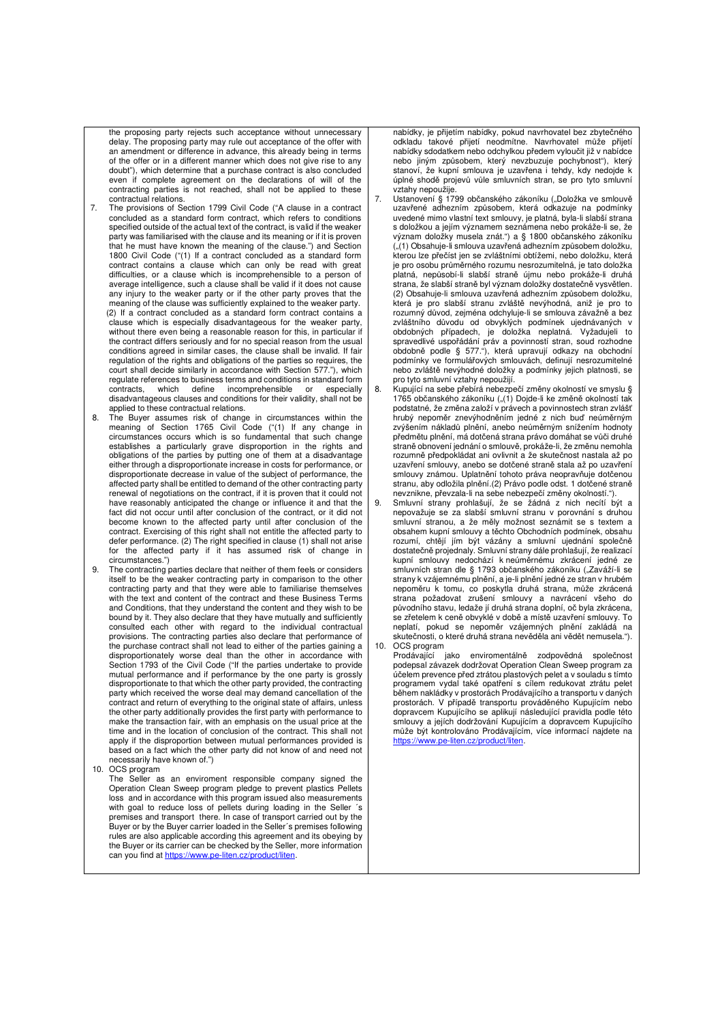the proposing party rejects such acceptance without unnecessary delay. The proposing party may rule out acceptance of the offer with an amendment or difference in advance, this already being in terms of the offer or in a different manner which does not give rise to any doubt"), which determine that a purchase contract is also concluded even if complete agreement on the declarations of will of the contracting parties is not reached, shall not be applied to these contractual relations.

- 7. The provisions of Section 1799 Civil Code ("A clause in a contract concluded as a standard form contract, which refers to conditions specified outside of the actual text of the contract, is valid if the weaker party was familiarised with the clause and its meaning or if it is proven that he must have known the meaning of the clause.") and Section 1800 Civil Code ("(1) If a contract concluded as a standard form contract contains a clause which can only be read with great difficulties, or a clause which is incomprehensible to a person of average intelligence, such a clause shall be valid if it does not cause any injury to the weaker party or if the other party proves that the meaning of the clause was sufficiently explained to the weaker party. (2) If a contract concluded as a standard form contract contains a clause which is especially disadvantageous for the weaker party, without there even being a reasonable reason for this, in particular if the contract differs seriously and for no special reason from the usual conditions agreed in similar cases, the clause shall be invalid. If fair regulation of the rights and obligations of the parties so requires, the court shall decide similarly in accordance with Section 577."), which regulate references to business terms and conditions in standard form<br>contracts. which define incomprehensible or especially which define incomprehensible or especially disadvantageous clauses and conditions for their validity, shall not be applied to these contractual relations.
- 8. The Buyer assumes risk of change in circumstances within the meaning of Section 1765 Civil Code ("(1) If any change in circumstances occurs which is so fundamental that such change establishes a particularly grave disproportion in the rights and obligations of the parties by putting one of them at a disadvantage either through a disproportionate increase in costs for performance, or disproportionate decrease in value of the subject of performance, the affected party shall be entitled to demand of the other contracting party renewal of negotiations on the contract, if it is proven that it could not have reasonably anticipated the change or influence it and that the fact did not occur until after conclusion of the contract, or it did not become known to the affected party until after conclusion of the contract. Exercising of this right shall not entitle the affected party to defer performance. (2) The right specified in clause (1) shall not arise for the affected party if it has assumed risk of change in circumstances.")
- The contracting parties declare that neither of them feels or considers itself to be the weaker contracting party in comparison to the other contracting party and that they were able to familiarise themselves with the text and content of the contract and these Business Terms and Conditions, that they understand the content and they wish to be bound by it. They also declare that they have mutually and sufficiently consulted each other with regard to the individual contractual provisions. The contracting parties also declare that performance of the purchase contract shall not lead to either of the parties gaining a disproportionately worse deal than the other in accordance with Section 1793 of the Civil Code ("If the parties undertake to provide mutual performance and if performance by the one party is grossly disproportionate to that which the other party provided, the contracting party which received the worse deal may demand cancellation of the contract and return of everything to the original state of affairs, unless the other party additionally provides the first party with performance to make the transaction fair, with an emphasis on the usual price at the time and in the location of conclusion of the contract. This shall not apply if the disproportion between mutual performances provided is based on a fact which the other party did not know of and need not necessarily have known of.")
- 10. OCS program

The Seller as an enviroment responsible company signed the Operation Clean Sweep program pledge to prevent plastics Pellets loss and in accordance with this program issued also measurements with goal to reduce loss of pellets during loading in the Seller 's premises and transport there. In case of transport carried out by the Buyer or by the Buyer carrier loaded in the Seller´s premises following rules are also applicable according this agreement and its obeying by the Buyer or its carrier can be checked by the Seller, more information can you find at https://www.pe-liten.cz/product/liten.

nabídky, je přijetím nabídky, pokud navrhovatel bez zbytečného odkladu takové přijetí neodmítne. Navrhovatel může přijetí nabídky sdodatkem nebo odchylkou předem vyloučit již v nabídce nebo jiným způsobem, který nevzbuzuje pochybnost"), který stanoví, že kupní smlouva je uzavřena i tehdy, kdy nedojde k úplné shodě projevů vůle smluvních stran, se pro tyto smluvní vztahy nepoužije.

- 7. Ustanovení § 1799 občanského zákoníku ("Doložka ve smlouvě<br>uzavřené adhezním způsobem, která odkazuje na podmínky uvedené mimo vlastní text smlouvy, je platná, byla-li slabší strana s doložkou a jejím významem seznámena nebo prokáže-li se, že význam doložky musela znát.") a § 1800 občanského zákoníku ("(1) Obsahuje-li smlouva uzavřená adhezním způsobem doložku, kterou lze přečíst jen se zvláštními obtížemi, nebo doložku, která je pro osobu průměrného rozumu nesrozumitelná, je tato doložka platná, nepůsobí-li slabší straně újmu nebo prokáže-li druhá strana, že slabší straně byl význam doložky dostatečně vysvětlen. (2) Obsahuje-li smlouva uzavřená adhezním způsobem doložku, která je pro slabší stranu zvláště nevýhodná, aniž je pro to rozumný důvod, zejména odchyluje-li se smlouva závažně a bez zvláštního důvodu od obvyklých podmínek ujednávaných v obdobných případech, je doložka neplatná. Vyžadujeli to spravedlivé uspořádání práv a povinností stran, soud rozhodne obdobně podle § 577."), která upravují odkazy na obchodní podmínky ve formulářových smlouvách, definují nesrozumitelné nebo zvláště nevýhodné doložky a podmínky jejich platnosti, se pro tyto smluvní vztahy nepoužijí.
- 8. Kupující na sebe přebírá nebezpečí změny okolností ve smyslu § 1765 občanského zákoníku ("(1) Dojde-li ke změně okolností tak podstatné, že změna založí v právech a povinnostech stran zvlášť hrubý nepoměr znevýhodněním jedné z nich buď neúměrným zvýšením nákladů plnění, anebo neúměrným snížením hodnoty předmětu plnění, má dotčená strana právo domáhat se vůči druhé straně obnovení jednání o smlouvě, prokáže-li, že změnu nemohla rozumně předpokládat ani ovlivnit a že skutečnost nastala až po uzavření smlouvy, anebo se dotčené straně stala až po uzavření smlouvy známou. Uplatnění tohoto práva neopravňuje dotčenou stranu, aby odložila plnění.(2) Právo podle odst. 1 dotčené straně nevznikne, převzala-li na sebe nebezpečí změny okolností.").
- 9. Smluvní strany prohlašují, že se žádná z nich necítí být a nepovažuje se za slabší smluvní stranu v porovnání s druhou smluvní stranou, a že měly možnost seznámit se s textem a obsahem kupní smlouvy a těchto Obchodních podmínek, obsahu rozumí, chtějí jím být vázány a smluvní ujednání společně dostatečně projednaly. Smluvní strany dále prohlašují, že realizací kupní smlouvy nedochází k neúměrnému zkrácení jedné ze smluvních stran dle § 1793 občanského zákoníku ("Zaváží-li se strany k vzájemnému plnění, a je-li plnění jedné ze stran v hrubém nepoměru k tomu, co poskytla druhá strana, může zkrácená strana požadovat zrušení smlouvy a navrácení všeho do původního stavu, ledaže jí druhá strana doplní, oč byla zkrácena, se zřetelem k ceně obvyklé v době a místě uzavření smlouvy. To neplatí, pokud se nepoměr vzájemných plnění zakládá na skutečnosti, o které druhá strana nevěděla ani vědět nemusela."). 10. OCS program<br>Prodávající jako

Prodávající jako enviromentálně zodpovědná společnost podepsal závazek dodržovat Operation Clean Sweep program za účelem prevence před ztrátou plastových pelet a v souladu s tímto programem vydal také opatření s cílem redukovat ztrátu pelet během nakládky v prostorách Prodávajícího a transportu v daných prostorách. V případě transportu prováděného Kupujícím nebo dopravcem Kupujícího se aplikují následující pravidla podle této smlouvy a jejích dodržování Kupujícím a dopravcem Kupujícího může být kontrolováno Prodávajícím, více informací najdete na https://www.pe-liten.cz/product/liten.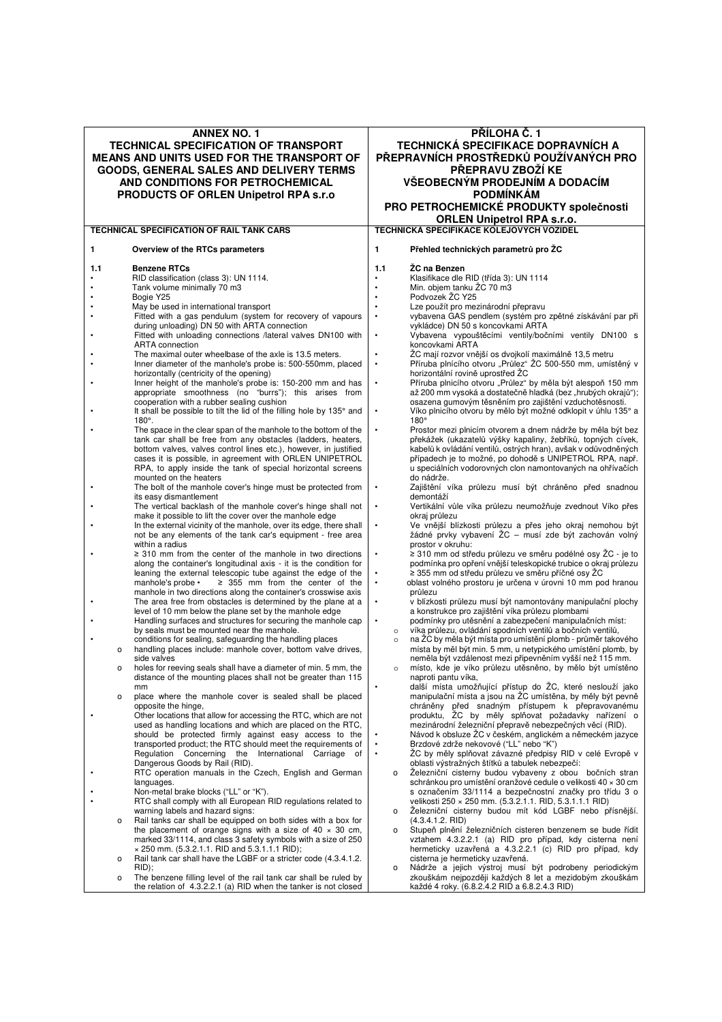| <b>ANNEX NO. 1</b><br><b>TECHNICAL SPECIFICATION OF TRANSPORT</b><br>MEANS AND UNITS USED FOR THE TRANSPORT OF<br>GOODS, GENERAL SALES AND DELIVERY TERMS<br>AND CONDITIONS FOR PETROCHEMICAL<br><b>PRODUCTS OF ORLEN Unipetrol RPA s.r.o</b> |                                                                                                                       |           | PŘÍLOHA Č. 1<br>TECHNICKÁ SPECIFIKACE DOPRAVNÍCH A<br>PŘEPRAVNÍCH PROSTŘEDKŮ POUŽÍVANÝCH PRO<br>PŘEPRAVU ZBOŽÍ KE<br>VŠEOBECNÝM PRODEJNÍM A DODACÍM<br><b>PODMÍNKÁM</b><br>PRO PETROCHEMICKÉ PRODUKTY společnosti |  |  |
|-----------------------------------------------------------------------------------------------------------------------------------------------------------------------------------------------------------------------------------------------|-----------------------------------------------------------------------------------------------------------------------|-----------|-------------------------------------------------------------------------------------------------------------------------------------------------------------------------------------------------------------------|--|--|
|                                                                                                                                                                                                                                               |                                                                                                                       |           | <b>ORLEN Unipetrol RPA s.r.o.</b>                                                                                                                                                                                 |  |  |
|                                                                                                                                                                                                                                               | TECHNICAL SPECIFICATION OF RAIL TANK CARS                                                                             |           | TECHNICKÁ SPECIFIKACE KOLEJOVÝCH VOZIDEL                                                                                                                                                                          |  |  |
| 1                                                                                                                                                                                                                                             | Overview of the RTCs parameters                                                                                       | 1         | Přehled technických parametrů pro ŽC                                                                                                                                                                              |  |  |
| 1.1                                                                                                                                                                                                                                           | <b>Benzene RTCs</b>                                                                                                   | 1.1       | ŽC na Benzen                                                                                                                                                                                                      |  |  |
|                                                                                                                                                                                                                                               | RID classification (class 3): UN 1114.                                                                                | $\bullet$ | Klasifikace dle RID (třída 3): UN 1114                                                                                                                                                                            |  |  |
|                                                                                                                                                                                                                                               | Tank volume minimally 70 m3                                                                                           |           | Min. objem tanku ŽC 70 m3                                                                                                                                                                                         |  |  |
|                                                                                                                                                                                                                                               | Bogie Y25                                                                                                             |           | Podvozek ŽC Y25                                                                                                                                                                                                   |  |  |
|                                                                                                                                                                                                                                               | May be used in international transport                                                                                |           | Lze použít pro mezinárodní přepravu                                                                                                                                                                               |  |  |
|                                                                                                                                                                                                                                               | Fitted with a gas pendulum (system for recovery of vapours                                                            | $\bullet$ | vybavena GAS pendlem (systém pro zpětné získávání par při                                                                                                                                                         |  |  |
|                                                                                                                                                                                                                                               | during unloading) DN 50 with ARTA connection                                                                          |           | vykládce) DN 50 s koncovkami ARTA                                                                                                                                                                                 |  |  |
|                                                                                                                                                                                                                                               | Fitted with unloading connections /lateral valves DN100 with                                                          | $\bullet$ | Vybavena vypouštěcími ventily/bočními ventily DN100 s                                                                                                                                                             |  |  |
|                                                                                                                                                                                                                                               | <b>ARTA</b> connection                                                                                                |           | koncovkami ARTA                                                                                                                                                                                                   |  |  |
|                                                                                                                                                                                                                                               | The maximal outer wheelbase of the axle is 13.5 meters.                                                               |           | ŽC mají rozvor vnější os dvojkolí maximálně 13,5 metru                                                                                                                                                            |  |  |
|                                                                                                                                                                                                                                               |                                                                                                                       | $\bullet$ | Příruba plnícího otvoru "Průlez" ŽC 500-550 mm, umístěný v                                                                                                                                                        |  |  |
|                                                                                                                                                                                                                                               | Inner diameter of the manhole's probe is: 500-550mm, placed                                                           |           |                                                                                                                                                                                                                   |  |  |
|                                                                                                                                                                                                                                               | horizontally (centricity of the opening)                                                                              |           | horizontální rovině uprostřed ŽC                                                                                                                                                                                  |  |  |
|                                                                                                                                                                                                                                               | Inner height of the manhole's probe is: 150-200 mm and has                                                            |           | Příruba plnicího otvoru "Průlez" by měla být alespoň 150 mm                                                                                                                                                       |  |  |
|                                                                                                                                                                                                                                               | appropriate smoothness (no "burrs"); this arises from                                                                 |           | až 200 mm vysoká a dostatečně hladká (bez "hrubých okrajů");                                                                                                                                                      |  |  |
|                                                                                                                                                                                                                                               | cooperation with a rubber sealing cushion<br>It shall be possible to tilt the lid of the filling hole by 135° and     | $\bullet$ | osazena gumovým těsněním pro zajištění vzduchotěsnosti.                                                                                                                                                           |  |  |
|                                                                                                                                                                                                                                               |                                                                                                                       |           | Víko plnicího otvoru by mělo být možné odklopit v úhlu 135° a                                                                                                                                                     |  |  |
|                                                                                                                                                                                                                                               | $180^\circ$ .                                                                                                         |           | $180^\circ$                                                                                                                                                                                                       |  |  |
|                                                                                                                                                                                                                                               | The space in the clear span of the manhole to the bottom of the                                                       | $\bullet$ | Prostor mezi plnicím otvorem a dnem nádrže by měla být bez                                                                                                                                                        |  |  |
|                                                                                                                                                                                                                                               | tank car shall be free from any obstacles (ladders, heaters,                                                          |           | překážek (ukazatelů výšky kapaliny, žebříků, topných cívek,                                                                                                                                                       |  |  |
|                                                                                                                                                                                                                                               | bottom valves, valves control lines etc.), however, in justified                                                      |           | kabelů k ovládání ventilů, ostrých hran), avšak v odůvodněných                                                                                                                                                    |  |  |
|                                                                                                                                                                                                                                               | cases it is possible, in agreement with ORLEN UNIPETROL                                                               |           | případech je to možné, po dohodě s UNIPETROL RPA, např.                                                                                                                                                           |  |  |
|                                                                                                                                                                                                                                               | RPA, to apply inside the tank of special horizontal screens                                                           |           | u speciálních vodorovných clon namontovaných na ohřívačích                                                                                                                                                        |  |  |
|                                                                                                                                                                                                                                               | mounted on the heaters                                                                                                |           | do nádrže.                                                                                                                                                                                                        |  |  |
|                                                                                                                                                                                                                                               | The bolt of the manhole cover's hinge must be protected from                                                          |           | Zajištění víka průlezu musí být chráněno před snadnou                                                                                                                                                             |  |  |
|                                                                                                                                                                                                                                               | its easy dismantlement                                                                                                |           | demontáží                                                                                                                                                                                                         |  |  |
|                                                                                                                                                                                                                                               | The vertical backlash of the manhole cover's hinge shall not                                                          | $\bullet$ | Vertikální vůle víka průlezu neumožňuje zvednout Víko přes                                                                                                                                                        |  |  |
|                                                                                                                                                                                                                                               | make it possible to lift the cover over the manhole edge                                                              |           | okraj průlezu                                                                                                                                                                                                     |  |  |
|                                                                                                                                                                                                                                               | In the external vicinity of the manhole, over its edge, there shall                                                   | $\bullet$ | Ve vnější blízkosti průlezu a přes jeho okraj nemohou být                                                                                                                                                         |  |  |
|                                                                                                                                                                                                                                               | not be any elements of the tank car's equipment - free area                                                           |           | žádné prvky vybavení ŽC – musí zde být zachován volný                                                                                                                                                             |  |  |
|                                                                                                                                                                                                                                               | within a radius                                                                                                       |           | prostor v okruhu:                                                                                                                                                                                                 |  |  |
|                                                                                                                                                                                                                                               | $\geq$ 310 mm from the center of the manhole in two directions                                                        | $\bullet$ | ≥ 310 mm od středu průlezu ve směru podélné osy ŽC - je to                                                                                                                                                        |  |  |
|                                                                                                                                                                                                                                               | along the container's longitudinal axis - it is the condition for                                                     |           | podmínka pro opření vnější teleskopické trubice o okraj průlezu                                                                                                                                                   |  |  |
|                                                                                                                                                                                                                                               | leaning the external telescopic tube against the edge of the                                                          |           | ≥ 355 mm od středu průlezu ve směru příčné osy ŽC                                                                                                                                                                 |  |  |
|                                                                                                                                                                                                                                               | manhole's probe •<br>$\geq$ 355 mm from the center of the                                                             |           | oblast volného prostoru je určena v úrovni 10 mm pod hranou                                                                                                                                                       |  |  |
|                                                                                                                                                                                                                                               | manhole in two directions along the container's crosswise axis                                                        |           | průlezu                                                                                                                                                                                                           |  |  |
|                                                                                                                                                                                                                                               | The area free from obstacles is determined by the plane at a                                                          |           | v blízkosti průlezu musí být namontovány manipulační plochy                                                                                                                                                       |  |  |
|                                                                                                                                                                                                                                               | level of 10 mm below the plane set by the manhole edge                                                                |           | a konstrukce pro zajištění víka průlezu plombami                                                                                                                                                                  |  |  |
|                                                                                                                                                                                                                                               | Handling surfaces and structures for securing the manhole cap                                                         | $\bullet$ | podmínky pro utěsnění a zabezpečení manipulačních míst:                                                                                                                                                           |  |  |
|                                                                                                                                                                                                                                               | by seals must be mounted near the manhole.                                                                            | $\circ$   | víka průlezu, ovládání spodních ventilů a bočních ventilů,                                                                                                                                                        |  |  |
|                                                                                                                                                                                                                                               | conditions for sealing, safeguarding the handling places                                                              | $\circ$   | na ŽC by měla být místa pro umístění plomb - průměr takového                                                                                                                                                      |  |  |
|                                                                                                                                                                                                                                               | handling places include: manhole cover, bottom valve drives,<br>о                                                     |           | místa by měl být min. 5 mm, u netypického umístění plomb, by                                                                                                                                                      |  |  |
|                                                                                                                                                                                                                                               | side valves                                                                                                           |           | neměla být vzdálenost mezi připevněním vyšší než 115 mm.                                                                                                                                                          |  |  |
|                                                                                                                                                                                                                                               | holes for reeving seals shall have a diameter of min. 5 mm, the<br>о                                                  | $\circ$   | místo, kde je víko průlezu utěsněno, by mělo být umístěno                                                                                                                                                         |  |  |
|                                                                                                                                                                                                                                               | distance of the mounting places shall not be greater than 115                                                         | $\bullet$ | naproti pantu víka,                                                                                                                                                                                               |  |  |
|                                                                                                                                                                                                                                               | mm                                                                                                                    |           | další místa umožňující přístup do ŽC, které neslouží jako<br>manipulační místa a jsou na ŽC umístěna, by měly být pevně                                                                                           |  |  |
|                                                                                                                                                                                                                                               | place where the manhole cover is sealed shall be placed<br>о                                                          |           | chráněny před snadným přístupem k přepravovanému                                                                                                                                                                  |  |  |
|                                                                                                                                                                                                                                               | opposite the hinge.                                                                                                   |           |                                                                                                                                                                                                                   |  |  |
|                                                                                                                                                                                                                                               | Other locations that allow for accessing the RTC, which are not                                                       |           | produktu, ZC by měly splňovat požadavky nařízení o                                                                                                                                                                |  |  |
|                                                                                                                                                                                                                                               | used as handling locations and which are placed on the RTC,                                                           |           | mezinárodní železniční přepravě nebezpečných věcí (RID).                                                                                                                                                          |  |  |
|                                                                                                                                                                                                                                               | should be protected firmly against easy access to the<br>transported product; the RTC should meet the requirements of |           | Návod k obsluze ŽC v českém, anglickém a německém jazyce<br>Brzdové zdrže nekovové ("LL" nebo "K")                                                                                                                |  |  |
|                                                                                                                                                                                                                                               |                                                                                                                       |           |                                                                                                                                                                                                                   |  |  |
|                                                                                                                                                                                                                                               | Regulation Concerning the International Carriage of<br>Dangerous Goods by Rail (RID).                                 |           | ŻC by měly splňovat závazné předpisy RID v celé Evropě v<br>oblasti výstražných štítků a tabulek nebezpečí:                                                                                                       |  |  |
|                                                                                                                                                                                                                                               |                                                                                                                       |           |                                                                                                                                                                                                                   |  |  |
|                                                                                                                                                                                                                                               | RTC operation manuals in the Czech, English and German                                                                | o         | Železniční cisterny budou vybaveny z obou bočních stran                                                                                                                                                           |  |  |
|                                                                                                                                                                                                                                               | languages.<br>Non-metal brake blocks ("LL" or "K").                                                                   |           | schránkou pro umístění oranžové cedule o velikosti 40 × 30 cm                                                                                                                                                     |  |  |
|                                                                                                                                                                                                                                               | RTC shall comply with all European RID regulations related to                                                         |           | s označením 33/1114 a bezpečnostní značky pro třídu 3 o                                                                                                                                                           |  |  |
|                                                                                                                                                                                                                                               |                                                                                                                       |           | velikosti 250 × 250 mm. (5.3.2.1.1. RID, 5.3.1.1.1 RID)                                                                                                                                                           |  |  |
|                                                                                                                                                                                                                                               | warning labels and hazard signs:                                                                                      | о         | Zelezniční cisterny budou mít kód LGBF nebo přísnější.                                                                                                                                                            |  |  |
|                                                                                                                                                                                                                                               | Rail tanks car shall be equipped on both sides with a box for<br>о                                                    |           | $(4.3.4.1.2.$ RID)                                                                                                                                                                                                |  |  |
|                                                                                                                                                                                                                                               | the placement of orange signs with a size of 40 $\times$ 30 cm,                                                       | o         | Stupeň plnění železničních cisteren benzenem se bude řídit                                                                                                                                                        |  |  |
|                                                                                                                                                                                                                                               | marked 33/1114, and class 3 safety symbols with a size of 250                                                         |           | vztahem 4.3.2.2.1 (a) RID pro případ, kdy cisterna není                                                                                                                                                           |  |  |
|                                                                                                                                                                                                                                               | $\times$ 250 mm. (5.3.2.1.1. RID and 5.3.1.1.1 RID);                                                                  |           | hermeticky uzavřená a 4.3.2.2.1 (c) RID pro případ, kdy                                                                                                                                                           |  |  |
|                                                                                                                                                                                                                                               | Rail tank car shall have the LGBF or a stricter code (4.3.4.1.2.<br>о                                                 |           | cisterna je hermeticky uzavřená.                                                                                                                                                                                  |  |  |
|                                                                                                                                                                                                                                               | RID);                                                                                                                 | о         | Nádrže a jejich výstroj musí být podrobeny periodickým                                                                                                                                                            |  |  |
|                                                                                                                                                                                                                                               | The benzene filling level of the rail tank car shall be ruled by<br>о                                                 |           | zkouškám nejpozději každých 8 let a mezidobým zkouškám                                                                                                                                                            |  |  |
|                                                                                                                                                                                                                                               | the relation of $4.3.2.2.1$ (a) RID when the tanker is not closed                                                     |           | každé 4 roky. (6.8.2.4.2 RID a 6.8.2.4.3 RID)                                                                                                                                                                     |  |  |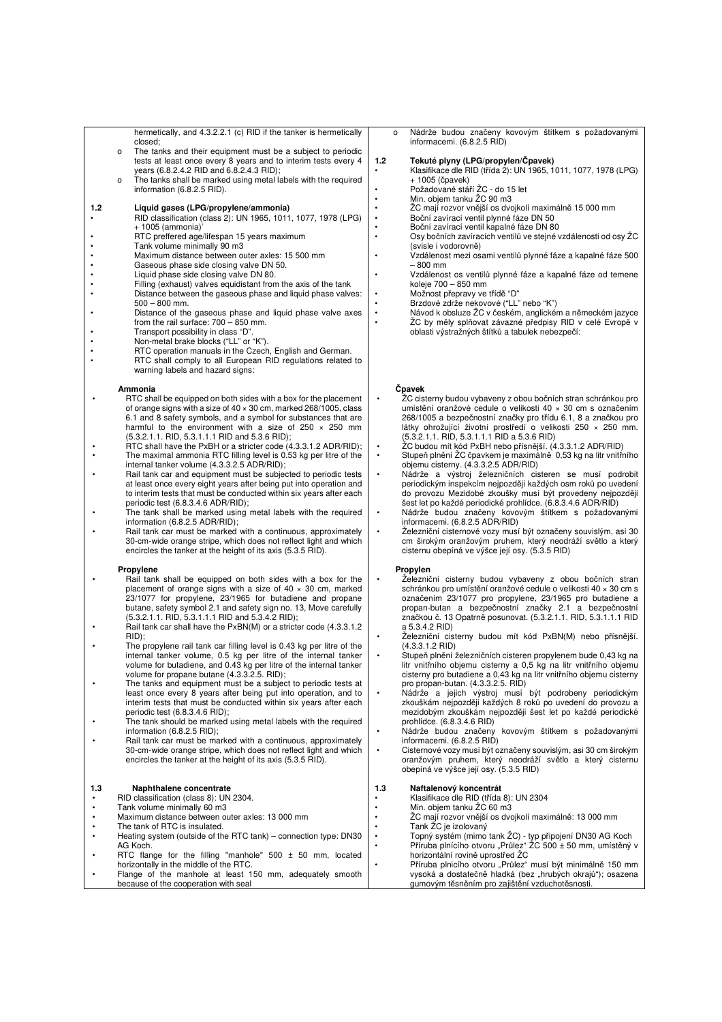hermetically, and 4.3.2.2.1 (c) RID if the tanker is hermetically closed; o The tanks and their equipment must be a subject to periodic

- tests at least once every 8 years and to interim tests every 4 years (6.8.2.4.2 RID and 6.8.2.4.3 RID);
- The tanks shall be marked using metal labels with the required information (6.8.2.5 RID).

### **1.2 Liquid gases (LPG/propylene/ammonia)**

- RID classification (class 2): UN 1965, 1011, 1077, 1978 (LPG) + 1005 (ammonia)' • RTC preffered age/lifespan 15 years maximum
- 
- Tank volume minimally 90 m3
- Maximum distance between outer axles: 15 500 mm
- Gaseous phase side closing valve DN 50.
- Liquid phase side closing valve DN 80.<br>• Filling (exhaust) valves equidistant from
- Filling (exhaust) valves equidistant from the axis of the tank • Distance between the gaseous phase and liquid phase valves:
- 500 800 mm. • Distance of the gaseous phase and liquid phase valve axes
- from the rail surface: 700 850 mm. • Transport possibility in class "D".
- Non-metal brake blocks ("LL" or "K").
- 
- RTC operation manuals in the Czech, English and German.<br>
RTC shall samply to all European PID regulations related • RTC shall comply to all European RID regulations related to warning labels and hazard signs:

#### **Ammonia**

- RTC shall be equipped on both sides with a box for the placement of orange signs with a size of 40 × 30 cm, marked 268/1005, class 6.1 and 8 safety symbols, and a symbol for substances that are harmful to the environment with a size of 250 × 250 mm (5.3.2.1.1. RID, 5.3.1.1.1 RID and 5.3.6 RID);
- RTC shall have the PxBH or a stricter code (4.3.3.1.2 ADR/RID); • The maximal ammonia RTC filling level is 0.53 kg per litre of the internal tanker volume (4.3.3.2.5 ADR/RID);
- Rail tank car and equipment must be subjected to periodic tests
- at least once every eight years after being put into operation and to interim tests that must be conducted within six years after each periodic test (6.8.3.4.6 ADR/RID);
- The tank shall be marked using metal labels with the required information (6.8.2.5 ADR/RID);
- Rail tank car must be marked with a continuous, approximately 30-cm-wide orange stripe, which does not reflect light and which encircles the tanker at the height of its axis (5.3.5 RID).

#### **Propylene**

- Rail tank shall be equipped on both sides with a box for the placement of orange signs with a size of  $40 \times 30$  cm, marked 23/1077 for propylene, 23/1965 for butadiene and propane butane, safety symbol 2.1 and safety sign no. 13, Move carefully (5.3.2.1.1. RID, 5.3.1.1.1 RID and 5.3.4.2 RID);
- Rail tank car shall have the PxBN(M) or a stricter code (4.3.3.1.2 RID);
- The propylene rail tank car filling level is 0.43 kg per litre of the internal tanker volume, 0.5 kg per litre of the internal tanker volume for butadiene, and 0.43 kg per litre of the internal tanker volume for propane butane (4.3.3.2.5. RID);
- The tanks and equipment must be a subject to periodic tests at least once every 8 years after being put into operation, and to interim tests that must be conducted within six years after each periodic test (6.8.3.4.6 RID);
- The tank should be marked using metal labels with the required information (6.8.2.5 RID);
- Rail tank car must be marked with a continuous, approximately 30-cm-wide orange stripe, which does not reflect light and which encircles the tanker at the height of its axis (5.3.5 RID).

## **1.3 Naphthalene concentrate**

- RID classification (class 8): UN 2304. • Tank volume minimally 60 m3
- 
- Maximum distance between outer axles: 13 000 mm The tank of RTC is insulated.
- Heating system (outside of the RTC tank) connection type: DN30 AG Koch. RTC flange for the filling "manhole"  $500 \pm 50$  mm, located
- horizontally in the middle of the RTC. Flange of the manhole at least 150 mm, adequately smooth because of the cooperation with seal

o Nádrže budou značeny kovovým štítkem s požadovanými informacemi. (6.8.2.5 RID)

#### **1.2 Tekuté plyny (LPG/propylen/Čpavek)**

- Klasifikace dle RID (třída 2): UN 1965, 1011, 1077, 1978 (LPG) + 1005 (čpavek)
	- Požadované stáří ŽC do 15 let
	- Min. objem tanku ŽC 90 m3
- ŽC mají rozvor vnější os dvojkolí maximálně 15 000 mm
	- Boční zavírací ventil plynné fáze DN 50 • Boční zavírací ventil kapalné fáze DN 80
	- Osy bočních zavíracích ventilů ve stejné vzdálenosti od osy ŽC (svisle i vodorovně)
- Vzdálenost mezi osami ventilů plynné fáze a kapalné fáze 500 – 800 mm
	- Vzdálenost os ventilů plynné fáze a kapalné fáze od temene koleje 700 – 850 mm
		- Možnost přepravy ve třídě "D"
- Brzdové zdrže nekovové ("LL" nebo "K")<br>• Návod k obsluze ŽC v českém anglické
	- Návod k obsluze ŽC v českém, anglickém a německém jazyce • ŽC by měly splňovat závazné předpisy RID v celé Evropě v oblasti výstražných štítků a tabulek nebezpečí:

#### **Čpavek**

- ŽC cisterny budou vybaveny z obou bočních stran schránkou pro umístění oranžové cedule o velikosti 40 × 30 cm s označením 268/1005 a bezpečnostní značky pro třídu 6.1, 8 a značkou pro látky ohrožující životní prostředí o velikosti 250 × 250 mm.
- (5.3.2.1.1. RID, 5.3.1.1.1 RID a 5.3.6 RID) ŽC budou mít kód PxBH nebo přísnější. (4.3.3.1.2 ADR/RID) • Stupeň plnění ŽC čpavkem je maximálně 0,53 kg na litr vnitřního objemu cisterny. (4.3.3.2.5 ADR/RID)
- 
- Nádrže a výstroj železničních cisteren se musí podrobit periodickým inspekcím nejpozději každých osm roků po uvedení do provozu Mezidobé zkoušky musí být provedeny nejpozději šest let po každé periodické prohlídce. (6.8.3.4.6 ADR/RID)
- Nádrže budou značeny kovovým štítkem s požadovanými informacemi. (6.8.2.5 ADR/RID)
- Železniční cisternové vozy musí být označeny souvislým, asi 30 cm širokým oranžovým pruhem, který neodráží světlo a který cisternu obepíná ve výšce její osy. (5.3.5 RID)

#### **Propylen**

- Železniční cisterny budou vybaveny z obou bočních stran schránkou pro umístění oranžové cedule o velikosti 40 × 30 cm s označením 23/1077 pro propylene, 23/1965 pro butadiene a propan-butan a bezpečnostní značky 2.1 a bezpečnostní značkou č. 13 Opatrně posunovat. (5.3.2.1.1. RID, 5.3.1.1.1 RID a 5.3.4.2 RID)
- Železniční cisterny budou mít kód PxBN(M) nebo přísnější.
- (4.3.3.1.2 RID) Stupeň plnění železničních cisteren propylenem bude 0,43 kg na litr vnitřního objemu cisterny a 0,5 kg na litr vnitřního objemu cisterny pro butadiene a 0,43 kg na litr vnitřního objemu cisterny pro propan-butan. (4.3.3.2.5. RID)
- Nádrže a jejich výstroj musí být podrobeny periodickým zkouškám nejpozději každých 8 roků po uvedení do provozu a mezidobým zkouškám nejpozději šest let po každé periodické prohlídce. (6.8.3.4.6 RID)
- Nádrže budou značeny kovovým štítkem s požadovanými informacemi. (6.8.2.5 RID)
- Cisternové vozy musí být označeny souvislým, asi 30 cm širokým oranžovým pruhem, který neodráží světlo a který cisternu obepíná ve výšce její osy. (5.3.5 RID)

#### **1.3 Naftalenový koncentrát**

- Klasifikace dle RID (třída 8): UN 2304
- Min. objem tanku ŽC 60 m3
	- ŽC mají rozvor vnější os dvojkolí maximálně: 13 000 mm • Tank ŽC je izolovaný
- Topný systém (mimo tank ŽC) typ připojení DN30 AG Koch Příruba plnícího otvoru "Průlez" ŽC 500 ± 50 mm, umístěný v
	- horizontální rovině uprostřed ŽC Příruba plnicího otvoru "Průlez" musí být minimálně 150 mm vysoká a dostatečně hladká (bez "hrubých okrajů"); osazena gumovým těsněním pro zajištění vzduchotěsnosti.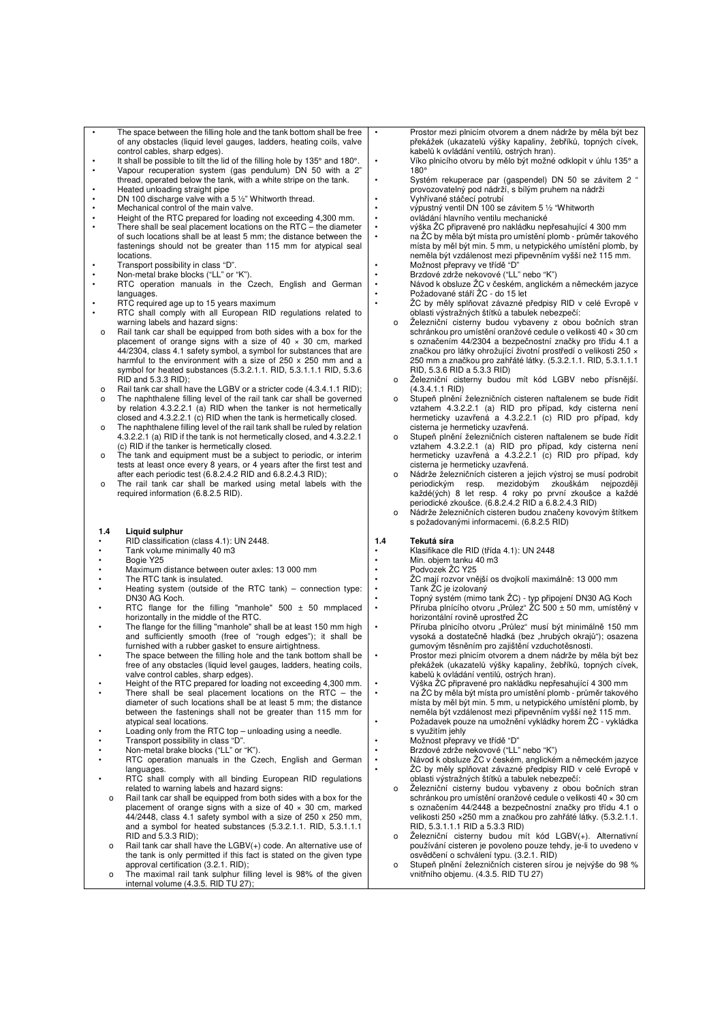- The space between the filling hole and the tank bottom shall be free of any obstacles (liquid level gauges, ladders, heating coils, valve control cables, sharp edges).
- It shall be possible to tilt the lid of the filling hole by 135° and 180°. • Vapour recuperation system (gas pendulum) DN 50 with a 2"
- thread, operated below the tank, with a white stripe on the tank.
- Heated unloading straight pipe
- DN 100 discharge valve with a 5 ½" Whitworth thread. Mechanical control of the main valve.
- Height of the RTC prepared for loading not exceeding 4,300 mm.
- There shall be seal placement locations on the RTC the diameter of such locations shall be at least 5 mm; the distance between the fastenings should not be greater than 115 mm for atypical seal locations.
- 
- Transport possibility in class "D". Non-metal brake blocks ("LL" or "K").
- RTC operation manuals in the Czech, English and German languages.
- RTC required age up to 15 years maximum
- RTC shall comply with all European RID regulations related to warning labels and hazard signs:
- o Rail tank car shall be equipped from both sides with a box for the placement of orange signs with a size of  $40 \times 30$  cm, marked 44/2304, class 4.1 safety symbol, a symbol for substances that are harmful to the environment with a size of 250 x 250 mm and a symbol for heated substances (5.3.2.1.1. RID, 5.3.1.1.1 RID, 5.3.6  $RID$  and 5.3.3  $RID$  $\cdot$
- o Rail tank car shall have the LGBV or a stricter code (4.3.4.1.1 RID); o The naphthalene filling level of the rail tank car shall be governed by relation 4.3.2.2.1 (a) RID when the tanker is not hermetically
- closed and 4.3.2.2.1 (c) RID when the tank is hermetically closed. o The naphthalene filling level of the rail tank shall be ruled by relation 4.3.2.2.1 (a) RID if the tank is not hermetically closed, and 4.3.2.2.1 (c) RID if the tanker is hermetically closed.
- o The tank and equipment must be a subject to periodic, or interim tests at least once every 8 years, or 4 years after the first test and after each periodic test (6.8.2.4.2 RID and 6.8.2.4.3 RID);
- o The rail tank car shall be marked using metal labels with the required information (6.8.2.5 RID).

#### **1.4 Liquid sulphur**

- RID classification (class 4.1): UN 2448.
- Tank volume minimally 40 m3
- Bogie Y25 Maximum distance between outer axles: 13 000 mm
- The RTC tank is insulated.<br>• Heating system (outside of
- Heating system (outside of the RTC tank) connection type: DN30 AG Koch.
- RTC flange for the filling "manhole" 500 ± 50 mmplaced horizontally in the middle of the RTC.
- The flange for the filling "manhole" shall be at least 150 mm high and sufficiently smooth (free of "rough edges"); it shall be
- furnished with a rubber gasket to ensure airtightness. The space between the filling hole and the tank bottom shall be free of any obstacles (liquid level gauges, ladders, heating coils, valve control cables, sharp edges).
- Height of the RTC prepared for loading not exceeding 4,300 mm.
- There shall be seal placement locations on the  $\overline{RTC}$  the diameter of such locations shall be at least 5 mm; the distance between the fastenings shall not be greater than 115 mm for atypical seal locations.
- Loading only from the RTC top unloading using a needle.
- Transport possibility in class "D".
- Non-metal brake blocks ("LL" or "K").<br>• PTC operation manuals in the C
- **RTC** operation manuals in the Czech, English and German languages.
- RTC shall comply with all binding European RID regulations related to warning labels and hazard signs:
- o Rail tank car shall be equipped from both sides with a box for the placement of orange signs with a size of  $40 \times 30$  cm, marked 44/2448, class 4.1 safety symbol with a size of 250 x 250 mm, and a symbol for heated substances (5.3.2.1.1. RID, 5.3.1.1.1  $RID$  and 5.3.3  $RID$ );
- o Rail tank car shall have the LGBV(+) code. An alternative use of the tank is only permitted if this fact is stated on the given type approval certification (3.2.1. RID);
- o The maximal rail tank sulphur filling level is 98% of the given internal volume (4.3.5. RID TU 27);
- Prostor mezi plnicím otvorem a dnem nádrže by měla být bez překážek (ukazatelů výšky kapaliny, žebříků, topných cívek, kabelů k ovládání ventilů, ostrých hran). • Víko plnicího otvoru by mělo být možné odklopit v úhlu 135° a
- 180°
- Systém rekuperace par (gaspendel) DN 50 se závitem 2 " provozovatelný pod nádrží, s bílým pruhem na nádrži
- Vyhřívané stáčecí potrubí výpustný ventil DN 100 se závitem 5 ½ "Whitworth
- ovládání hlavního ventilu mechanické
	- výška ŽC připravené pro nakládku nepřesahující 4 300 mm
	- na ŽC by měla být místa pro umístění plomb průměr takového místa by měl být min. 5 mm, u netypického umístění plomb, by neměla být vzdálenost mezi připevněním vyšší než 115 mm. • Možnost přepravy ve třídě "D"
	-
- Brzdové zdrže nekovové ("LL" nebo "K")<br>• Brzdové zdrže nekovové ("LL" nebo "K")<br>• Návod k obsluze ŽC v českém anglické • Návod k obsluze ŽC v českém, anglickém a německém jazyce • Požadované stáří ŽC - do 15 let
	- ŽC by měly splňovat závazné předpisy RID v celé Evropě v oblasti výstražných štítků a tabulek nebezpečí:
	- Železniční cisterny budou vybaveny z obou bočních stran schránkou pro umístění oranžové cedule o velikosti 40 × 30 cm s označením 44/2304 a bezpečnostní značky pro třídu 4.1 a značkou pro látky ohrožující životní prostředí o velikosti 250 × 250 mm a značkou pro zahřáté látky. (5.3.2.1.1. RID, 5.3.1.1.1 RID, 5.3.6 RID a 5.3.3 RID)
	- o Železniční cisterny budou mít kód LGBV nebo přísnější. (4.3.4.1.1 RID)
	- Stupeň plnění železničních cisteren naftalenem se bude řídit vztahem 4.3.2.2.1 (a) RID pro případ, kdy cisterna není hermeticky uzavřená a 4.3.2.2.1 (c) RID pro případ, kdy cisterna je hermeticky uzavřená.
	- o Stupeň plnění železničních cisteren naftalenem se bude řídit vztahem 4.3.2.2.1 (a) RID pro případ, kdy cisterna není hermeticky uzavřená a 4.3.2.2.1 (c) RID pro případ, kdy cisterna je hermeticky uzavřená.
	- o Nádrže železničních cisteren a jejich výstroj se musí podrobit periodickým resp. mezidobým zkouškám nejpozději každé(ých) 8 let resp. 4 roky po první zkoušce a každé periodické zkoušce. (6.8.2.4.2 RID a 6.8.2.4.3 RID)
	- o Nádrže železničních cisteren budou značeny kovovým štítkem s požadovanými informacemi. (6.8.2.5 RID)

#### **1.4 Tekutá síra**

- Klasifikace dle RID (třída 4.1): UN 2448
- Min. objem tanku 40 m3 • Podvozek ŽC Y25
	-
	- ŽC mají rozvor vnější os dvojkolí maximálně: 13 000 mm • Tank ŽC je izolovaný
- Topný systém (mimo tank ŽC) typ připojení DN30 AG Koch Příruba plnícího otvoru "Průlez" ŽC 500 ± 50 mm, umístěný v
	- horizontální rovině uprostřed ŽC Příruba plnicího otvoru "Průlez" musí být minimálně 150 mm vysoká a dostatečně hladká (bez "hrubých okrajů"); osazena gumovým těsněním pro zajištění vzduchotěsnosti.
	- Prostor mezi plnicím otvorem a dnem nádrže by měla být bez překážek (ukazatelů výšky kapaliny, žebříků, topných cívek, kabelů k ovládání ventilů, ostrých hran).
	- Výška ŽC připravené pro nakládku nepřesahující 4 300 mm
- na ŽC by měla být místa pro umístění plomb průměr takového místa by měl být min. 5 mm, u netypického umístění plomb, by neměla být vzdálenost mezi připevněním vyšší než 115 mm. • Požadavek pouze na umožnění vykládky horem ŽC - vykládka
	- s využitím jehly
	- Možnost přepravy ve třídě "D"
	- Brzdové zdrže nekovové ("LL" nebo "K")
	- Návod k obsluze ŽC v českém, anglickém a německém jazyce • ŽC by měly splňovat závazné předpisy RID v celé Evropě v oblasti výstražných štítků a tabulek nebezpečí:
	- o Železniční cisterny budou vybaveny z obou bočních stran schránkou pro umístění oranžové cedule o velikosti 40 × 30 cm s označením 44/2448 a bezpečnostní značky pro třídu 4.1 o velikosti 250 ×250 mm a značkou pro zahřáté látky. (5.3.2.1.1. RID, 5.3.1.1.1 RID a 5.3.3 RID)
	- o Železniční cisterny budou mít kód LGBV(+). Alternativní používání cisteren je povoleno pouze tehdy, je-li to uvedeno v osvědčení o schválení typu. (3.2.1. RID)
	- o Stupeň plnění železničních cisteren sírou je nejvýše do 98 % vnitřního objemu. (4.3.5. RID TU 27)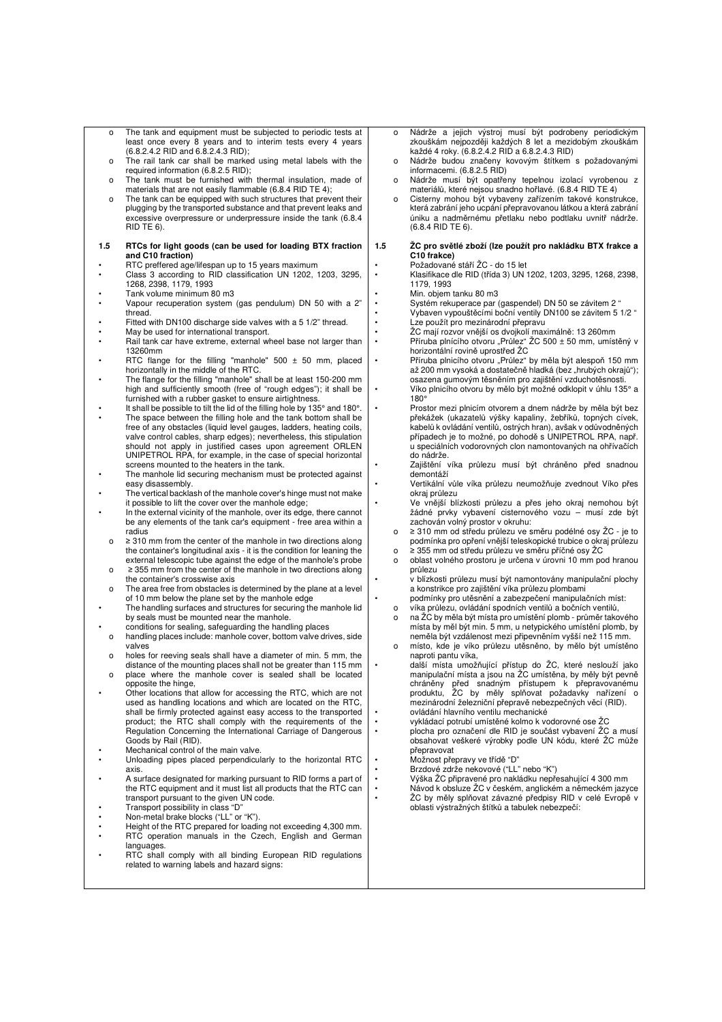- o The tank and equipment must be subjected to periodic tests at least once every 8 years and to interim tests every 4 years (6.8.2.4.2 RID and 6.8.2.4.3 RID);
- o The rail tank car shall be marked using metal labels with the required information (6.8.2.5 RID);
- o The tank must be furnished with thermal insulation, made of materials that are not easily flammable (6.8.4 RID TE 4);
- o The tank can be equipped with such structures that prevent their plugging by the transported substance and that prevent leaks and excessive overpressure or underpressure inside the tank (6.8.4 RID TE 6).
- **1.5 RTCs for light goods (can be used for loading BTX fraction and C10 fraction)**
- RTC preffered age/lifespan up to 15 years maximum
- Class 3 according to RID classification UN 1202, 1203, 3295, 1268, 2398, 1179, 1993 • Tank volume minimum 80 m3
- Vapour recuperation system (gas pendulum) DN 50 with a 2" thread.
- Fitted with DN100 discharge side valves with a 5 1/2" thread.
- May be used for international transport. • Rail tank car have extreme, external wheel base not larger than 13260mm
- RTC flange for the filling "manhole" 500 ± 50 mm, placed horizontally in the middle of the RTC.
- The flange for the filling "manhole" shall be at least 150-200 mm high and sufficiently smooth (free of "rough edges"); it shall be furnished with a rubber gasket to ensure airtightness.
- It shall be possible to tilt the lid of the filling hole by 135° and 180°. • The space between the filling hole and the tank bottom shall be free of any obstacles (liquid level gauges, ladders, heating coils, valve control cables, sharp edges); nevertheless, this stipulation should not apply in justified cases upon agreement ORLEN UNIPETROL RPA, for example, in the case of special horizontal screens mounted to the heaters in the tank.
- The manhole lid securing mechanism must be protected against easy disassembly.
- The vertical backlash of the manhole cover's hinge must not make it possible to lift the cover over the manhole edge;
- In the external vicinity of the manhole, over its edge, there cannot be any elements of the tank car's equipment - free area within a radius
- o ≥ 310 mm from the center of the manhole in two directions along the container's longitudinal axis - it is the condition for leaning the external telescopic tube against the edge of the manhole's probe o ≥ 355 mm from the center of the manhole in two directions along
- the container's crosswise axis o The area free from obstacles is determined by the plane at a level
- of 10 mm below the plane set by the manhole edge The handling surfaces and structures for securing the manhole lid by seals must be mounted near the manhole.
- conditions for sealing, safeguarding the handling places
- o handling places include: manhole cover, bottom valve drives, side valves o holes for reeving seals shall have a diameter of min. 5 mm, the
- distance of the mounting places shall not be greater than 115 mm
- o place where the manhole cover is sealed shall be located opposite the hinge,
- Other locations that allow for accessing the RTC, which are not used as handling locations and which are located on the RTC, shall be firmly protected against easy access to the transported product; the RTC shall comply with the requirements of the Regulation Concerning the International Carriage of Dangerous Goods by Rail (RID).
- Mechanical control of the main valve.
- Unloading pipes placed perpendicularly to the horizontal RTC axis.
- A surface designated for marking pursuant to RID forms a part of the RTC equipment and it must list all products that the RTC can transport pursuant to the given UN code.
- Transport possibility in class "D" • Non-metal brake blocks ("LL" or "K").
- 
- Height of the RTC prepared for loading not exceeding 4,300 mm.<br>• RTC operation manuals in the Czech English and German • RTC operation manuals in the Czech, English and German languages.
- RTC shall comply with all binding European RID regulations related to warning labels and hazard signs:
- o Nádrže a jejich výstroj musí být podrobeny periodickým zkouškám nejpozději každých 8 let a mezidobým zkouškám každé 4 roky. (6.8.2.4.2 RID a 6.8.2.4.3 RID)
- o Nádrže budou značeny kovovým štítkem s požadovanými informacemi. (6.8.2.5 RID)
- Nádrže musí být opatřeny tepelnou izolací vyrobenou z materiálů, které nejsou snadno hořlavé. (6.8.4 RID TE 4)
- o Cisterny mohou být vybaveny zařízením takové konstrukce, která zabrání jeho ucpání přepravovanou látkou a která zabrání úniku a nadměrnému přetlaku nebo podtlaku uvnitř nádrže. (6.8.4 RID TE 6).

#### **1.5 ŽC pro světlé zboží (lze použít pro nakládku BTX frakce a C10 frakce)**

- 
- Požadované stáří ŽC do 15 let Klasifikace dle RID (třída 3) UN 1202, 1203, 3295, 1268, 2398, 1179, 1993
	- Min. objem tanku 80 m3

• Systém rekuperace par (gaspendel) DN 50 se závitem 2 " • Vybaven vypouštěcími boční ventily DN100 se závitem 5 1/2 "

- 
- Lze použít pro mezinárodní přepravu ŽC mají rozvor vnější os dvojkolí maximálně: 13 260mm Příruba plnícího otvoru "Průlez" ŽC 500 ± 50 mm, umístěný v horizontální rovině uprostřed ŽC
- Příruba plnicího otvoru "Průlez" by měla být alespoň 150 mm až 200 mm vysoká a dostatečně hladká (bez "hrubých okrajů"); osazena gumovým těsněním pro zajištění vzduchotěsnosti.
	- Víko plnicího otvoru by mělo být možné odklopit v úhlu 135° a 180°
	- Prostor mezi plnicím otvorem a dnem nádrže by měla být bez překážek (ukazatelů výšky kapaliny, žebříků, topných cívek, kabelů k ovládání ventilů, ostrých hran), avšak v odůvodněných případech je to možné, po dohodě s UNIPETROL RPA, např. u speciálních vodorovných clon namontovaných na ohřívačích do nádrže.
	- Zajištění víka průlezu musí být chráněno před snadnou demontáží
	- Vertikální vůle víka průlezu neumožňuje zvednout Víko přes okraj průlezu
	- Ve vnější blízkosti průlezu a přes jeho okraj nemohou být žádné prvky vybavení cisternového vozu – musí zde být zachován volný prostor v okruhu:
	- o ≥ 310 mm od středu průlezu ve směru podélné osy ŽC je to podmínka pro opření vnější teleskopické trubice o okraj průlezu
	- o ≥ 355 mm od středu průlezu ve směru příčné osy ŽC o oblast volného prostoru je určena v úrovni 10 mm pod hranou průlezu
	- v blízkosti průlezu musí být namontovány manipulační plochy a konstrikce pro zajištění víka průlezu plombami
	- podmínky pro utěsnění a zabezpečení manipulačních míst:
	- o víka průlezu, ovládání spodních ventilů a bočních ventilů,
	- o na ŽC by měla být místa pro umístění plomb průměr takového místa by měl být min. 5 mm, u netypického umístění plomb, by neměla být vzdálenost mezi připevněním vyšší než 115 mm.
	- o místo, kde je víko průlezu utěsněno, by mělo být umístěno naproti pantu víka,
- další místa umožňující přístup do ŽC, které neslouží jako manipulační místa a jsou na ŽC umístěna, by měly být pevně chráněny před snadným přístupem k přepravovanému produktu, ŽC by měly splňovat požadavky nařízení o mezinárodní železniční přepravě nebezpečných věcí (RID). • ovládání hlavního ventilu mechanické
	-
- vykládací potrubí umístěné kolmo k vodorovné ose ŽC • plocha pro označení dle RID je součást vybavení ŽC a musí obsahovat veškeré výrobky podle UN kódu, které ŽC může přepravovat
	- Možnost přepravy ve třídě "D"
	- Brzdové zdrže nekovové ("LL" nebo "K")
	- Výška ŽC připravené pro nakládku nepřesahující 4 300 mm
- Návod k obsluze ŽC v českém, anglickém a německém jazyce ŽC by měly splňovat závazné předpisy RID v celé Evropě v oblasti výstražných štítků a tabulek nebezpečí: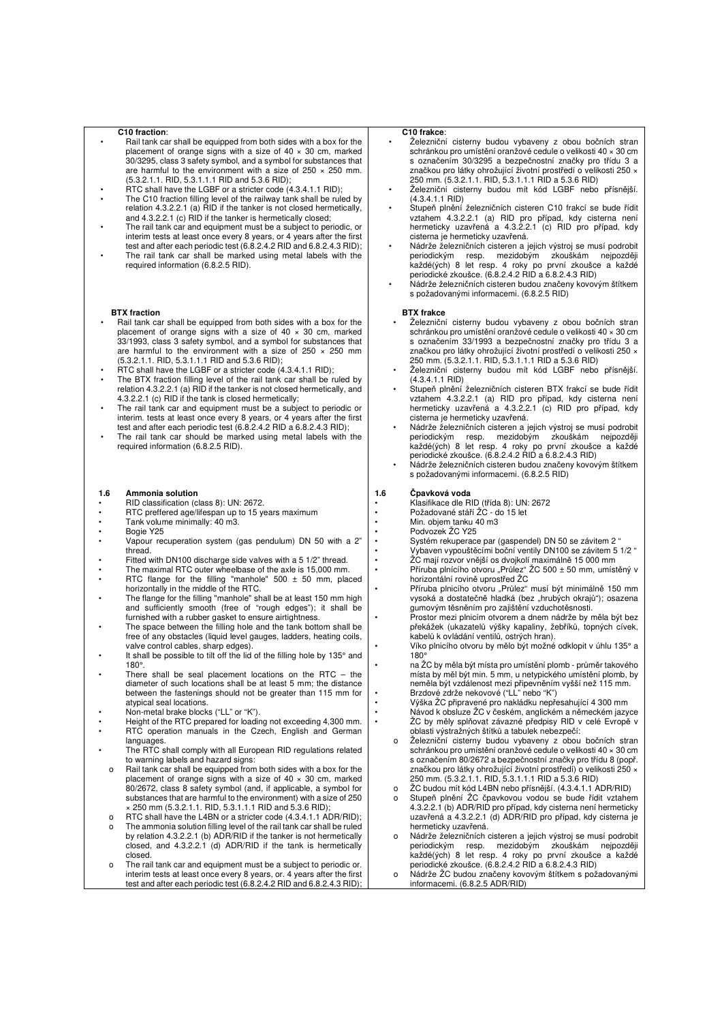#### **C10 fraction**:

- Rail tank car shall be equipped from both sides with a box for the placement of orange signs with a size of 40 × 30 cm, marked 30/3295, class 3 safety symbol, and a symbol for substances that are harmful to the environment with a size of 250 × 250 mm. (5.3.2.1.1. RID, 5.3.1.1.1 RID and 5.3.6 RID);
- RTC shall have the LGBF or a stricter code (4.3.4.1.1 RID);
- The C10 fraction filling level of the railway tank shall be ruled by relation 4.3.2.2.1 (a) RID if the tanker is not closed hermetically, and 4.3.2.2.1 (c) RID if the tanker is hermetically closed;
- The rail tank car and equipment must be a subject to periodic, or interim tests at least once every 8 years, or 4 years after the first test and after each periodic test (6.8.2.4.2 RID and 6.8.2.4.3 RID);
- The rail tank car shall be marked using metal labels with the required information (6.8.2.5 RID).

#### **BTX fraction**

- Rail tank car shall be equipped from both sides with a box for the placement of orange signs with a size of 40 × 30 cm, marked 33/1993, class 3 safety symbol, and a symbol for substances that are harmful to the environment with a size of 250 × 250 mm (5.3.2.1.1. RID, 5.3.1.1.1 RID and 5.3.6 RID);
- RTC shall have the LGBF or a stricter code (4.3.4.1.1 RID);
- The BTX fraction filling level of the rail tank car shall be ruled by relation 4.3.2.2.1 (a) RID if the tanker is not closed hermetically, and 4.3.2.2.1 (c) RID if the tank is closed hermetically;
- The rail tank car and equipment must be a subject to periodic or interim. tests at least once every 8 years, or 4 years after the first test and after each periodic test (6.8.2.4.2 RID a 6.8.2.4.3 RID);
- The rail tank car should be marked using metal labels with the required information (6.8.2.5 RID).

#### **1.6 Ammonia solution**

- RID classification (class 8): UN: 2672.
- RTC preffered age/lifespan up to 15 years maximum
- Tank volume minimally: 40 m3.
- Bogie Y25
- Vapour recuperation system (gas pendulum) DN 50 with a 2" thread.
- Fitted with DN100 discharge side valves with a 5 1/2" thread. The maximal RTC outer wheelbase of the axle is 15,000 mm.
- RTC flange for the filling "manhole"  $500 \pm 50$  mm, placed horizontally in the middle of the RTC.
- The flange for the filling "manhole" shall be at least 150 mm high and sufficiently smooth (free of "rough edges"); it shall be furnished with a rubber gasket to ensure airtightness.
- The space between the filling hole and the tank bottom shall be free of any obstacles (liquid level gauges, ladders, heating coils,
- valve control cables, sharp edges).<br>
It shall be possible to tilt off the lid of the filling hole by 135° and 180°.
- There shall be seal placement locations on the RTC  $-$  the diameter of such locations shall be at least 5 mm; the distance between the fastenings should not be greater than 115 mm for atypical seal locations.
- Non-metal brake blocks ("LL" or "K").
- Height of the RTC prepared for loading not exceeding 4,300 mm.<br>• RTC operation manuals in the Czech English and German RTC operation manuals in the Czech, English and German languages
- The RTC shall comply with all European RID regulations related to warning labels and hazard signs:
	- o Rail tank car shall be equipped from both sides with a box for the placement of orange signs with a size of  $40 \times 30$  cm, marked 80/2672, class 8 safety symbol (and, if applicable, a symbol for substances that are harmful to the environment) with a size of 250 × 250 mm (5.3.2.1.1. RID, 5.3.1.1.1 RID and 5.3.6 RID);
	- RTC shall have the L4BN or a stricter code (4.3.4.1.1 ADR/RID); o The ammonia solution filling level of the rail tank car shall be ruled by relation 4.3.2.2.1 (b) ADR/RID if the tanker is not hermetically closed, and 4.3.2.2.1 (d) ADR/RID if the tank is hermetically closed.
- The rail tank car and equipment must be a subject to periodic or. interim tests at least once every 8 years, or. 4 years after the first test and after each periodic test (6.8.2.4.2 RID and 6.8.2.4.3 RID);

#### **C10 frakce**:

- Železniční cisterny budou vybaveny z obou bočních stran schránkou pro umístění oranžové cedule o velikosti 40 × 30 cm s označením 30/3295 a bezpečnostní značky pro třídu 3 a značkou pro látky ohrožující životní prostředí o velikosti 250 × 250 mm. (5.3.2.1.1. RID, 5.3.1.1.1 RID a 5.3.6 RID)
- Železniční cisterny budou mít kód LGBF nebo přísnější. (4.3.4.1.1 RID)
- Stupeň plnění železničních cisteren C10 frakcí se bude řídit vztahem 4.3.2.2.1 (a) RID pro případ, kdy cisterna není hermeticky uzavřená a 4.3.2.2.1 (c) RID pro případ, kdy cisterna je hermeticky uzavřená.
- Nádrže železničních cisteren a jejich výstroj se musí podrobit periodickým resp. mezidobým zkouškám nejpozději každé(ých) 8 let resp. 4 roky po první zkoušce a každé periodické zkoušce. (6.8.2.4.2 RID a 6.8.2.4.3 RID)
- Nádrže železničních cisteren budou značeny kovovým štítkem s požadovanými informacemi. (6.8.2.5 RID)

#### **BTX frakce**

- Železniční cisterny budou vybaveny z obou bočních stran schránkou pro umístění oranžové cedule o velikosti 40 × 30 cm s označením 33/1993 a bezpečnostní značky pro třídu 3 a značkou pro látky ohrožující životní prostředí o velikosti 250 × 250 mm. (5.3.2.1.1. RID, 5.3.1.1.1 RID a 5.3.6 RID)
- Železniční cisterny budou mít kód LGBF nebo přísnější. (4.3.4.1.1 RID)
- Stupeň plnění železničních cisteren BTX frakcí se bude řídit vztahem 4.3.2.2.1 (a) RID pro případ, kdy cisterna není hermeticky uzavřená a 4.3.2.2.1 (c) RID pro případ, kdy cisterna je hermeticky uzavřená.
- Nádrže železničních cisteren a jejich výstroj se musí podrobit<br>periodickým resp. mezidobým zkouškám nejpozději periodickým resp. mezidobým zkouškám nejpozději každé(ých) 8 let resp. 4 roky po první zkoušce a každé periodické zkoušce. (6.8.2.4.2 RID a 6.8.2.4.3 RID)
- Nádrže železničních cisteren budou značeny kovovým štítkem s požadovanými informacemi. (6.8.2.5 RID)

#### **1.6 Čpavková voda**

- Klasifikace dle RID (třída 8): UN: 2672<br>• Požadované stáří ŽC do 15 let
	- Požadované stáří ŽC do 15 let
	- Min. objem tanku 40 m3
	- Podvozek ŽC Y25
	- Systém rekuperace par (gaspendel) DN 50 se závitem 2 "
	- Vybaven vypouštěcími boční ventily DN100 se závitem 5 1/2 "
- ŽC mají rozvor vnější os dvojkolí maximálně 15 000 mm Příruba plnícího otvoru "Průlez" ŽC 500 ± 50 mm, umístěný v horizontální rovině uprostřed ŽC
	- Příruba plnicího otvoru "Průlez" musí být minimálně 150 mm vysoká a dostatečně hladká (bez "hrubých okrajů"); osazena gumovým těsněním pro zajištění vzduchotěsnosti.
	- Prostor mezi plnicím otvorem a dnem nádrže by měla být bez překážek (ukazatelů výšky kapaliny, žebříků, topných cívek, kabelů k ovládání ventilů, ostrých hran).
	- Víko plnicího otvoru by mělo být možné odklopit v úhlu 135° a 180°
- na ŽC by měla být místa pro umístění plomb průměr takového místa by měl být min. 5 mm, u netypického umístění plomb, by neměla být vzdálenost mezi připevněním vyšší než 115 mm. • Brzdové zdrže nekovové ("LL" nebo "K")
	- Výška ŽC připravené pro nakládku nepřesahující 4 300 mm • Návod k obsluze ŽC v českém, anglickém a německém jazyce • ŽC by měly splňovat závazné předpisy RID v celé Evropě v
	- oblasti výstražných štítků a tabulek nebezpečí: o Železniční cisterny budou vybaveny z obou bočních stran schránkou pro umístění oranžové cedule o velikosti 40 × 30 cm s označením 80/2672 a bezpečnostní značky pro třídu 8 (popř. značkou pro látky ohrožující životní prostředí) o velikosti 250 × 250 mm. (5.3.2.1.1. RID, 5.3.1.1.1 RID a 5.3.6 RID)
	- o ŽC budou mít kód L4BN nebo přísnější. (4.3.4.1.1 ADR/RID) o Stupeň plnění ŽC čpavkovou vodou se bude řídit vztahem
	- 4.3.2.2.1 (b) ADR/RID pro případ, kdy cisterna není hermeticky uzavřená a 4.3.2.2.1 (d) ADR/RID pro případ, kdy cisterna je hermeticky uzavřená.

o Nádrže železničních cisteren a jejich výstroj se musí podrobit periodickým resp. mezidobým zkouškám nejpozději každé(ých) 8 let resp. 4 roky po první zkoušce a každé periodické zkoušce. (6.8.2.4.2 RID a 6.8.2.4.3 RID)

o Nádrže ŽC budou značeny kovovým štítkem s požadovanými informacemi. (6.8.2.5 ADR/RID)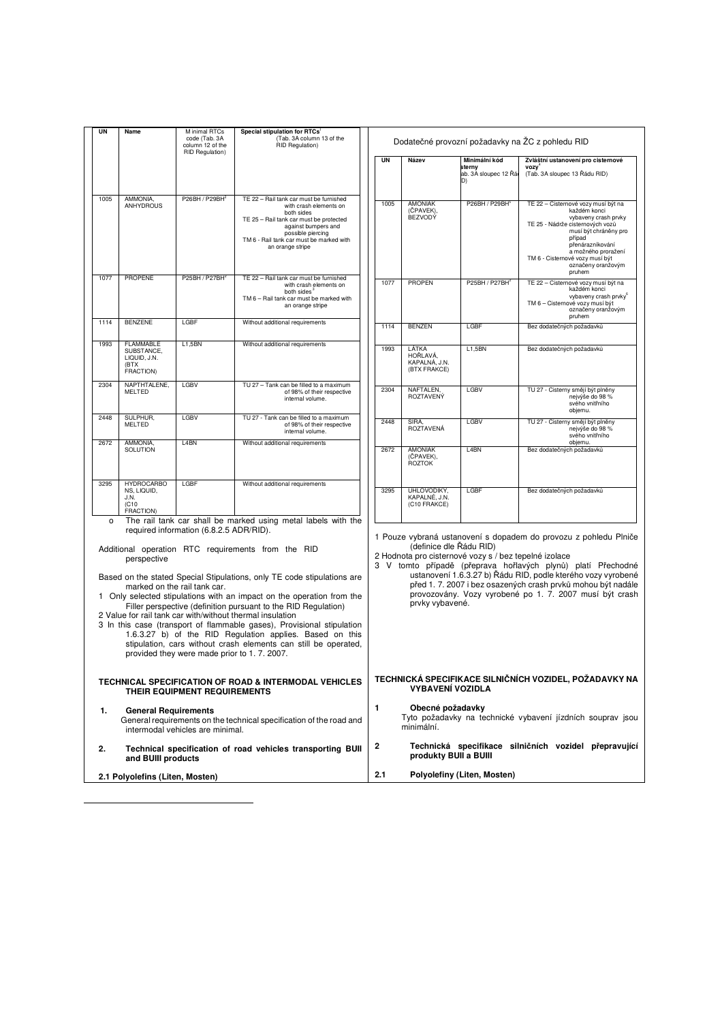| UN      | Name                            | M inimal RTCs<br>code (Tab. 3A<br>column 12 of the | Special stipulation for RTCs <sup>1</sup><br>(Tab. 3A column 13 of the<br>RID Regulation)                                   | Dodatečné provozní požadavky na ŽC z pohledu RID |                               |                                                       |                                                                      |
|---------|---------------------------------|----------------------------------------------------|-----------------------------------------------------------------------------------------------------------------------------|--------------------------------------------------|-------------------------------|-------------------------------------------------------|----------------------------------------------------------------------|
|         |                                 | RID Regulation)                                    |                                                                                                                             | <b>UN</b>                                        |                               | Minimální kód                                         |                                                                      |
|         |                                 |                                                    |                                                                                                                             |                                                  | Název                         | sterny                                                | Zvláštní ustanovení pro cisternové<br>vozy <sup>°</sup>              |
|         |                                 |                                                    |                                                                                                                             |                                                  |                               | ab. 3A sloupec 12 Řár<br>D)                           | (Tab. 3A sloupec 13 Řádu RID)                                        |
|         |                                 |                                                    |                                                                                                                             |                                                  |                               |                                                       |                                                                      |
| 1005    | AMMONIA,<br><b>ANHYDROUS</b>    | P26BH / P29BH <sup>2</sup>                         | TE 22 - Rail tank car must be furnished<br>with crash elements on                                                           | 1005                                             | <b>AMONIAK</b>                | P26BH / P29BH                                         | TE 22 - Cisternové vozy musí být na                                  |
|         |                                 |                                                    | both sides<br>TE 25 - Rail tank car must be protected                                                                       |                                                  | (ČPAVEK),<br><b>BEZVODÝ</b>   |                                                       | každém konci<br>vybaveny crash prvky                                 |
|         |                                 |                                                    | against bumpers and                                                                                                         |                                                  |                               |                                                       | TE 25 - Nádrže cisternových vozů<br>musí být chráněny pro            |
|         |                                 |                                                    | possible piercing<br>TM 6 - Rail tank car must be marked with                                                               |                                                  |                               |                                                       | případ                                                               |
|         |                                 |                                                    | an orange stripe                                                                                                            |                                                  |                               |                                                       | přenárazníkování<br>a možného proražení                              |
|         |                                 |                                                    |                                                                                                                             |                                                  |                               |                                                       | TM 6 - Cisternové vozy musí být<br>označeny oranžovým                |
| 1077    | <b>PROPENE</b>                  | P25BH / P27BH <sup>2</sup>                         | TE 22 - Rail tank car must be furnished                                                                                     |                                                  |                               |                                                       | pruhem                                                               |
|         |                                 |                                                    | with crash elements on<br>both sides <sup>3</sup>                                                                           | 1077                                             | <b>PROPEN</b>                 | P25BH / P27BH                                         | TE 22 - Cisternové vozy musí být na<br>každém konci                  |
|         |                                 |                                                    | TM 6 - Rail tank car must be marked with<br>an orange stripe                                                                |                                                  |                               |                                                       | vybaveny crash prvky <sup>6</sup><br>TM 6 - Cisternové vozy musí být |
|         |                                 |                                                    |                                                                                                                             |                                                  |                               |                                                       | označeny oranžovým<br>pruhem                                         |
| 1114    | <b>BENZENE</b>                  | LGBF                                               | Without additional requirements                                                                                             | 1114                                             | <b>BENZEN</b>                 | LGBF                                                  | Bez dodatečných požadavků                                            |
| 1993    | <b>FLAMMABLE</b>                | L1,5BN                                             | Without additional requirements                                                                                             |                                                  |                               |                                                       |                                                                      |
|         | SUBSTANCE,<br>LIQUID, J.N.      |                                                    |                                                                                                                             | 1993                                             | LÁTKA<br>HOŘLAVÁ,             | L1,5BN                                                | Bez dodatečných požadavků                                            |
|         | (BTX<br>FRACTION)               |                                                    |                                                                                                                             |                                                  | KAPALNÁ, J.N.<br>(BTX FRAKCE) |                                                       |                                                                      |
|         |                                 |                                                    |                                                                                                                             |                                                  |                               |                                                       |                                                                      |
| 2304    | NAPTHTALENE,<br><b>MELTED</b>   | LGBV                                               | TU 27 - Tank can be filled to a maximum<br>of 98% of their respective                                                       | 2304                                             | NAFTALEN,<br>ROZTAVENÝ        | LGBV                                                  | TU 27 - Cisterny smějí být plněny<br>nejvýše do 98 %                 |
|         |                                 |                                                    | internal volume.                                                                                                            |                                                  |                               |                                                       | svého vnitřního                                                      |
| 2448    | SULPHUR,                        | LGBV                                               | TU 27 - Tank can be filled to a maximum                                                                                     |                                                  |                               | LGBV                                                  | objemu.                                                              |
|         | <b>MELTED</b>                   |                                                    | of 98% of their respective<br>internal volume.                                                                              | 2448                                             | SÍRA.<br>ROZTAVENÁ            |                                                       | TU 27 - Cisterny smějí být plněny<br>nejvýše do 98 %                 |
| 2672    | AMMONIA.                        | L <sub>4</sub> BN                                  | Without additional requirements                                                                                             |                                                  |                               |                                                       | svého vnitřního<br>obiemu.                                           |
|         | SOLUTION                        |                                                    |                                                                                                                             | 2672                                             | <b>AMONIAK</b><br>(ČPAVEK),   | L4BN                                                  | Bez dodatečných požadavků                                            |
|         |                                 |                                                    |                                                                                                                             |                                                  | <b>ROZTOK</b>                 |                                                       |                                                                      |
| 3295    | <b>HYDROCARBO</b>               | LGBF                                               | Without additional requirements                                                                                             |                                                  |                               |                                                       |                                                                      |
|         | NS, LIQUID,<br>J.N.             |                                                    |                                                                                                                             | 3295                                             | UHLOVODÍKY.<br>KAPALNÉ, J.N.  | LGBF                                                  | Bez dodatečných požadavků                                            |
|         | (C10)<br>FRACTION)              |                                                    |                                                                                                                             |                                                  | (C10 FRAKCE)                  |                                                       |                                                                      |
| $\circ$ |                                 |                                                    | The rail tank car shall be marked using metal labels with the                                                               |                                                  |                               |                                                       |                                                                      |
|         |                                 | required information (6.8.2.5 ADR/RID).            |                                                                                                                             |                                                  |                               |                                                       | 1 Pouze vybraná ustanovení s dopadem do provozu z pohledu Plniče     |
|         |                                 |                                                    | Additional operation RTC requirements from the RID                                                                          |                                                  | (definice dle Řádu RID)       |                                                       |                                                                      |
|         | perspective                     |                                                    |                                                                                                                             |                                                  |                               | 2 Hodnota pro cisternové vozy s / bez tepelné izolace | 3 V tomto případě (přeprava hořlavých plynů) platí Přechodné         |
|         |                                 |                                                    | Based on the stated Special Stipulations, only TE code stipulations are                                                     |                                                  |                               |                                                       | ustanovení 1.6.3.27 b) Řádu RID, podle kterého vozy vyrobené         |
|         |                                 | marked on the rail tank car.                       |                                                                                                                             |                                                  |                               |                                                       | před 1. 7. 2007 i bez osazených crash prvků mohou být nadále         |
|         |                                 |                                                    | 1 Only selected stipulations with an impact on the operation from the                                                       |                                                  | prvky vybavené.               |                                                       | provozovány. Vozy vyrobené po 1. 7. 2007 musí být crash              |
|         |                                 |                                                    | Filler perspective (definition pursuant to the RID Regulation)<br>2 Value for rail tank car with/without thermal insulation |                                                  |                               |                                                       |                                                                      |
|         |                                 |                                                    | 3 In this case (transport of flammable gases), Provisional stipulation                                                      |                                                  |                               |                                                       |                                                                      |
|         |                                 |                                                    | 1.6.3.27 b) of the RID Regulation applies. Based on this                                                                    |                                                  |                               |                                                       |                                                                      |
|         |                                 | provided they were made prior to 1.7.2007.         | stipulation, cars without crash elements can still be operated,                                                             |                                                  |                               |                                                       |                                                                      |
|         |                                 |                                                    |                                                                                                                             |                                                  |                               |                                                       |                                                                      |
|         |                                 |                                                    | TECHNICAL SPECIFICATION OF ROAD & INTERMODAL VEHICLES                                                                       |                                                  |                               |                                                       | TECHNICKÁ SPECIFIKACE SILNIČNÍCH VOZIDEL, POŽADAVKY NA               |
|         |                                 | THEIR EQUIPMENT REQUIREMENTS                       |                                                                                                                             |                                                  | <b>VYBAVENÍ VOZIDLA</b>       |                                                       |                                                                      |
|         |                                 |                                                    |                                                                                                                             | 1                                                | Obecné požadavky              |                                                       |                                                                      |
| 1.      | <b>General Requirements</b>     |                                                    | General requirements on the technical specification of the road and                                                         |                                                  |                               |                                                       | Tyto požadavky na technické vybavení jízdních souprav jsou           |
|         |                                 | intermodal vehicles are minimal.                   |                                                                                                                             |                                                  | minimální.                    |                                                       |                                                                      |
|         |                                 |                                                    |                                                                                                                             | 2                                                |                               |                                                       | Technická specifikace silničních vozidel přepravující                |
| 2.      | and BUIII products              |                                                    | Technical specification of road vehicles transporting BUII                                                                  |                                                  | produkty BUII a BUIII         |                                                       |                                                                      |
|         |                                 |                                                    |                                                                                                                             | 2.1                                              |                               | Polyolefiny (Liten, Mosten)                           |                                                                      |
|         | 2.1 Polyolefins (Liten, Mosten) |                                                    |                                                                                                                             |                                                  |                               |                                                       |                                                                      |

-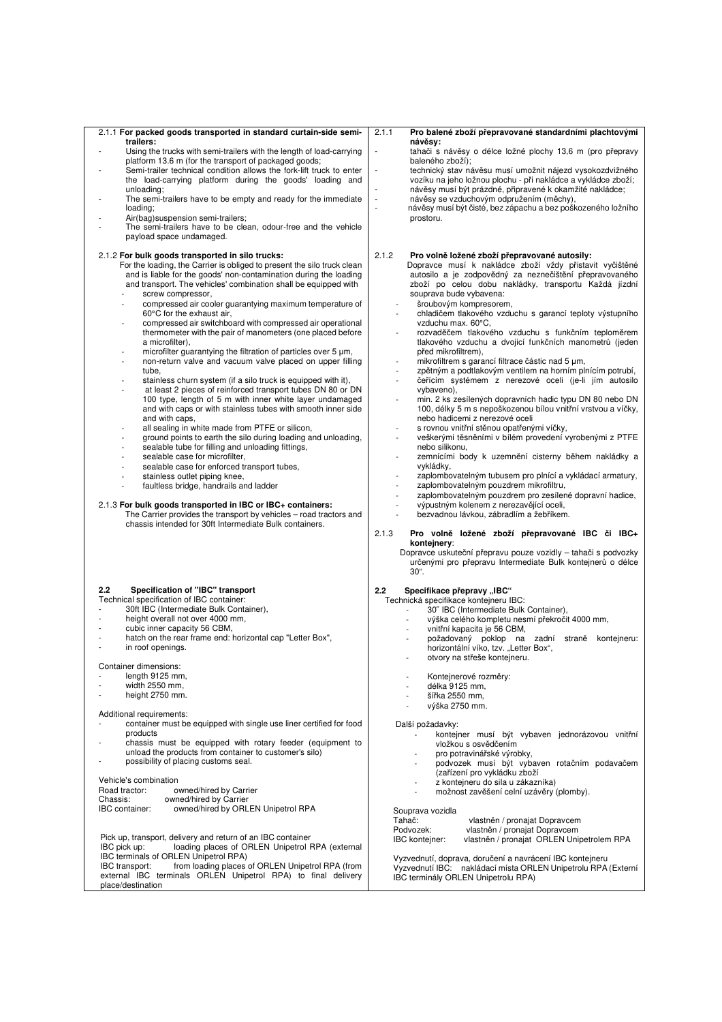| 2.1.1 For packed goods transported in standard curtain-side semi-<br>trailers:                                                               | 2.1.1<br>Pro balené zboží přepravované standardními plachtovými                                                                                                  |
|----------------------------------------------------------------------------------------------------------------------------------------------|------------------------------------------------------------------------------------------------------------------------------------------------------------------|
| Using the trucks with semi-trailers with the length of load-carrying                                                                         | návěsy:<br>tahači s návěsy o délce ložné plochy 13,6 m (pro přepravy<br>$\overline{\phantom{a}}$                                                                 |
| platform 13.6 m (for the transport of packaged goods;                                                                                        | baleného zboží);                                                                                                                                                 |
| Semi-trailer technical condition allows the fork-lift truck to enter                                                                         | technický stav návěsu musí umožnit nájezd vysokozdvižného<br>÷,                                                                                                  |
| the load-carrying platform during the goods' loading and                                                                                     | vozíku na jeho ložnou plochu - při nakládce a vykládce zboží;                                                                                                    |
| unloading;                                                                                                                                   | návěsy musí být prázdné, připravené k okamžité nakládce;                                                                                                         |
| The semi-trailers have to be empty and ready for the immediate                                                                               | návěsy se vzduchovým odpružením (měchy),<br>÷,                                                                                                                   |
| loading:                                                                                                                                     | návěsy musí být čisté, bez zápachu a bez poškozeného ložního<br>J.                                                                                               |
| Air(bag) suspension semi-trailers;                                                                                                           | prostoru.                                                                                                                                                        |
| The semi-trailers have to be clean, odour-free and the vehicle                                                                               |                                                                                                                                                                  |
| payload space undamaged.                                                                                                                     |                                                                                                                                                                  |
|                                                                                                                                              |                                                                                                                                                                  |
| 2.1.2 For bulk goods transported in silo trucks:                                                                                             | 2.1.2<br>Pro volně ložené zboží přepravované autosily:                                                                                                           |
| For the loading, the Carrier is obliged to present the silo truck clean<br>and is liable for the goods' non-contamination during the loading | Dopravce musí k nakládce zboží vždy přistavit vyčištěné<br>autosilo a je zodpovědný za neznečištění přepravovaného                                               |
| and transport. The vehicles' combination shall be equipped with                                                                              | zboží po celou dobu nakládky, transportu Každá jízdní                                                                                                            |
| screw compressor,                                                                                                                            | souprava bude vybavena:                                                                                                                                          |
| compressed air cooler guarantying maximum temperature of                                                                                     | šroubovým kompresorem,<br>$\overline{a}$                                                                                                                         |
| 60°C for the exhaust air,                                                                                                                    | chladičem tlakového vzduchu s garancí teploty výstupního                                                                                                         |
| compressed air switchboard with compressed air operational<br>$\overline{a}$                                                                 | vzduchu max. 60°C,                                                                                                                                               |
| thermometer with the pair of manometers (one placed before                                                                                   | rozvaděčem tlakového vzduchu s funkčním teploměrem<br>$\overline{a}$                                                                                             |
| a microfilter),                                                                                                                              | tlakového vzduchu a dvojicí funkčních manometrů (jeden                                                                                                           |
| microfilter guarantying the filtration of particles over 5 µm,                                                                               | před mikrofiltrem),                                                                                                                                              |
| non-return valve and vacuum valve placed on upper filling<br>$\overline{a}$                                                                  | mikrofiltrem s garancí filtrace částic nad 5 µm,<br>$\sim$                                                                                                       |
| tube.                                                                                                                                        | zpětným a podtlakovým ventilem na horním plnícím potrubí,                                                                                                        |
| stainless churn system (if a silo truck is equipped with it),                                                                                | čeřícím systémem z nerezové oceli (je-li jím autosilo<br>$\sim$                                                                                                  |
| at least 2 pieces of reinforced transport tubes DN 80 or DN                                                                                  | vybaveno),                                                                                                                                                       |
| 100 type, length of 5 m with inner white layer undamaged                                                                                     | min. 2 ks zesílených dopravních hadic typu DN 80 nebo DN                                                                                                         |
| and with caps or with stainless tubes with smooth inner side<br>and with caps.                                                               | 100. délky 5 m s nepoškozenou bílou vnitřní vrstvou a víčky.<br>nebo hadicemi z nerezové oceli                                                                   |
| all sealing in white made from PTFE or silicon,                                                                                              | s rovnou vnitřní stěnou opatřenými víčky,                                                                                                                        |
| ground points to earth the silo during loading and unloading.                                                                                | veškerými těsněními v bílém provedení vyrobenými z PTFE<br>$\overline{a}$                                                                                        |
| sealable tube for filling and unloading fittings,<br>٠                                                                                       | nebo silikonu,                                                                                                                                                   |
| sealable case for microfilter,                                                                                                               | zemnícími body k uzemnění cisterny během nakládky a                                                                                                              |
| sealable case for enforced transport tubes.                                                                                                  | vykládky,                                                                                                                                                        |
| stainless outlet piping knee,<br>٠                                                                                                           | zaplombovatelným tubusem pro plnící a vykládací armatury,                                                                                                        |
| faultless bridge, handrails and ladder                                                                                                       | zaplombovatelným pouzdrem mikrofiltru,                                                                                                                           |
|                                                                                                                                              | zaplombovatelným pouzdrem pro zesílené dopravní hadice,                                                                                                          |
| 2.1.3 For bulk goods transported in IBC or IBC+ containers:                                                                                  | výpustným kolenem z nerezavějící oceli,                                                                                                                          |
| The Carrier provides the transport by vehicles – road tractors and                                                                           |                                                                                                                                                                  |
|                                                                                                                                              | bezvadnou lávkou, zábradlím a žebříkem.                                                                                                                          |
| chassis intended for 30ft Intermediate Bulk containers.                                                                                      |                                                                                                                                                                  |
|                                                                                                                                              | 2.1.3<br>Pro volně ložené zboží přepravované IBC či IBC+                                                                                                         |
|                                                                                                                                              | kontejnery:                                                                                                                                                      |
|                                                                                                                                              |                                                                                                                                                                  |
|                                                                                                                                              | $30^{\circ}$ .                                                                                                                                                   |
| 2.2<br>Specification of "IBC" transport                                                                                                      | Dopravce uskuteční přepravu pouze vozidly – tahači s podvozky<br>určenými pro přepravu Intermediate Bulk kontejnerů o délce<br>2.2<br>Specifikace přepravy "IBC" |
| Technical specification of IBC container:                                                                                                    | Technická specifikace kontejneru IBC:                                                                                                                            |
| 30ft IBC (Intermediate Bulk Container),<br>$\frac{1}{2}$                                                                                     | 30" IBC (Intermediate Bulk Container),<br>$\overline{a}$                                                                                                         |
| height overall not over 4000 mm,<br>ä,                                                                                                       | výška celého kompletu nesmí překročit 4000 mm,                                                                                                                   |
| cubic inner capacity 56 CBM,                                                                                                                 | vnitřní kapacita je 56 CBM,                                                                                                                                      |
| hatch on the rear frame end: horizontal cap "Letter Box",                                                                                    | požadovaný poklop na zadní straně kontejneru:                                                                                                                    |
| in roof openings.<br>٠                                                                                                                       | horizontální víko, tzv. "Letter Box",                                                                                                                            |
|                                                                                                                                              | otvory na střeše kontejneru.                                                                                                                                     |
| Container dimensions:                                                                                                                        |                                                                                                                                                                  |
| length 9125 mm,                                                                                                                              | Kontejnerové rozměry:                                                                                                                                            |
| width 2550 mm,                                                                                                                               | délka 9125 mm,                                                                                                                                                   |
| height 2750 mm.                                                                                                                              | šířka 2550 mm,                                                                                                                                                   |
|                                                                                                                                              | výška 2750 mm.                                                                                                                                                   |
| Additional requirements:<br>container must be equipped with single use liner certified for food                                              |                                                                                                                                                                  |
| products                                                                                                                                     | Další požadavky:<br>kontejner musí být vybaven jednorázovou vnitřní                                                                                              |
| chassis must be equipped with rotary feeder (equipment to                                                                                    | vložkou s osvědčením                                                                                                                                             |
| unload the products from container to customer's silo)                                                                                       | pro potravinářské výrobky,                                                                                                                                       |
| possibility of placing customs seal.                                                                                                         | podvozek musí být vybaven rotačním podavačem                                                                                                                     |
|                                                                                                                                              | (zařízení pro vykládku zboží                                                                                                                                     |
| Vehicle's combination                                                                                                                        | z kontejneru do sila u zákazníka)                                                                                                                                |
| Road tractor:<br>owned/hired by Carrier                                                                                                      | možnost zavěšení celní uzávěry (plomby).                                                                                                                         |
| Chassis:<br>owned/hired by Carrier                                                                                                           |                                                                                                                                                                  |
| owned/hired by ORLEN Unipetrol RPA<br>IBC container:                                                                                         | Souprava vozidla                                                                                                                                                 |
|                                                                                                                                              | Tahač:<br>vlastněn / pronajat Dopravcem                                                                                                                          |
|                                                                                                                                              | Podvozek:<br>vlastněn / pronajat Dopravcem                                                                                                                       |
| Pick up, transport, delivery and return of an IBC container<br>IBC pick up:<br>loading places of ORLEN Unipetrol RPA (external               | vlastněn / pronajat ORLEN Unipetrolem RPA<br>IBC kontejner:                                                                                                      |
| IBC terminals of ORLEN Unipetrol RPA)                                                                                                        |                                                                                                                                                                  |
| IBC transport:<br>from loading places of ORLEN Unipetrol RPA (from                                                                           | Vyzvednutí, doprava, doručení a navrácení IBC kontejneru                                                                                                         |
| external IBC terminals ORLEN Unipetrol RPA) to final delivery<br>place/destination                                                           | Vyzvednutí IBC: nakládací místa ORLEN Unipetrolu RPA (Externí<br>IBC terminály ORLEN Unipetrolu RPA)                                                             |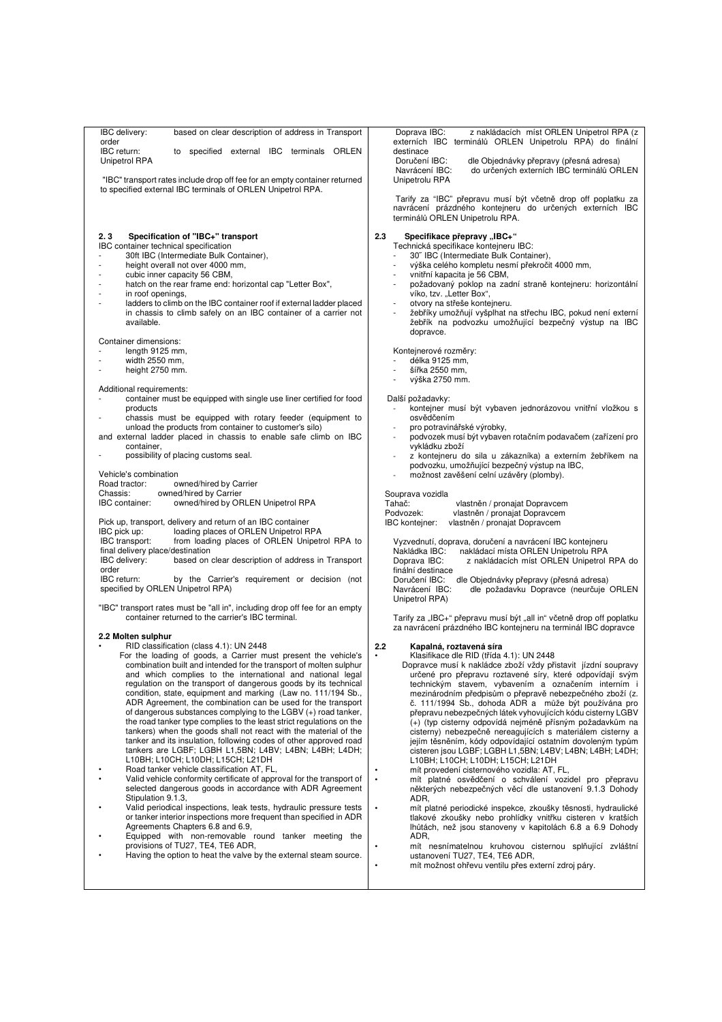| IBC delivery:<br>based on clear description of address in Transport<br>order<br>IBC return:<br>to specified external IBC terminals ORLEN                                                                                                                                                                                                                                                                                                                                                                                                                                                                                                                                                                                                                                                                                                                                                                                                                                                                                                                                                                                                                                                                                                                                                                                                                                                                                                                                                                                                                                                                                                                                                                                                                                                                                                                                                                                                                                                                                                                                                                                                                                                                                                                    | Doprava IBC:<br>z nakládacích míst ORLEN Unipetrol RPA (z<br>externích IBC terminálů ORLEN Unipetrolu RPA) do finální<br>destinace                                                                                                                                                                                                                                                                                                                                                                                                                                                                                                                                                                                                                                                                                                                                                                                                                                                                                                                                                                                                                                                                                                                                                                                                                                                                                                                                                                                                                                                                                                                                                                                                                                                                                                                                                                                                                                                                                                                                                                                                                                                   |
|-------------------------------------------------------------------------------------------------------------------------------------------------------------------------------------------------------------------------------------------------------------------------------------------------------------------------------------------------------------------------------------------------------------------------------------------------------------------------------------------------------------------------------------------------------------------------------------------------------------------------------------------------------------------------------------------------------------------------------------------------------------------------------------------------------------------------------------------------------------------------------------------------------------------------------------------------------------------------------------------------------------------------------------------------------------------------------------------------------------------------------------------------------------------------------------------------------------------------------------------------------------------------------------------------------------------------------------------------------------------------------------------------------------------------------------------------------------------------------------------------------------------------------------------------------------------------------------------------------------------------------------------------------------------------------------------------------------------------------------------------------------------------------------------------------------------------------------------------------------------------------------------------------------------------------------------------------------------------------------------------------------------------------------------------------------------------------------------------------------------------------------------------------------------------------------------------------------------------------------------------------------|--------------------------------------------------------------------------------------------------------------------------------------------------------------------------------------------------------------------------------------------------------------------------------------------------------------------------------------------------------------------------------------------------------------------------------------------------------------------------------------------------------------------------------------------------------------------------------------------------------------------------------------------------------------------------------------------------------------------------------------------------------------------------------------------------------------------------------------------------------------------------------------------------------------------------------------------------------------------------------------------------------------------------------------------------------------------------------------------------------------------------------------------------------------------------------------------------------------------------------------------------------------------------------------------------------------------------------------------------------------------------------------------------------------------------------------------------------------------------------------------------------------------------------------------------------------------------------------------------------------------------------------------------------------------------------------------------------------------------------------------------------------------------------------------------------------------------------------------------------------------------------------------------------------------------------------------------------------------------------------------------------------------------------------------------------------------------------------------------------------------------------------------------------------------------------------|
| Unipetrol RPA                                                                                                                                                                                                                                                                                                                                                                                                                                                                                                                                                                                                                                                                                                                                                                                                                                                                                                                                                                                                                                                                                                                                                                                                                                                                                                                                                                                                                                                                                                                                                                                                                                                                                                                                                                                                                                                                                                                                                                                                                                                                                                                                                                                                                                               | Doručení IBC:<br>dle Objednávky přepravy (přesná adresa)<br>do určených externích IBC terminálů ORLEN<br>Navrácení IBC:                                                                                                                                                                                                                                                                                                                                                                                                                                                                                                                                                                                                                                                                                                                                                                                                                                                                                                                                                                                                                                                                                                                                                                                                                                                                                                                                                                                                                                                                                                                                                                                                                                                                                                                                                                                                                                                                                                                                                                                                                                                              |
| to specified external IBC terminals of ORLEN Unipetrol RPA.                                                                                                                                                                                                                                                                                                                                                                                                                                                                                                                                                                                                                                                                                                                                                                                                                                                                                                                                                                                                                                                                                                                                                                                                                                                                                                                                                                                                                                                                                                                                                                                                                                                                                                                                                                                                                                                                                                                                                                                                                                                                                                                                                                                                 |                                                                                                                                                                                                                                                                                                                                                                                                                                                                                                                                                                                                                                                                                                                                                                                                                                                                                                                                                                                                                                                                                                                                                                                                                                                                                                                                                                                                                                                                                                                                                                                                                                                                                                                                                                                                                                                                                                                                                                                                                                                                                                                                                                                      |
|                                                                                                                                                                                                                                                                                                                                                                                                                                                                                                                                                                                                                                                                                                                                                                                                                                                                                                                                                                                                                                                                                                                                                                                                                                                                                                                                                                                                                                                                                                                                                                                                                                                                                                                                                                                                                                                                                                                                                                                                                                                                                                                                                                                                                                                             | navrácení prázdného kontejneru do určených externích IBC<br>terminálů ORLEN Unipetrolu RPA.                                                                                                                                                                                                                                                                                                                                                                                                                                                                                                                                                                                                                                                                                                                                                                                                                                                                                                                                                                                                                                                                                                                                                                                                                                                                                                                                                                                                                                                                                                                                                                                                                                                                                                                                                                                                                                                                                                                                                                                                                                                                                          |
| "IBC" transport rates include drop off fee for an empty container returned<br>Specification of "IBC+" transport<br>2.3<br>IBC container technical specification<br>30ft IBC (Intermediate Bulk Container),<br>height overall not over 4000 mm,<br>cubic inner capacity 56 CBM,<br>hatch on the rear frame end: horizontal cap "Letter Box",<br>in roof openings,<br>ladders to climb on the IBC container roof if external ladder placed<br>in chassis to climb safely on an IBC container of a carrier not<br>available.<br>Container dimensions:<br>length 9125 mm,<br>width 2550 mm,<br>height 2750 mm.<br>Additional requirements:<br>container must be equipped with single use liner certified for food<br>products<br>chassis must be equipped with rotary feeder (equipment to<br>unload the products from container to customer's silo)<br>and external ladder placed in chassis to enable safe climb on IBC<br>container,<br>possibility of placing customs seal.<br>Vehicle's combination<br>Road tractor:<br>owned/hired by Carrier<br>owned/hired by Carrier<br>Chassis:<br>owned/hired by ORLEN Unipetrol RPA<br><b>IBC</b> container:<br>Pick up, transport, delivery and return of an IBC container<br>IBC pick up:<br>loading places of ORLEN Unipetrol RPA<br>IBC transport:<br>from loading places of ORLEN Unipetrol RPA to<br>final delivery place/destination<br>IBC delivery:<br>based on clear description of address in Transport<br>order<br>by the Carrier's requirement or decision (not<br>IBC return:<br>specified by ORLEN Unipetrol RPA)<br>"IBC" transport rates must be "all in", including drop off fee for an empty<br>container returned to the carrier's IBC terminal.<br>2.2 Molten sulphur<br>RID classification (class 4.1): UN 2448<br>For the loading of goods, a Carrier must present the vehicle's<br>combination built and intended for the transport of molten sulphur<br>and which complies to the international and national legal<br>regulation on the transport of dangerous goods by its technical<br>condition, state, equipment and marking (Law no. 111/194 Sb.,<br>ADR Agreement, the combination can be used for the transport<br>of dangerous substances complying to the LGBV $(+)$ road tanker, | Unipetrolu RPA<br>Tarify za "IBC" přepravu musí být včetně drop off poplatku za<br>2.3<br>Specifikace přepravy "IBC+"<br>Technická specifikace kontejneru IBC:<br>30" IBC (Intermediate Bulk Container),<br>výška celého kompletu nesmí překročit 4000 mm,<br>vnitřní kapacita je 56 CBM,<br>÷,<br>požadovaný poklop na zadní straně kontejneru: horizontální<br>víko, tzv. "Letter Box",<br>otvory na střeše kontejneru.<br>žebříky umožňují vyšplhat na střechu IBC, pokud není externí<br>žebřík na podvozku umožňující bezpečný výstup na IBC<br>dopravce.<br>Kontejnerové rozměry:<br>délka 9125 mm,<br>šířka 2550 mm.<br>výška 2750 mm.<br>Další požadavky:<br>kontejner musí být vybaven jednorázovou vnitřní vložkou s<br>osvědčením<br>pro potravinářské výrobky,<br>$\overline{a}$<br>podvozek musí být vybaven rotačním podavačem (zařízení pro<br>vykládku zboží<br>z kontejneru do sila u zákazníka) a externím žebříkem na<br>podvozku, umožňující bezpečný výstup na IBC,<br>možnost zavěšení celní uzávěry (plomby).<br>$\overline{a}$<br>Souprava vozidla<br>Tahač:<br>vlastněn / pronajat Dopravcem<br>Podvozek:<br>vlastněn / pronajat Dopravcem<br>vlastněn / pronajat Dopravcem<br>IBC kontejner:<br>Vyzvednutí, doprava, doručení a navrácení IBC kontejneru<br>Nakládka IBC:<br>nakládací místa ORLEN Unipetrolu RPA<br>Doprava IBC:<br>z nakládacích míst ORLEN Unipetrol RPA do<br>finální destinace<br>Doručení IBC:<br>dle Objednávky přepravy (přesná adresa)<br>Navrácení IBC:<br>dle požadavku Dopravce (neurčuje ORLEN<br>Unipetrol RPA)<br>Tarify za "IBC+" přepravu musí být "all in" včetně drop off poplatku<br>za navrácení prázdného IBC kontejneru na terminál IBC dopravce<br>2.2<br>Kapalná, roztavená síra<br>Klasifikace dle RID (třída 4.1): UN 2448<br>$\bullet$<br>Dopravce musí k nakládce zboží vždy přistavit jízdní soupravy<br>určené pro přepravu roztavené síry, které odpovídají svým<br>technickým stavem, vybavením a označením interním i<br>mezinárodním předpisům o přepravě nebezpečného zboží (z.<br>č. 111/1994 Sb., dohoda ADR a může být používána pro<br>přepravu nebezpečných látek vyhovujících kódu cisterny LGBV |
| the road tanker type complies to the least strict regulations on the<br>tankers) when the goods shall not react with the material of the<br>tanker and its insulation, following codes of other approved road<br>tankers are LGBF; LGBH L1,5BN; L4BV; L4BN; L4BH; L4DH;<br>L10BH; L10CH; L10DH; L15CH; L21DH<br>Road tanker vehicle classification AT, FL,                                                                                                                                                                                                                                                                                                                                                                                                                                                                                                                                                                                                                                                                                                                                                                                                                                                                                                                                                                                                                                                                                                                                                                                                                                                                                                                                                                                                                                                                                                                                                                                                                                                                                                                                                                                                                                                                                                  | (+) (typ cisterny odpovídá nejméně přísným požadavkům na<br>cisterny) nebezpečně nereagujících s materiálem cisterny a<br>jejím těsněním, kódy odpovídající ostatním dovoleným typům<br>cisteren jsou LGBF; LGBH L1,5BN; L4BV; L4BN; L4BH; L4DH;<br>L10BH; L10CH; L10DH; L15CH; L21DH                                                                                                                                                                                                                                                                                                                                                                                                                                                                                                                                                                                                                                                                                                                                                                                                                                                                                                                                                                                                                                                                                                                                                                                                                                                                                                                                                                                                                                                                                                                                                                                                                                                                                                                                                                                                                                                                                                |
| Valid vehicle conformity certificate of approval for the transport of                                                                                                                                                                                                                                                                                                                                                                                                                                                                                                                                                                                                                                                                                                                                                                                                                                                                                                                                                                                                                                                                                                                                                                                                                                                                                                                                                                                                                                                                                                                                                                                                                                                                                                                                                                                                                                                                                                                                                                                                                                                                                                                                                                                       | mít provedení cisternového vozidla: AT, FL,<br>mít platné osvědčení o schválení vozidel pro přepravu                                                                                                                                                                                                                                                                                                                                                                                                                                                                                                                                                                                                                                                                                                                                                                                                                                                                                                                                                                                                                                                                                                                                                                                                                                                                                                                                                                                                                                                                                                                                                                                                                                                                                                                                                                                                                                                                                                                                                                                                                                                                                 |
| selected dangerous goods in accordance with ADR Agreement<br>Stipulation 9.1.3,<br>Valid periodical inspections, leak tests, hydraulic pressure tests                                                                                                                                                                                                                                                                                                                                                                                                                                                                                                                                                                                                                                                                                                                                                                                                                                                                                                                                                                                                                                                                                                                                                                                                                                                                                                                                                                                                                                                                                                                                                                                                                                                                                                                                                                                                                                                                                                                                                                                                                                                                                                       | některých nebezpečných věcí dle ustanovení 9.1.3 Dohody<br>ADR,<br>$\bullet$<br>mít platné periodické inspekce, zkoušky těsnosti, hydraulické                                                                                                                                                                                                                                                                                                                                                                                                                                                                                                                                                                                                                                                                                                                                                                                                                                                                                                                                                                                                                                                                                                                                                                                                                                                                                                                                                                                                                                                                                                                                                                                                                                                                                                                                                                                                                                                                                                                                                                                                                                        |
| or tanker interior inspections more frequent than specified in ADR<br>Agreements Chapters 6.8 and 6.9.<br>Equipped with non-removable round tanker meeting the                                                                                                                                                                                                                                                                                                                                                                                                                                                                                                                                                                                                                                                                                                                                                                                                                                                                                                                                                                                                                                                                                                                                                                                                                                                                                                                                                                                                                                                                                                                                                                                                                                                                                                                                                                                                                                                                                                                                                                                                                                                                                              | tlakové zkoušky nebo prohlídky vnitřku cisteren v kratších<br>Ihůtách, než jsou stanoveny v kapitolách 6.8 a 6.9 Dohody                                                                                                                                                                                                                                                                                                                                                                                                                                                                                                                                                                                                                                                                                                                                                                                                                                                                                                                                                                                                                                                                                                                                                                                                                                                                                                                                                                                                                                                                                                                                                                                                                                                                                                                                                                                                                                                                                                                                                                                                                                                              |
| provisions of TU27, TE4, TE6 ADR,<br>Having the option to heat the valve by the external steam source.                                                                                                                                                                                                                                                                                                                                                                                                                                                                                                                                                                                                                                                                                                                                                                                                                                                                                                                                                                                                                                                                                                                                                                                                                                                                                                                                                                                                                                                                                                                                                                                                                                                                                                                                                                                                                                                                                                                                                                                                                                                                                                                                                      | ADR.<br>mít nesnímatelnou kruhovou cisternou splňující zvláštní<br>ustanovení TU27, TE4, TE6 ADR,                                                                                                                                                                                                                                                                                                                                                                                                                                                                                                                                                                                                                                                                                                                                                                                                                                                                                                                                                                                                                                                                                                                                                                                                                                                                                                                                                                                                                                                                                                                                                                                                                                                                                                                                                                                                                                                                                                                                                                                                                                                                                    |
|                                                                                                                                                                                                                                                                                                                                                                                                                                                                                                                                                                                                                                                                                                                                                                                                                                                                                                                                                                                                                                                                                                                                                                                                                                                                                                                                                                                                                                                                                                                                                                                                                                                                                                                                                                                                                                                                                                                                                                                                                                                                                                                                                                                                                                                             | mít možnost ohřevu ventilu přes externí zdroj páry.<br>$\bullet$                                                                                                                                                                                                                                                                                                                                                                                                                                                                                                                                                                                                                                                                                                                                                                                                                                                                                                                                                                                                                                                                                                                                                                                                                                                                                                                                                                                                                                                                                                                                                                                                                                                                                                                                                                                                                                                                                                                                                                                                                                                                                                                     |
|                                                                                                                                                                                                                                                                                                                                                                                                                                                                                                                                                                                                                                                                                                                                                                                                                                                                                                                                                                                                                                                                                                                                                                                                                                                                                                                                                                                                                                                                                                                                                                                                                                                                                                                                                                                                                                                                                                                                                                                                                                                                                                                                                                                                                                                             |                                                                                                                                                                                                                                                                                                                                                                                                                                                                                                                                                                                                                                                                                                                                                                                                                                                                                                                                                                                                                                                                                                                                                                                                                                                                                                                                                                                                                                                                                                                                                                                                                                                                                                                                                                                                                                                                                                                                                                                                                                                                                                                                                                                      |